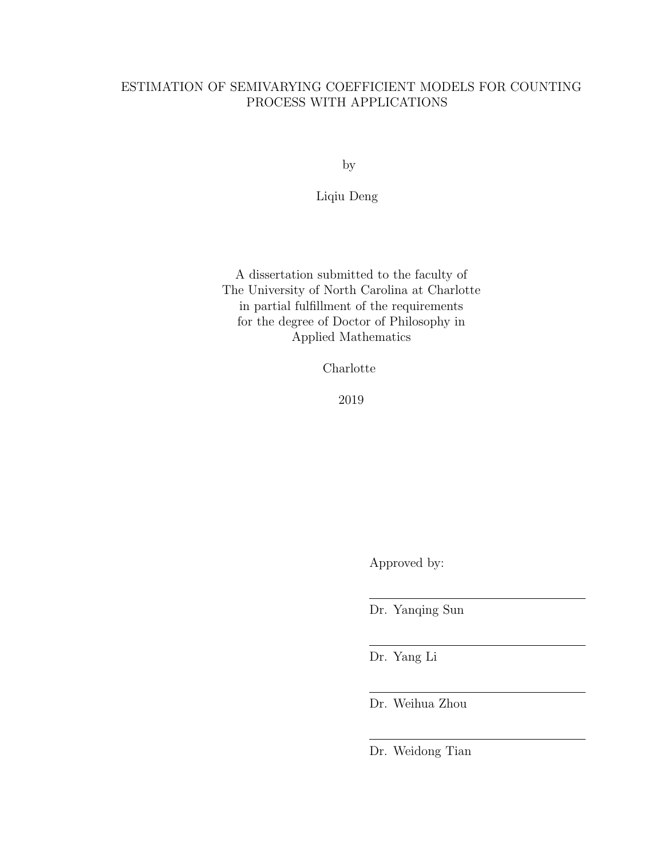# ESTIMATION OF SEMIVARYING COEFFICIENT MODELS FOR COUNTING PROCESS WITH APPLICATIONS

by

Liqiu Deng

A dissertation submitted to the faculty of The University of North Carolina at Charlotte in partial fulfillment of the requirements for the degree of Doctor of Philosophy in Applied Mathematics

Charlotte

2019

Approved by:

Dr. Yanqing Sun

Dr. Yang Li

Dr. Weihua Zhou

Dr. Weidong Tian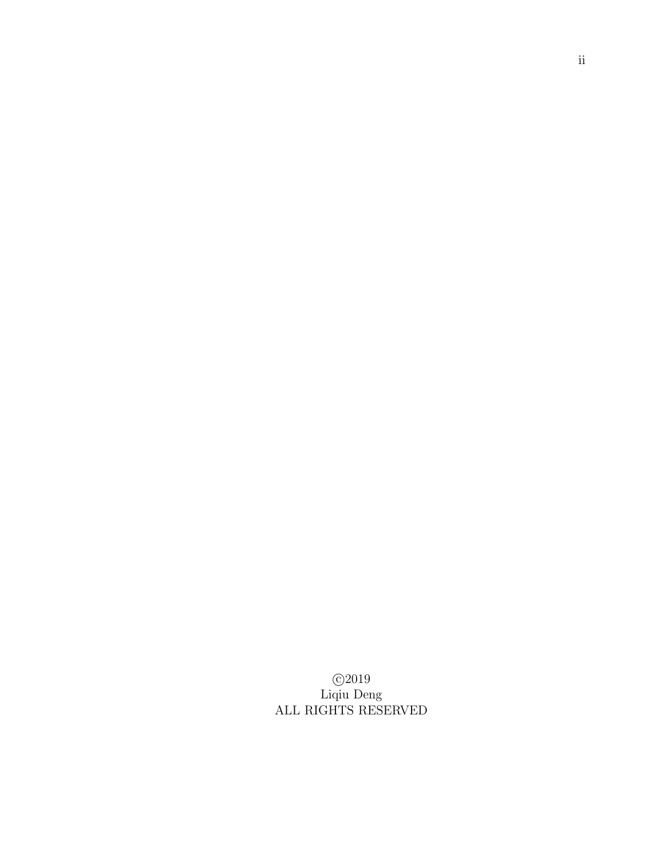c 2019 Liqiu Deng ALL RIGHTS RESERVED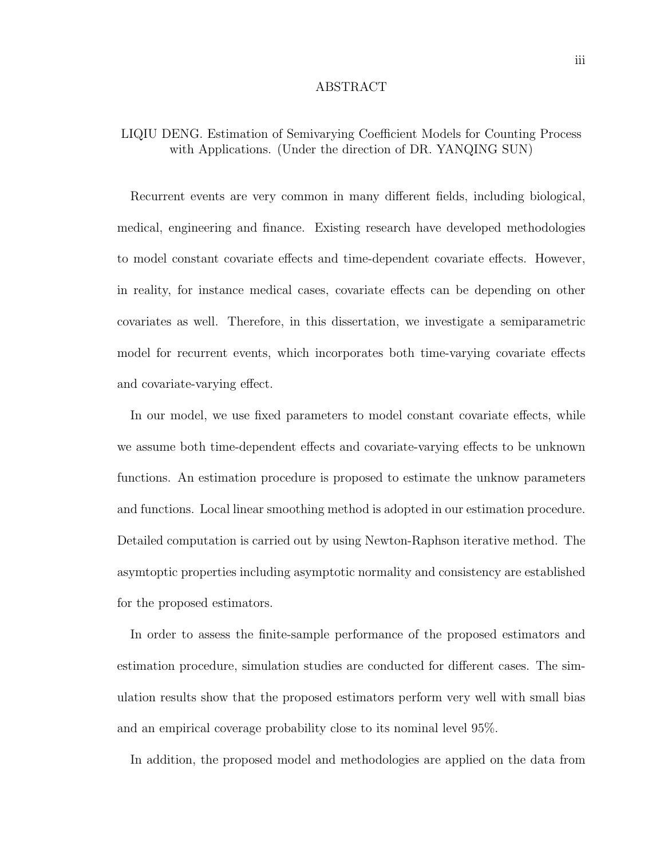#### ABSTRACT

# LIQIU DENG. Estimation of Semivarying Coefficient Models for Counting Process with Applications. (Under the direction of DR. YANQING SUN)

Recurrent events are very common in many different fields, including biological, medical, engineering and finance. Existing research have developed methodologies to model constant covariate effects and time-dependent covariate effects. However, in reality, for instance medical cases, covariate effects can be depending on other covariates as well. Therefore, in this dissertation, we investigate a semiparametric model for recurrent events, which incorporates both time-varying covariate effects and covariate-varying effect.

In our model, we use fixed parameters to model constant covariate effects, while we assume both time-dependent effects and covariate-varying effects to be unknown functions. An estimation procedure is proposed to estimate the unknow parameters and functions. Local linear smoothing method is adopted in our estimation procedure. Detailed computation is carried out by using Newton-Raphson iterative method. The asymtoptic properties including asymptotic normality and consistency are established for the proposed estimators.

In order to assess the finite-sample performance of the proposed estimators and estimation procedure, simulation studies are conducted for different cases. The simulation results show that the proposed estimators perform very well with small bias and an empirical coverage probability close to its nominal level 95%.

In addition, the proposed model and methodologies are applied on the data from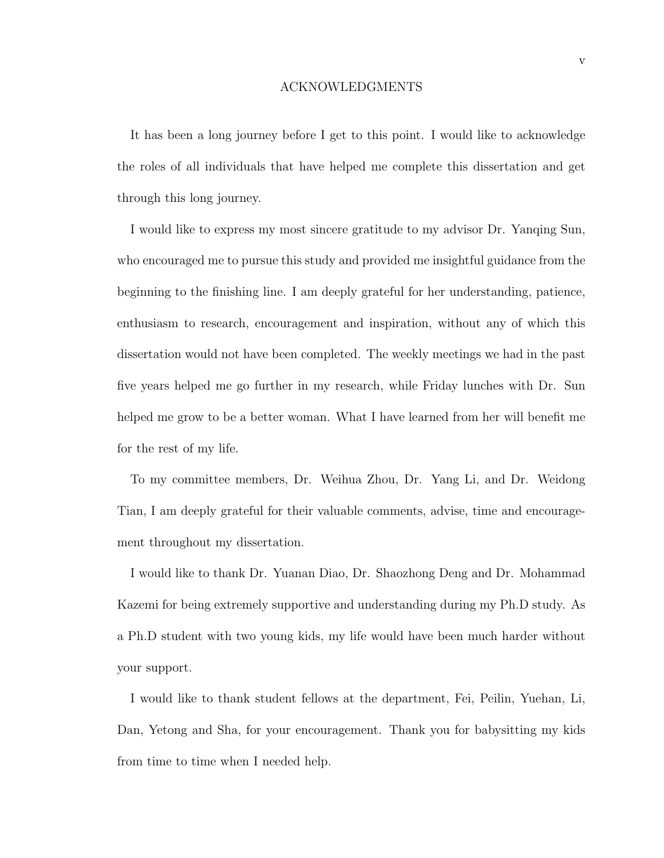#### ACKNOWLEDGMENTS

It has been a long journey before I get to this point. I would like to acknowledge the roles of all individuals that have helped me complete this dissertation and get through this long journey.

I would like to express my most sincere gratitude to my advisor Dr. Yanqing Sun, who encouraged me to pursue this study and provided me insightful guidance from the beginning to the finishing line. I am deeply grateful for her understanding, patience, enthusiasm to research, encouragement and inspiration, without any of which this dissertation would not have been completed. The weekly meetings we had in the past five years helped me go further in my research, while Friday lunches with Dr. Sun helped me grow to be a better woman. What I have learned from her will benefit me for the rest of my life.

To my committee members, Dr. Weihua Zhou, Dr. Yang Li, and Dr. Weidong Tian, I am deeply grateful for their valuable comments, advise, time and encouragement throughout my dissertation.

I would like to thank Dr. Yuanan Diao, Dr. Shaozhong Deng and Dr. Mohammad Kazemi for being extremely supportive and understanding during my Ph.D study. As a Ph.D student with two young kids, my life would have been much harder without your support.

I would like to thank student fellows at the department, Fei, Peilin, Yuehan, Li, Dan, Yetong and Sha, for your encouragement. Thank you for babysitting my kids from time to time when I needed help.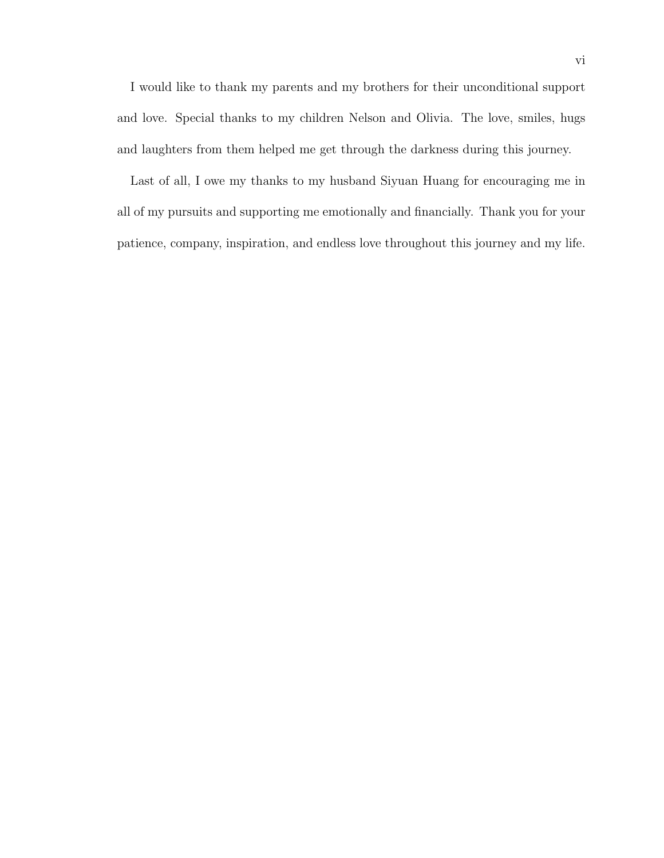I would like to thank my parents and my brothers for their unconditional support and love. Special thanks to my children Nelson and Olivia. The love, smiles, hugs and laughters from them helped me get through the darkness during this journey.

Last of all, I owe my thanks to my husband Siyuan Huang for encouraging me in all of my pursuits and supporting me emotionally and financially. Thank you for your patience, company, inspiration, and endless love throughout this journey and my life.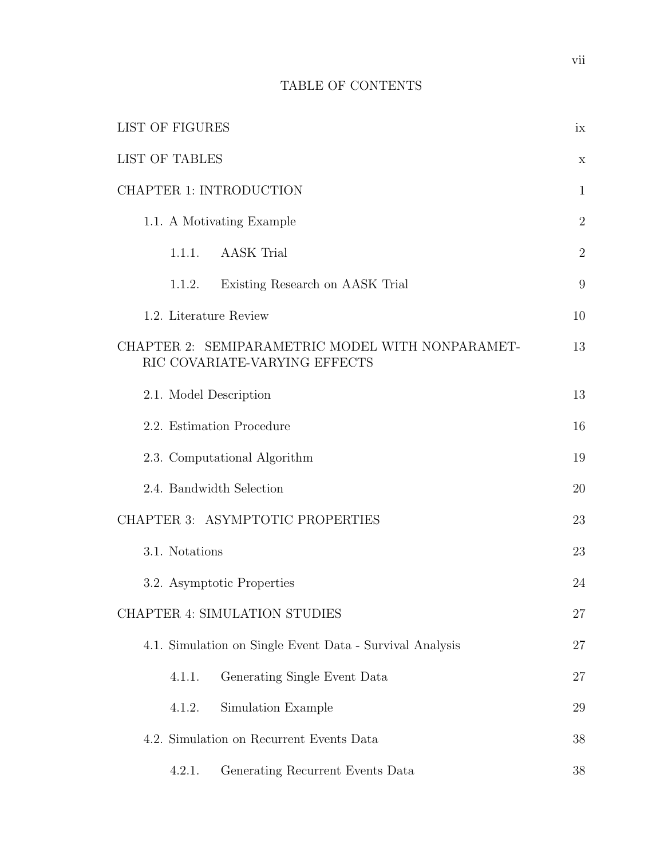# TABLE OF CONTENTS

| <b>LIST OF FIGURES</b>                                                            | ix             |
|-----------------------------------------------------------------------------------|----------------|
| <b>LIST OF TABLES</b>                                                             | X              |
| <b>CHAPTER 1: INTRODUCTION</b>                                                    | $\mathbf{1}$   |
| 1.1. A Motivating Example                                                         | $\overline{2}$ |
| <b>AASK</b> Trial<br>1.1.1.                                                       | $\overline{2}$ |
| 1.1.2.<br>Existing Research on AASK Trial                                         | 9              |
| 1.2. Literature Review                                                            | 10             |
| CHAPTER 2: SEMIPARAMETRIC MODEL WITH NONPARAMET-<br>RIC COVARIATE-VARYING EFFECTS | 13             |
| 2.1. Model Description                                                            | 13             |
| 2.2. Estimation Procedure                                                         | 16             |
| 2.3. Computational Algorithm                                                      | 19             |
| 2.4. Bandwidth Selection                                                          | 20             |
| CHAPTER 3: ASYMPTOTIC PROPERTIES                                                  | 23             |
| 3.1. Notations                                                                    | 23             |
| 3.2. Asymptotic Properties                                                        | 24             |
| CHAPTER 4: SIMULATION STUDIES                                                     | 27             |
| 4.1. Simulation on Single Event Data - Survival Analysis                          | 27             |
| Generating Single Event Data<br>4.1.1.                                            | 27             |
| Simulation Example<br>4.1.2.                                                      | 29             |
| 4.2. Simulation on Recurrent Events Data                                          | 38             |
| Generating Recurrent Events Data<br>4.2.1.                                        | 38             |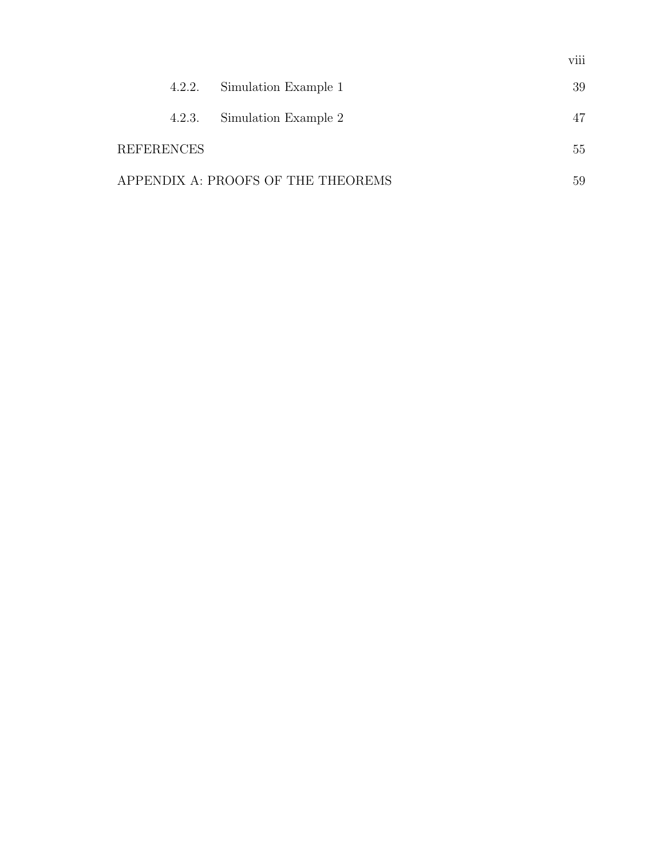|                                    |        |                      | $\cdots$<br>VIII |
|------------------------------------|--------|----------------------|------------------|
|                                    | 4.2.2. | Simulation Example 1 | 39               |
|                                    | 4.2.3. | Simulation Example 2 | 47               |
| <b>REFERENCES</b>                  |        |                      | 55               |
| APPENDIX A: PROOFS OF THE THEOREMS |        |                      | 59               |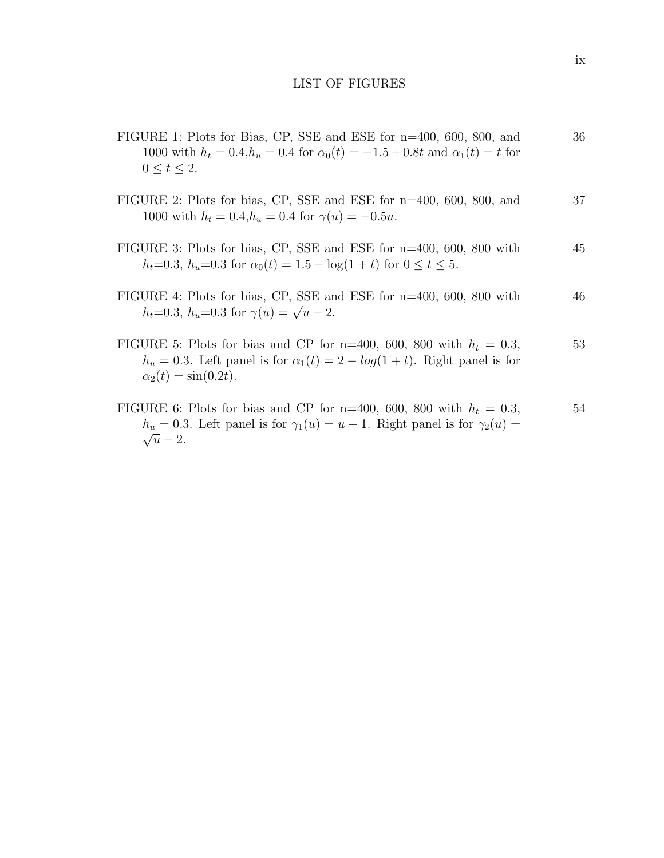## LIST OF FIGURES

- FIGURE 1: Plots for Bias, CP, SSE and ESE for n=400, 600, 800, and 1000 with  $h_t = 0.4, h_u = 0.4$  for  $\alpha_0(t) = -1.5 + 0.8t$  and  $\alpha_1(t) = t$  for  $0 \leq t \leq 2$ . 36
- FIGURE 2: Plots for bias, CP, SSE and ESE for n=400, 600, 800, and 1000 with  $h_t = 0.4, h_u = 0.4$  for  $\gamma(u) = -0.5u$ . 37
- FIGURE 3: Plots for bias, CP, SSE and ESE for n=400, 600, 800 with  $h_t=0.3$ ,  $h_u=0.3$  for  $\alpha_0(t)=1.5-\log(1+t)$  for  $0\leq t\leq 5$ . 45
- FIGURE 4: Plots for bias, CP, SSE and ESE for n=400, 600, 800 with URE 4. 1 lots for plas, C1, SSE and  $h_t = 0.3$ ,  $h_u = 0.3$  for  $\gamma(u) = \sqrt{u} - 2$ . 46
- FIGURE 5: Plots for bias and CP for n=400, 600, 800 with  $h_t = 0.3$ ,  $h_u = 0.3$ . Left panel is for  $\alpha_1(t) = 2 - log(1 + t)$ . Right panel is for  $\alpha_2(t) = \sin(0.2t)$ . 53
- FIGURE 6: Plots for bias and CP for  $n=400$ , 600, 800 with  $h_t = 0.3$ ,  $h_u = 0.3$ . Left panel is for  $\gamma_1(u) = u - 1$ . Right panel is for  $\gamma_2(u) =$  $\sqrt{u}-2$ . 54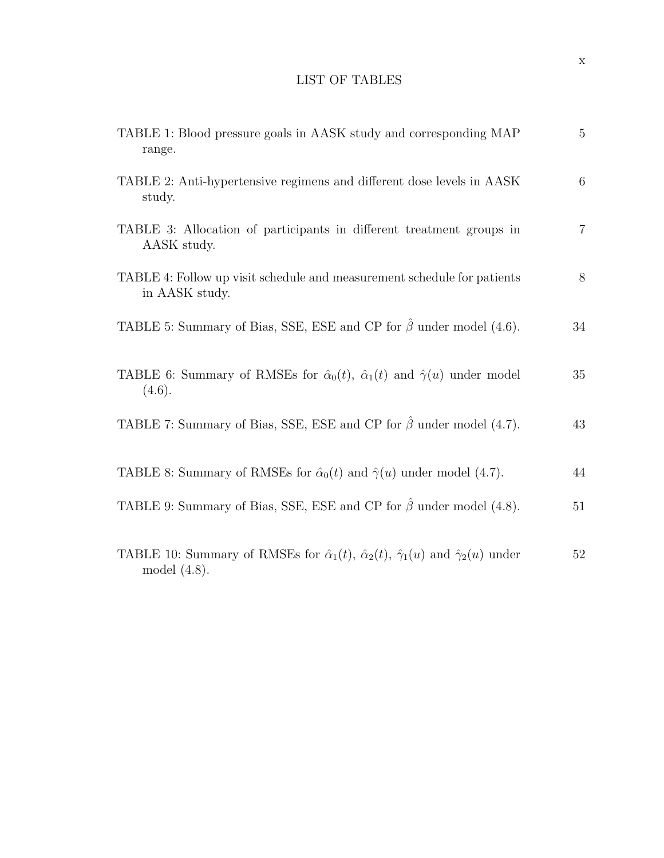# LIST OF TABLES

| TABLE 1: Blood pressure goals in AASK study and corresponding MAP<br>range.                                                                     | $5\overline{)}$ |
|-------------------------------------------------------------------------------------------------------------------------------------------------|-----------------|
| TABLE 2: Anti-hypertensive regimens and different dose levels in AASK<br>study.                                                                 | 6               |
| TABLE 3: Allocation of participants in different treatment groups in<br>AASK study.                                                             | $\overline{7}$  |
| TABLE 4: Follow up visit schedule and measurement schedule for patients<br>in AASK study.                                                       | 8               |
| TABLE 5: Summary of Bias, SSE, ESE and CP for $\hat{\beta}$ under model (4.6).                                                                  | 34              |
| TABLE 6: Summary of RMSEs for $\hat{\alpha}_0(t)$ , $\hat{\alpha}_1(t)$ and $\hat{\gamma}(u)$ under model<br>(4.6).                             | 35              |
| TABLE 7: Summary of Bias, SSE, ESE and CP for $\hat{\beta}$ under model (4.7).                                                                  | 43              |
| TABLE 8: Summary of RMSEs for $\hat{\alpha}_0(t)$ and $\hat{\gamma}(u)$ under model (4.7).                                                      | 44              |
| TABLE 9: Summary of Bias, SSE, ESE and CP for $\hat{\beta}$ under model (4.8).                                                                  | 51              |
| TABLE 10: Summary of RMSEs for $\hat{\alpha}_1(t)$ , $\hat{\alpha}_2(t)$ , $\hat{\gamma}_1(u)$ and $\hat{\gamma}_2(u)$ under<br>model $(4.8)$ . | 52              |

x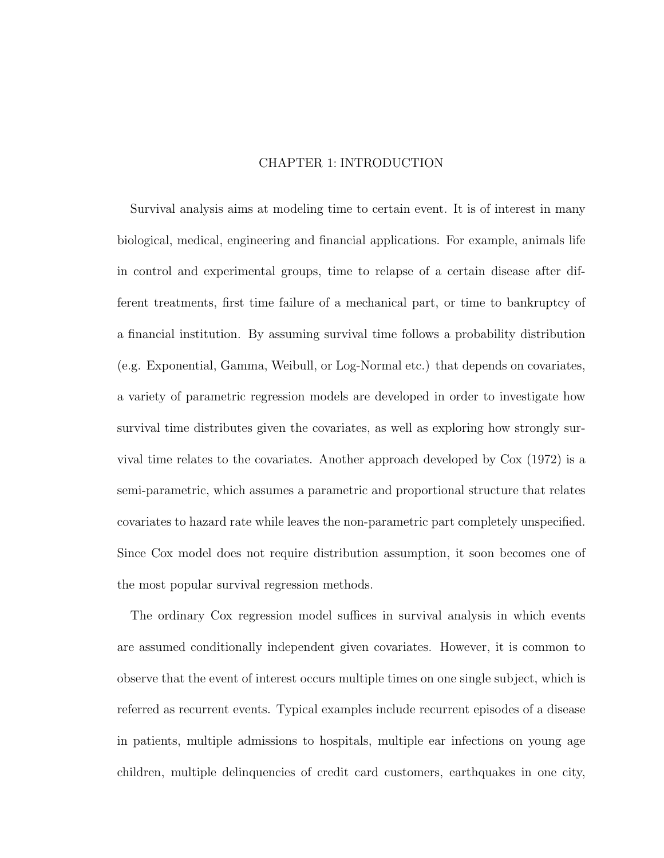## CHAPTER 1: INTRODUCTION

Survival analysis aims at modeling time to certain event. It is of interest in many biological, medical, engineering and financial applications. For example, animals life in control and experimental groups, time to relapse of a certain disease after different treatments, first time failure of a mechanical part, or time to bankruptcy of a financial institution. By assuming survival time follows a probability distribution (e.g. Exponential, Gamma, Weibull, or Log-Normal etc.) that depends on covariates, a variety of parametric regression models are developed in order to investigate how survival time distributes given the covariates, as well as exploring how strongly survival time relates to the covariates. Another approach developed by Cox (1972) is a semi-parametric, which assumes a parametric and proportional structure that relates covariates to hazard rate while leaves the non-parametric part completely unspecified. Since Cox model does not require distribution assumption, it soon becomes one of the most popular survival regression methods.

The ordinary Cox regression model suffices in survival analysis in which events are assumed conditionally independent given covariates. However, it is common to observe that the event of interest occurs multiple times on one single subject, which is referred as recurrent events. Typical examples include recurrent episodes of a disease in patients, multiple admissions to hospitals, multiple ear infections on young age children, multiple delinquencies of credit card customers, earthquakes in one city,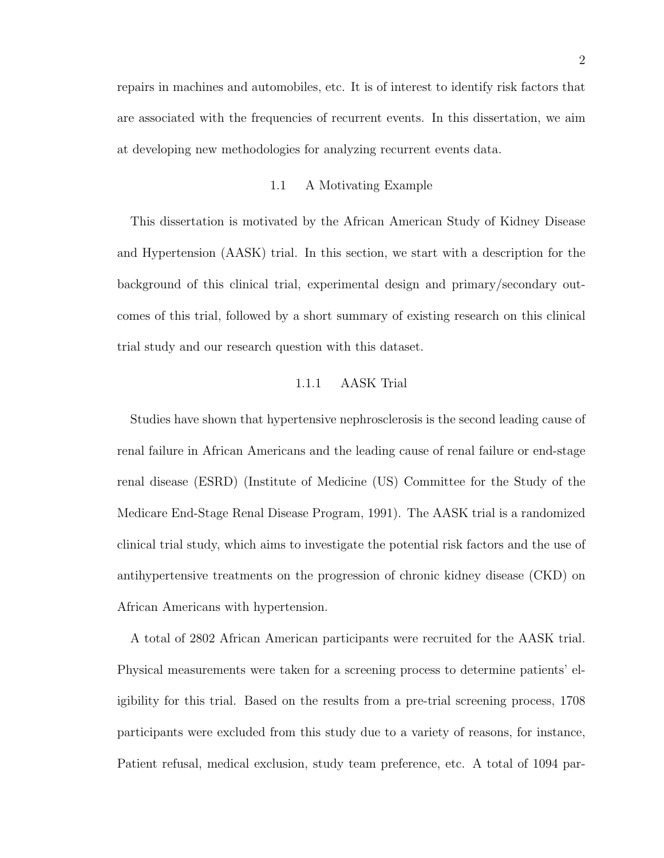repairs in machines and automobiles, etc. It is of interest to identify risk factors that are associated with the frequencies of recurrent events. In this dissertation, we aim at developing new methodologies for analyzing recurrent events data.

## 1.1 A Motivating Example

This dissertation is motivated by the African American Study of Kidney Disease and Hypertension (AASK) trial. In this section, we start with a description for the background of this clinical trial, experimental design and primary/secondary outcomes of this trial, followed by a short summary of existing research on this clinical trial study and our research question with this dataset.

## 1.1.1 AASK Trial

Studies have shown that hypertensive nephrosclerosis is the second leading cause of renal failure in African Americans and the leading cause of renal failure or end-stage renal disease (ESRD) (Institute of Medicine (US) Committee for the Study of the Medicare End-Stage Renal Disease Program, 1991). The AASK trial is a randomized clinical trial study, which aims to investigate the potential risk factors and the use of antihypertensive treatments on the progression of chronic kidney disease (CKD) on African Americans with hypertension.

A total of 2802 African American participants were recruited for the AASK trial. Physical measurements were taken for a screening process to determine patients' eligibility for this trial. Based on the results from a pre-trial screening process, 1708 participants were excluded from this study due to a variety of reasons, for instance, Patient refusal, medical exclusion, study team preference, etc. A total of 1094 par-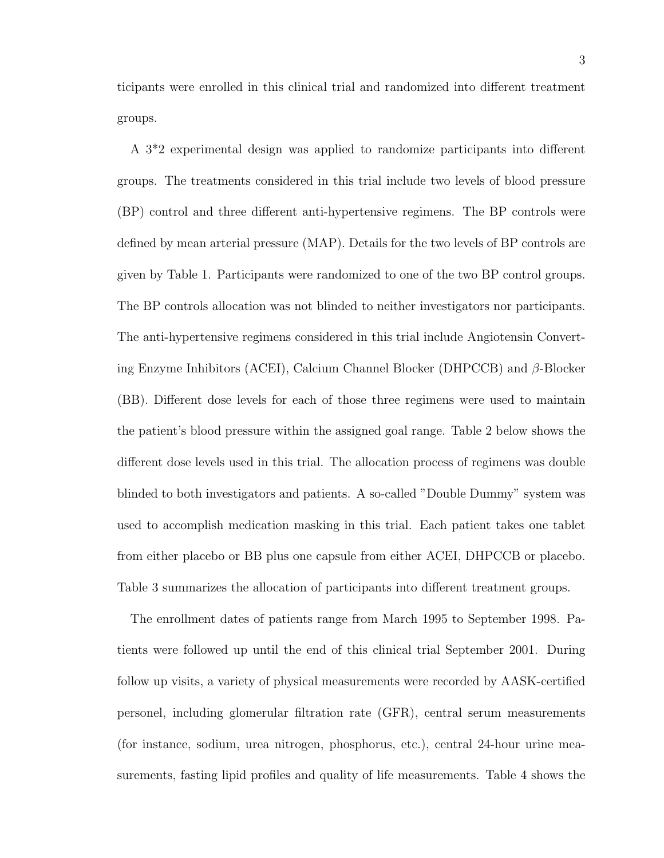ticipants were enrolled in this clinical trial and randomized into different treatment groups.

A 3\*2 experimental design was applied to randomize participants into different groups. The treatments considered in this trial include two levels of blood pressure (BP) control and three different anti-hypertensive regimens. The BP controls were defined by mean arterial pressure (MAP). Details for the two levels of BP controls are given by Table 1. Participants were randomized to one of the two BP control groups. The BP controls allocation was not blinded to neither investigators nor participants. The anti-hypertensive regimens considered in this trial include Angiotensin Converting Enzyme Inhibitors (ACEI), Calcium Channel Blocker (DHPCCB) and  $\beta$ -Blocker (BB). Different dose levels for each of those three regimens were used to maintain the patient's blood pressure within the assigned goal range. Table 2 below shows the different dose levels used in this trial. The allocation process of regimens was double blinded to both investigators and patients. A so-called "Double Dummy" system was used to accomplish medication masking in this trial. Each patient takes one tablet from either placebo or BB plus one capsule from either ACEI, DHPCCB or placebo. Table 3 summarizes the allocation of participants into different treatment groups.

The enrollment dates of patients range from March 1995 to September 1998. Patients were followed up until the end of this clinical trial September 2001. During follow up visits, a variety of physical measurements were recorded by AASK-certified personel, including glomerular filtration rate (GFR), central serum measurements (for instance, sodium, urea nitrogen, phosphorus, etc.), central 24-hour urine measurements, fasting lipid profiles and quality of life measurements. Table 4 shows the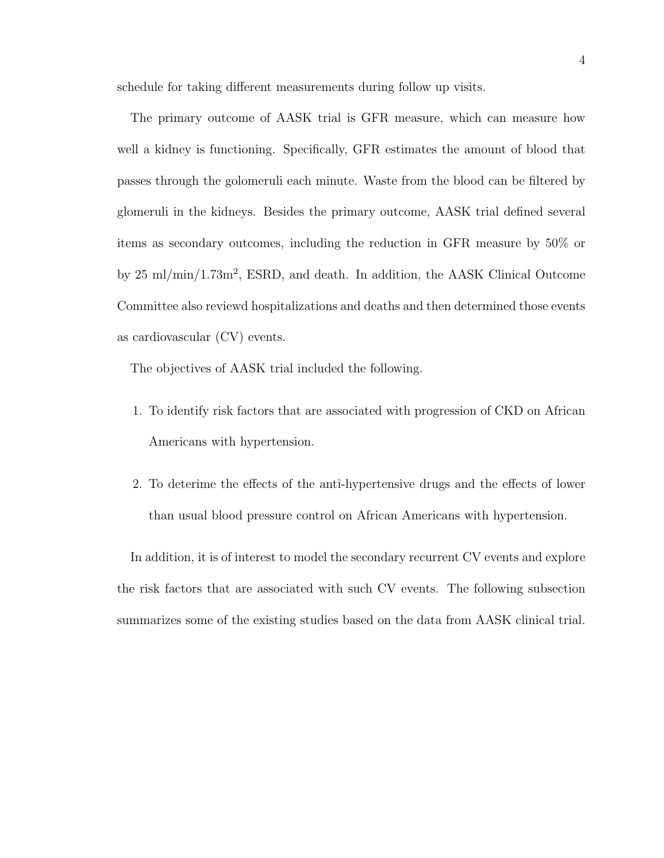schedule for taking different measurements during follow up visits.

The primary outcome of AASK trial is GFR measure, which can measure how well a kidney is functioning. Specifically, GFR estimates the amount of blood that passes through the golomeruli each minute. Waste from the blood can be filtered by glomeruli in the kidneys. Besides the primary outcome, AASK trial defined several items as secondary outcomes, including the reduction in GFR measure by 50% or by 25 ml/min/1.73m<sup>2</sup> , ESRD, and death. In addition, the AASK Clinical Outcome Committee also reviewd hospitalizations and deaths and then determined those events as cardiovascular (CV) events.

The objectives of AASK trial included the following.

- 1. To identify risk factors that are associated with progression of CKD on African Americans with hypertension.
- 2. To deterime the effects of the anti-hypertensive drugs and the effects of lower than usual blood pressure control on African Americans with hypertension.

In addition, it is of interest to model the secondary recurrent CV events and explore the risk factors that are associated with such CV events. The following subsection summarizes some of the existing studies based on the data from AASK clinical trial.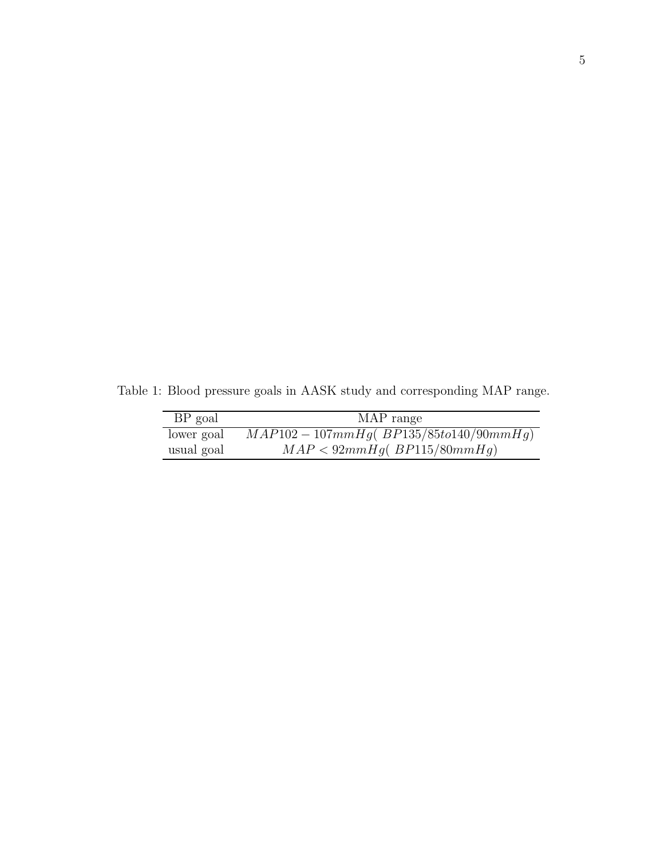Table 1: Blood pressure goals in AASK study and corresponding MAP range.

| BP goal    | MAP range                                   |
|------------|---------------------------------------------|
| lower goal | $MAP102 - 107mmHg( BP135/85 to 140/90mmHg)$ |
| usual goal | MAP < 92mmHg(BP115/80mmHg)                  |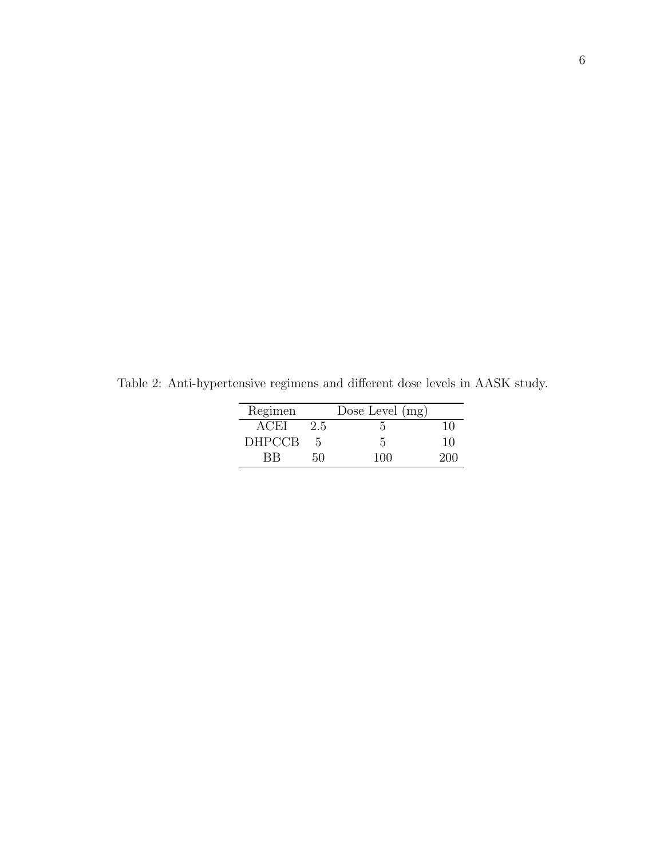$\begin{tabular}{ll} \hline \textbf{Regimen} & \textbf{Dose Level (mg)}\\ \hline ACEI & 2.5 & 5 \\ \hline DHPCCB & 5 & 5 \\ \hline \end{tabular}$ ACEI 2.5 5 10<br>
HPCCB 5 5 10  $\begin{tabular}{lcccccc} DHPCCB & 5 & & 5 & & 10 \\ & BB & 50 & & 100 & & 200 \end{tabular}$  $\quad 100\quad 200$ 

Table 2: Anti-hypertensive regimens and different dose levels in AASK study.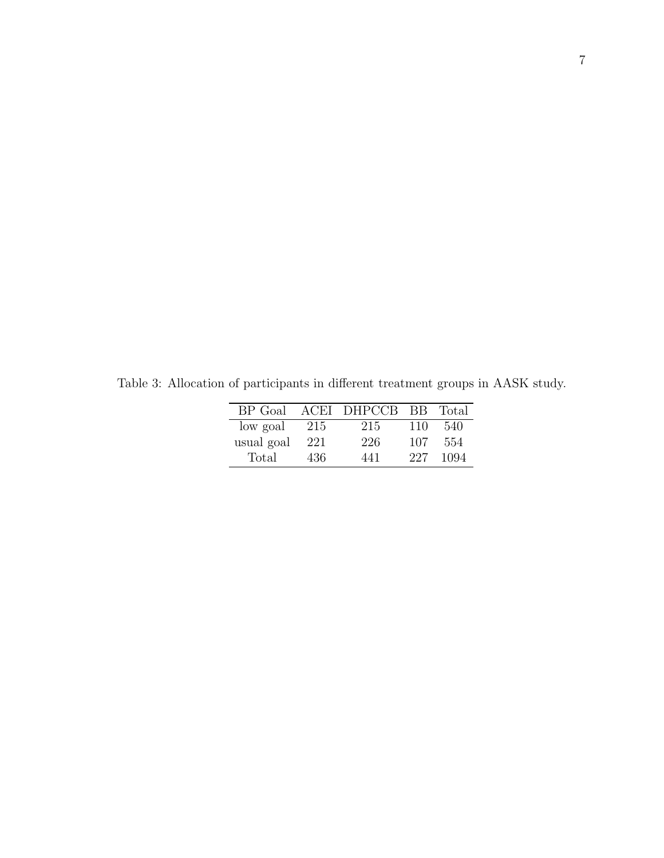| BP Goal    |     | ACEI DHPCCB BB Total |     |      |
|------------|-----|----------------------|-----|------|
| low goal   | 215 | 215                  | 110 | 540  |
| usual goal | 221 | 226                  | 107 | 554  |
| Total      | 436 | 441                  | 227 | 1094 |

Table 3: Allocation of participants in different treatment groups in AASK study.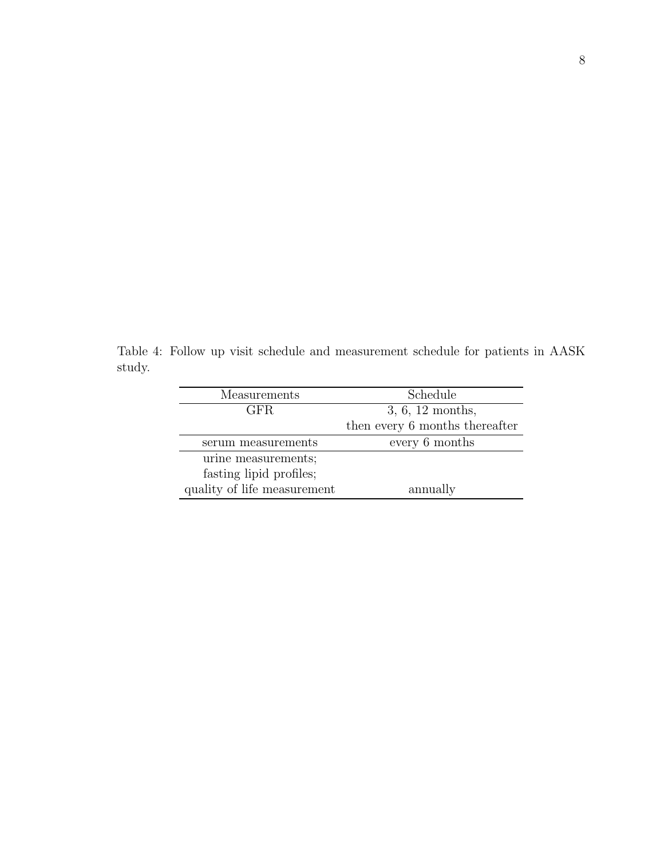Table 4: Follow up visit schedule and measurement schedule for patients in AASK study.

| Measurements                | Schedule                       |
|-----------------------------|--------------------------------|
| GFR.                        | $3, 6, 12$ months,             |
|                             | then every 6 months thereafter |
| serum measurements          | every 6 months                 |
| urine measurements;         |                                |
| fasting lipid profiles;     |                                |
| quality of life measurement | annually                       |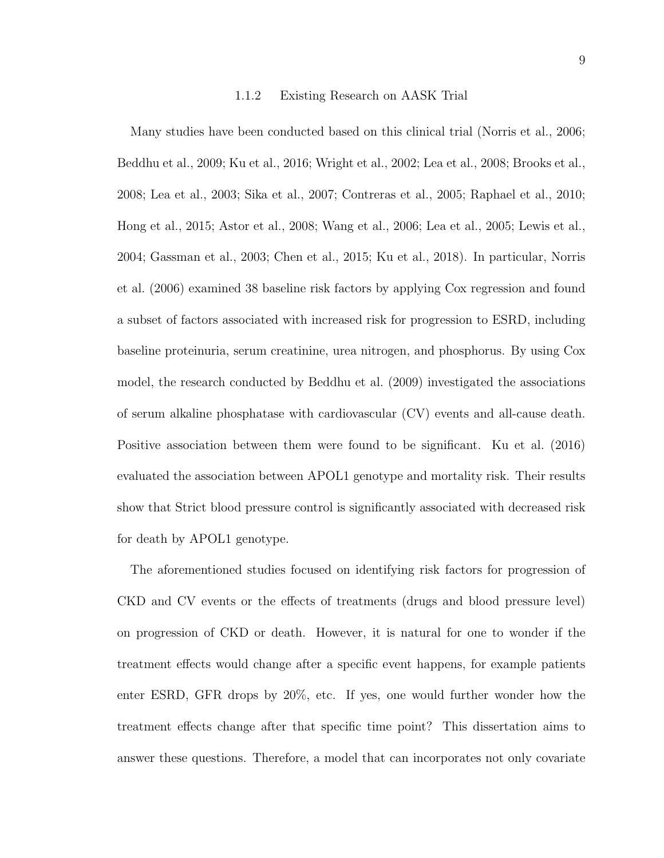#### 1.1.2 Existing Research on AASK Trial

Many studies have been conducted based on this clinical trial (Norris et al., 2006; Beddhu et al., 2009; Ku et al., 2016; Wright et al., 2002; Lea et al., 2008; Brooks et al., 2008; Lea et al., 2003; Sika et al., 2007; Contreras et al., 2005; Raphael et al., 2010; Hong et al., 2015; Astor et al., 2008; Wang et al., 2006; Lea et al., 2005; Lewis et al., 2004; Gassman et al., 2003; Chen et al., 2015; Ku et al., 2018). In particular, Norris et al. (2006) examined 38 baseline risk factors by applying Cox regression and found a subset of factors associated with increased risk for progression to ESRD, including baseline proteinuria, serum creatinine, urea nitrogen, and phosphorus. By using Cox model, the research conducted by Beddhu et al. (2009) investigated the associations of serum alkaline phosphatase with cardiovascular (CV) events and all-cause death. Positive association between them were found to be significant. Ku et al. (2016) evaluated the association between APOL1 genotype and mortality risk. Their results show that Strict blood pressure control is significantly associated with decreased risk for death by APOL1 genotype.

The aforementioned studies focused on identifying risk factors for progression of CKD and CV events or the effects of treatments (drugs and blood pressure level) on progression of CKD or death. However, it is natural for one to wonder if the treatment effects would change after a specific event happens, for example patients enter ESRD, GFR drops by 20%, etc. If yes, one would further wonder how the treatment effects change after that specific time point? This dissertation aims to answer these questions. Therefore, a model that can incorporates not only covariate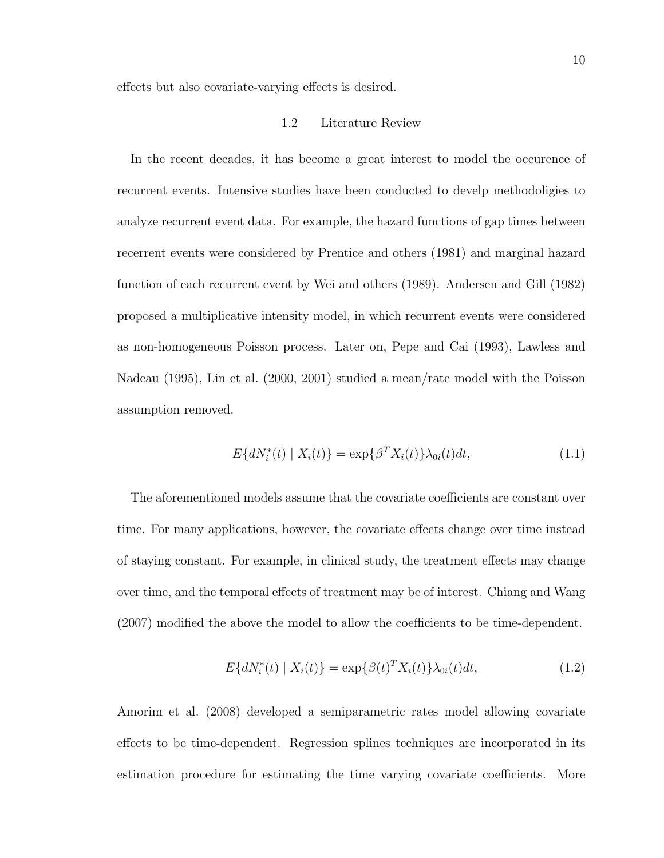effects but also covariate-varying effects is desired.

### 1.2 Literature Review

In the recent decades, it has become a great interest to model the occurence of recurrent events. Intensive studies have been conducted to develp methodoligies to analyze recurrent event data. For example, the hazard functions of gap times between recerrent events were considered by Prentice and others (1981) and marginal hazard function of each recurrent event by Wei and others (1989). Andersen and Gill (1982) proposed a multiplicative intensity model, in which recurrent events were considered as non-homogeneous Poisson process. Later on, Pepe and Cai (1993), Lawless and Nadeau (1995), Lin et al. (2000, 2001) studied a mean/rate model with the Poisson assumption removed.

$$
E\{dN_i^*(t) | X_i(t)\} = \exp\{\beta^T X_i(t)\}\lambda_{0i}(t)dt,
$$
\n(1.1)

The aforementioned models assume that the covariate coefficients are constant over time. For many applications, however, the covariate effects change over time instead of staying constant. For example, in clinical study, the treatment effects may change over time, and the temporal effects of treatment may be of interest. Chiang and Wang (2007) modified the above the model to allow the coefficients to be time-dependent.

$$
E\{dN_i^*(t) | X_i(t)\} = \exp\{\beta(t)^T X_i(t)\}\lambda_{0i}(t)dt,
$$
\n(1.2)

Amorim et al. (2008) developed a semiparametric rates model allowing covariate effects to be time-dependent. Regression splines techniques are incorporated in its estimation procedure for estimating the time varying covariate coefficients. More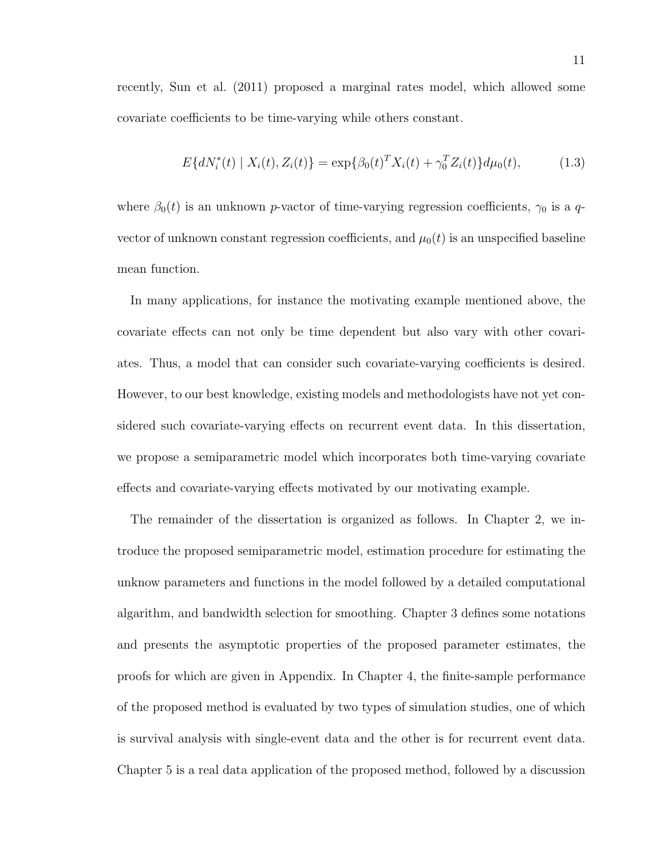recently, Sun et al. (2011) proposed a marginal rates model, which allowed some covariate coefficients to be time-varying while others constant.

$$
E\{dN_i^*(t) | X_i(t), Z_i(t)\} = \exp\{\beta_0(t)^T X_i(t) + \gamma_0^T Z_i(t)\} d\mu_0(t),
$$
\n(1.3)

where  $\beta_0(t)$  is an unknown *p*-vactor of time-varying regression coefficients,  $\gamma_0$  is a  $q$ vector of unknown constant regression coefficients, and  $\mu_0(t)$  is an unspecified baseline mean function.

In many applications, for instance the motivating example mentioned above, the covariate effects can not only be time dependent but also vary with other covariates. Thus, a model that can consider such covariate-varying coefficients is desired. However, to our best knowledge, existing models and methodologists have not yet considered such covariate-varying effects on recurrent event data. In this dissertation, we propose a semiparametric model which incorporates both time-varying covariate effects and covariate-varying effects motivated by our motivating example.

The remainder of the dissertation is organized as follows. In Chapter 2, we introduce the proposed semiparametric model, estimation procedure for estimating the unknow parameters and functions in the model followed by a detailed computational algarithm, and bandwidth selection for smoothing. Chapter 3 defines some notations and presents the asymptotic properties of the proposed parameter estimates, the proofs for which are given in Appendix. In Chapter 4, the finite-sample performance of the proposed method is evaluated by two types of simulation studies, one of which is survival analysis with single-event data and the other is for recurrent event data. Chapter 5 is a real data application of the proposed method, followed by a discussion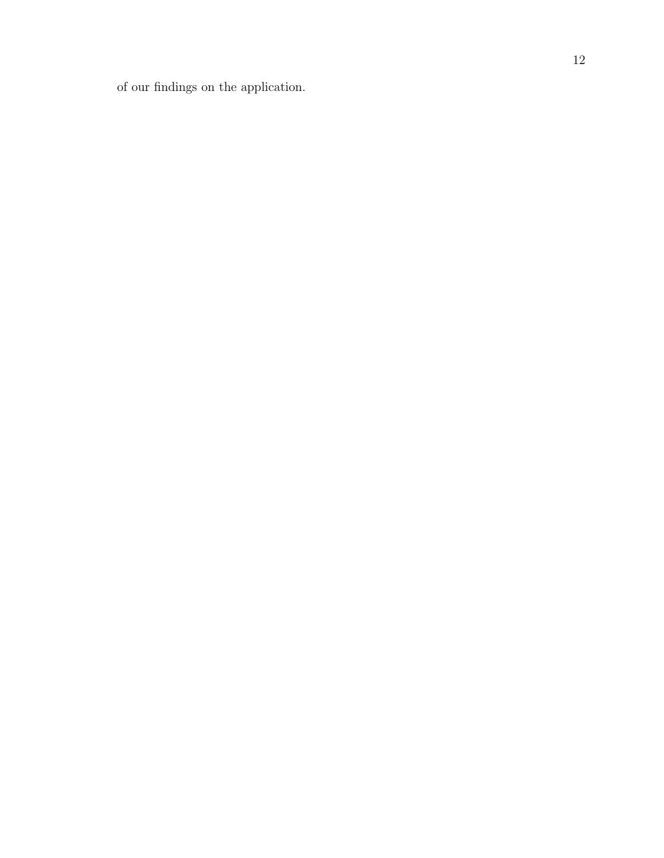of our findings on the application.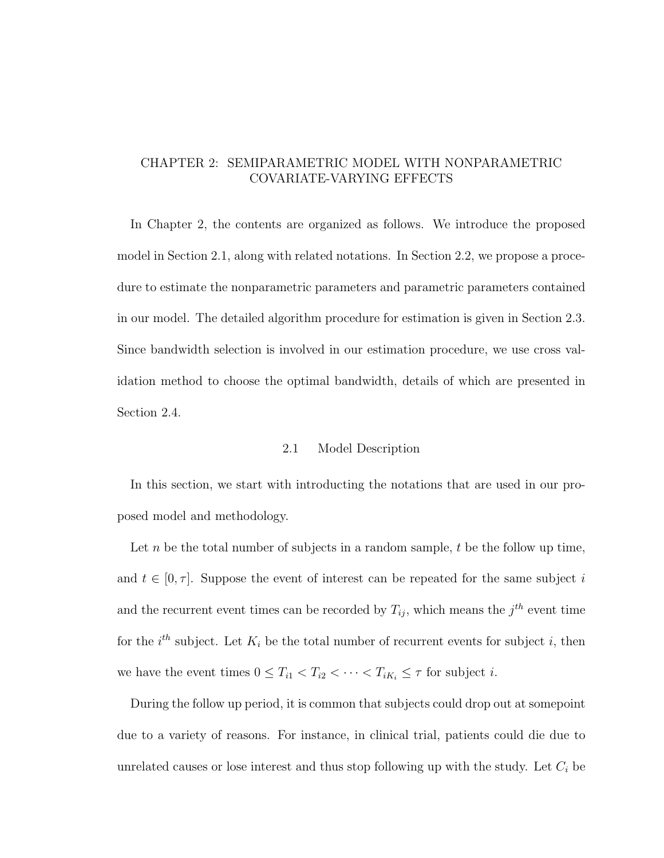# CHAPTER 2: SEMIPARAMETRIC MODEL WITH NONPARAMETRIC COVARIATE-VARYING EFFECTS

In Chapter 2, the contents are organized as follows. We introduce the proposed model in Section 2.1, along with related notations. In Section 2.2, we propose a procedure to estimate the nonparametric parameters and parametric parameters contained in our model. The detailed algorithm procedure for estimation is given in Section 2.3. Since bandwidth selection is involved in our estimation procedure, we use cross validation method to choose the optimal bandwidth, details of which are presented in Section 2.4.

## 2.1 Model Description

In this section, we start with introducting the notations that are used in our proposed model and methodology.

Let n be the total number of subjects in a random sample,  $t$  be the follow up time, and  $t \in [0, \tau]$ . Suppose the event of interest can be repeated for the same subject i and the recurrent event times can be recorded by  $T_{ij}$ , which means the  $j^{th}$  event time for the  $i^{th}$  subject. Let  $K_i$  be the total number of recurrent events for subject i, then we have the event times  $0 \leq T_{i1} < T_{i2} < \cdots < T_{iK_i} \leq \tau$  for subject *i*.

During the follow up period, it is common that subjects could drop out at somepoint due to a variety of reasons. For instance, in clinical trial, patients could die due to unrelated causes or lose interest and thus stop following up with the study. Let  $C_i$  be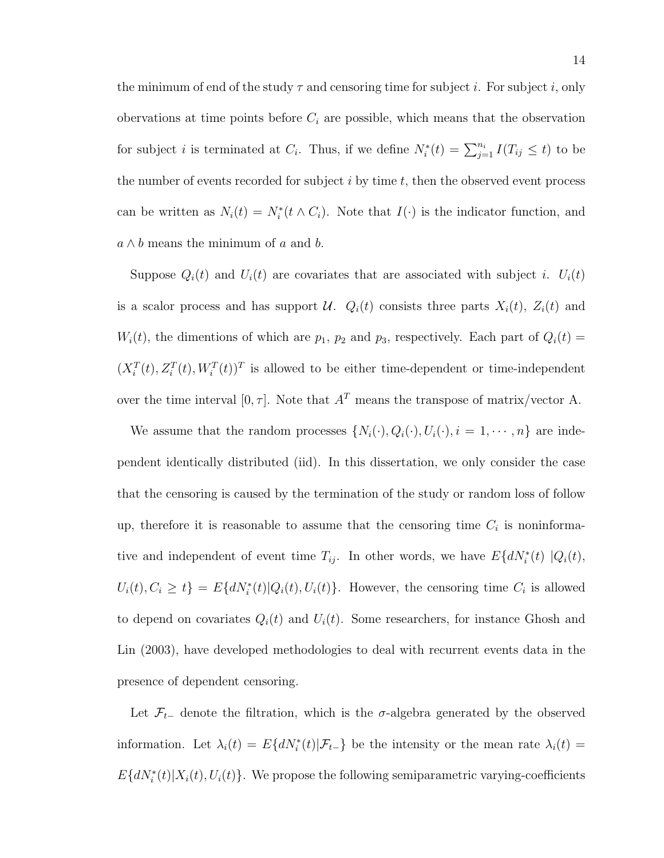the minimum of end of the study  $\tau$  and censoring time for subject i. For subject i, only obervations at time points before  $C_i$  are possible, which means that the observation for subject *i* is terminated at  $C_i$ . Thus, if we define  $N_i^*(t) = \sum_{j=1}^{n_i} I(T_{ij} \leq t)$  to be the number of events recorded for subject  $i$  by time  $t$ , then the observed event process can be written as  $N_i(t) = N_i^*(t \wedge C_i)$ . Note that  $I(\cdot)$  is the indicator function, and  $a \wedge b$  means the minimum of a and b.

Suppose  $Q_i(t)$  and  $U_i(t)$  are covariates that are associated with subject i.  $U_i(t)$ is a scalor process and has support U.  $Q_i(t)$  consists three parts  $X_i(t)$ ,  $Z_i(t)$  and  $W_i(t)$ , the dimentions of which are  $p_1$ ,  $p_2$  and  $p_3$ , respectively. Each part of  $Q_i(t)$  =  $(X_i^T(t), Z_i^T(t), W_i^T(t))^T$  is allowed to be either time-dependent or time-independent over the time interval  $[0, \tau]$ . Note that  $A<sup>T</sup>$  means the transpose of matrix/vector A.

We assume that the random processes  $\{N_i(\cdot), Q_i(\cdot), U_i(\cdot), i = 1, \cdots, n\}$  are independent identically distributed (iid). In this dissertation, we only consider the case that the censoring is caused by the termination of the study or random loss of follow up, therefore it is reasonable to assume that the censoring time  $C_i$  is noninformative and independent of event time  $T_{ij}$ . In other words, we have  $E\{dN_i^*(t) | Q_i(t),\}$  $U_i(t), C_i \geq t$  =  $E\{dN_i^*(t)|Q_i(t), U_i(t)\}$ . However, the censoring time  $C_i$  is allowed to depend on covariates  $Q_i(t)$  and  $U_i(t)$ . Some researchers, for instance Ghosh and Lin (2003), have developed methodologies to deal with recurrent events data in the presence of dependent censoring.

Let  $\mathcal{F}_{t-}$  denote the filtration, which is the  $\sigma$ -algebra generated by the observed information. Let  $\lambda_i(t) = E\{dN_i^*(t)|\mathcal{F}_{t-}\}\$ be the intensity or the mean rate  $\lambda_i(t) =$  $E\{dN_i^*(t)|X_i(t), U_i(t)\}$ . We propose the following semiparametric varying-coefficients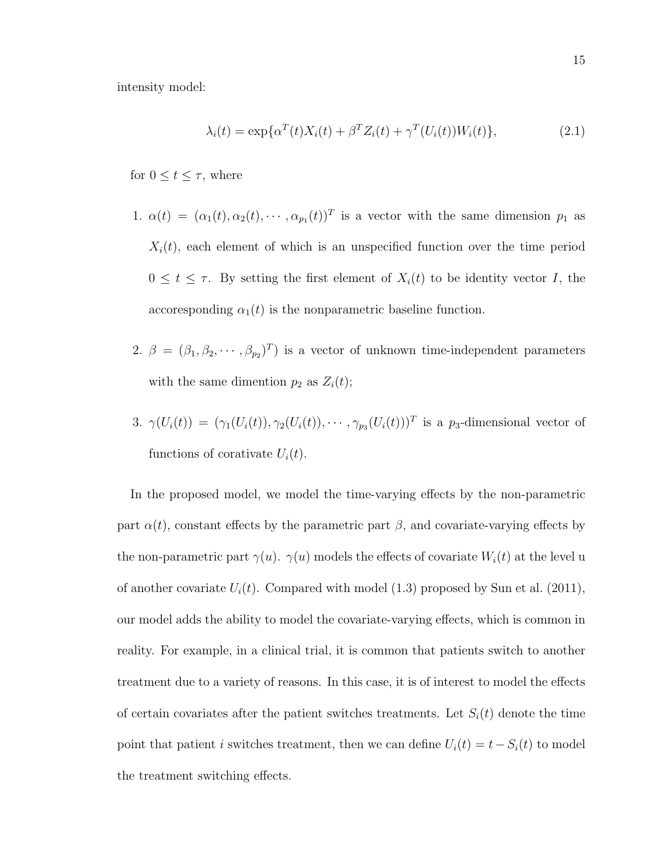intensity model:

$$
\lambda_i(t) = \exp\{\alpha^T(t)X_i(t) + \beta^T Z_i(t) + \gamma^T (U_i(t))W_i(t)\},\tag{2.1}
$$

for  $0 \le t \le \tau$ , where

- 1.  $\alpha(t) = (\alpha_1(t), \alpha_2(t), \cdots, \alpha_{p_1}(t))^T$  is a vector with the same dimension  $p_1$  as  $X_i(t)$ , each element of which is an unspecified function over the time period  $0 \leq t \leq \tau$ . By setting the first element of  $X_i(t)$  to be identity vector I, the accoresponding  $\alpha_1(t)$  is the nonparametric baseline function.
- 2.  $\beta = (\beta_1, \beta_2, \cdots, \beta_{p_2})^T$  is a vector of unknown time-independent parameters with the same dimention  $p_2$  as  $Z_i(t)$ ;
- 3.  $\gamma(U_i(t)) = (\gamma_1(U_i(t)), \gamma_2(U_i(t)), \cdots, \gamma_{p_3}(U_i(t)))^T$  is a  $p_3$ -dimensional vector of functions of corativate  $U_i(t)$ .

In the proposed model, we model the time-varying effects by the non-parametric part  $\alpha(t)$ , constant effects by the parametric part  $\beta$ , and covariate-varying effects by the non-parametric part  $\gamma(u)$ .  $\gamma(u)$  models the effects of covariate  $W_i(t)$  at the level u of another covariate  $U_i(t)$ . Compared with model (1.3) proposed by Sun et al. (2011), our model adds the ability to model the covariate-varying effects, which is common in reality. For example, in a clinical trial, it is common that patients switch to another treatment due to a variety of reasons. In this case, it is of interest to model the effects of certain covariates after the patient switches treatments. Let  $S_i(t)$  denote the time point that patient *i* switches treatment, then we can define  $U_i(t) = t - S_i(t)$  to model the treatment switching effects.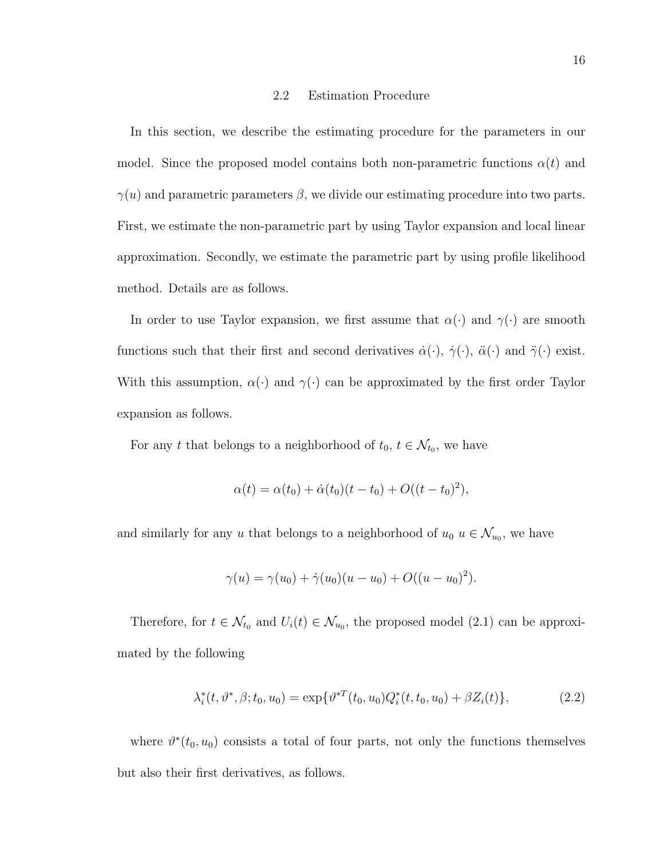### 2.2 Estimation Procedure

In this section, we describe the estimating procedure for the parameters in our model. Since the proposed model contains both non-parametric functions  $\alpha(t)$  and  $\gamma(u)$  and parametric parameters  $\beta$ , we divide our estimating procedure into two parts. First, we estimate the non-parametric part by using Taylor expansion and local linear approximation. Secondly, we estimate the parametric part by using profile likelihood method. Details are as follows.

In order to use Taylor expansion, we first assume that  $\alpha(\cdot)$  and  $\gamma(\cdot)$  are smooth functions such that their first and second derivatives  $\dot{\alpha}(\cdot), \dot{\gamma}(\cdot), \ddot{\alpha}(\cdot)$  and  $\ddot{\gamma}(\cdot)$  exist. With this assumption,  $\alpha(\cdot)$  and  $\gamma(\cdot)$  can be approximated by the first order Taylor expansion as follows.

For any t that belongs to a neighborhood of  $t_0, t \in \mathcal{N}_{t_0}$ , we have

$$
\alpha(t) = \alpha(t_0) + \dot{\alpha}(t_0)(t - t_0) + O((t - t_0)^2),
$$

and similarly for any u that belongs to a neighborhood of  $u_0$   $u \in \mathcal{N}_{u_0}$ , we have

$$
\gamma(u) = \gamma(u_0) + \dot{\gamma}(u_0)(u - u_0) + O((u - u_0)^2).
$$

Therefore, for  $t \in \mathcal{N}_{t_0}$  and  $U_i(t) \in \mathcal{N}_{u_0}$ , the proposed model (2.1) can be approximated by the following

$$
\lambda_i^*(t, \vartheta^*, \beta; t_0, u_0) = \exp\{\vartheta^{*T}(t_0, u_0) Q_i^*(t, t_0, u_0) + \beta Z_i(t)\},\tag{2.2}
$$

where  $\vartheta^*(t_0, u_0)$  consists a total of four parts, not only the functions themselves but also their first derivatives, as follows.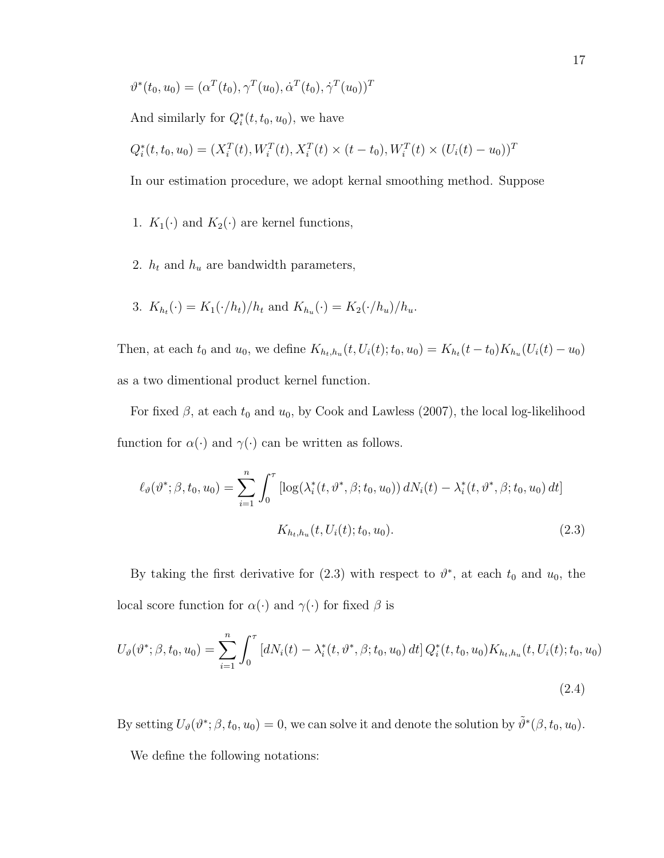$$
\vartheta^*(t_0, u_0) = (\alpha^T(t_0), \gamma^T(u_0), \dot{\alpha}^T(t_0), \dot{\gamma}^T(u_0))^T
$$

And similarly for  $Q_i^*(t, t_0, u_0)$ , we have

$$
Q_i^*(t, t_0, u_0) = (X_i^T(t), W_i^T(t), X_i^T(t) \times (t - t_0), W_i^T(t) \times (U_i(t) - u_0))^T
$$

In our estimation procedure, we adopt kernal smoothing method. Suppose

- 1.  $K_1(\cdot)$  and  $K_2(\cdot)$  are kernel functions,
- 2.  $h_t$  and  $h_u$  are bandwidth parameters,

3. 
$$
K_{h_t}(\cdot) = K_1(\cdot/h_t)/h_t
$$
 and  $K_{h_u}(\cdot) = K_2(\cdot/h_u)/h_u$ .

Then, at each  $t_0$  and  $u_0$ , we define  $K_{h_t,h_u}(t, U_i(t); t_0, u_0) = K_{h_t}(t-t_0)K_{h_u}(U_i(t) - u_0)$ as a two dimentional product kernel function.

For fixed  $\beta$ , at each  $t_0$  and  $u_0$ , by Cook and Lawless (2007), the local log-likelihood function for  $\alpha(\cdot)$  and  $\gamma(\cdot)$  can be written as follows.

$$
\ell_{\vartheta}(\vartheta^*; \beta, t_0, u_0) = \sum_{i=1}^n \int_0^\tau \left[ \log(\lambda_i^*(t, \vartheta^*, \beta; t_0, u_0)) dN_i(t) - \lambda_i^*(t, \vartheta^*, \beta; t_0, u_0) dt \right]
$$
  

$$
K_{h_t, h_u}(t, U_i(t); t_0, u_0).
$$
 (2.3)

By taking the first derivative for (2.3) with respect to  $\vartheta^*$ , at each  $t_0$  and  $u_0$ , the local score function for  $\alpha(\cdot)$  and  $\gamma(\cdot)$  for fixed  $\beta$  is

$$
U_{\vartheta}(\vartheta^*; \beta, t_0, u_0) = \sum_{i=1}^n \int_0^\tau \left[ dN_i(t) - \lambda_i^*(t, \vartheta^*, \beta; t_0, u_0) \, dt \right] Q_i^*(t, t_0, u_0) K_{h_t, h_u}(t, U_i(t); t_0, u_0)
$$
\n
$$
\tag{2.4}
$$

By setting  $U_{\vartheta}(\vartheta^*; \beta, t_0, u_0) = 0$ , we can solve it and denote the solution by  $\tilde{\vartheta}^*(\beta, t_0, u_0)$ . We define the following notations: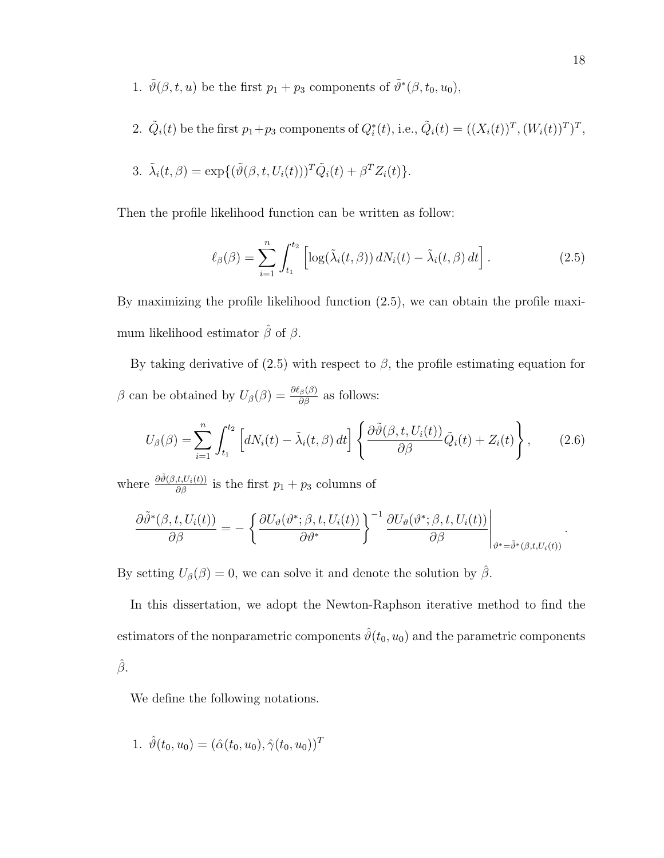- 1.  $\tilde{\vartheta}(\beta, t, u)$  be the first  $p_1 + p_3$  components of  $\tilde{\vartheta}^*(\beta, t_0, u_0)$ ,
- 2.  $\tilde{Q}_i(t)$  be the first  $p_1+p_3$  components of  $Q_i^*(t)$ , i.e.,  $\tilde{Q}_i(t) = ((X_i(t))^T, (W_i(t))^T)^T$ ,

3. 
$$
\tilde{\lambda}_i(t,\beta) = \exp\{(\tilde{\vartheta}(\beta,t,U_i(t)))^T \tilde{Q}_i(t) + \beta^T Z_i(t)\}.
$$

Then the profile likelihood function can be written as follow:

$$
\ell_{\beta}(\beta) = \sum_{i=1}^{n} \int_{t_1}^{t_2} \left[ \log(\tilde{\lambda}_i(t,\beta)) dN_i(t) - \tilde{\lambda}_i(t,\beta) dt \right]. \tag{2.5}
$$

By maximizing the profile likelihood function (2.5), we can obtain the profile maximum likelihood estimator  $\hat{\beta}$  of  $\beta$ .

By taking derivative of (2.5) with respect to  $\beta$ , the profile estimating equation for β can be obtained by  $U_\beta(\beta) = \frac{\partial \ell_\beta(\beta)}{\partial \beta}$  as follows:

$$
U_{\beta}(\beta) = \sum_{i=1}^{n} \int_{t_1}^{t_2} \left[ dN_i(t) - \tilde{\lambda}_i(t,\beta) dt \right] \left\{ \frac{\partial \tilde{\vartheta}(\beta,t,U_i(t))}{\partial \beta} \tilde{Q}_i(t) + Z_i(t) \right\},\qquad(2.6)
$$

where  $\frac{\partial \tilde{\theta}(\beta,t,U_i(t))}{\partial \beta}$  is the first  $p_1 + p_3$  columns of

$$
\frac{\partial \tilde{\vartheta}^*(\beta, t, U_i(t))}{\partial \beta} = -\left\{ \frac{\partial U_{\vartheta}(\vartheta^*; \beta, t, U_i(t))}{\partial \vartheta^*} \right\}^{-1} \frac{\partial U_{\vartheta}(\vartheta^*; \beta, t, U_i(t))}{\partial \beta} \Bigg|_{\vartheta^* = \tilde{\vartheta}^*(\beta, t, U_i(t))}
$$

By setting  $U_{\beta}(\beta) = 0$ , we can solve it and denote the solution by  $\hat{\beta}$ .

In this dissertation, we adopt the Newton-Raphson iterative method to find the estimators of the nonparametric components  $\hat{\vartheta}(t_0, u_0)$  and the parametric components  $\hat{\beta}$ .

We define the following notations.

1. 
$$
\hat{\vartheta}(t_0, u_0) = (\hat{\alpha}(t_0, u_0), \hat{\gamma}(t_0, u_0))^T
$$

.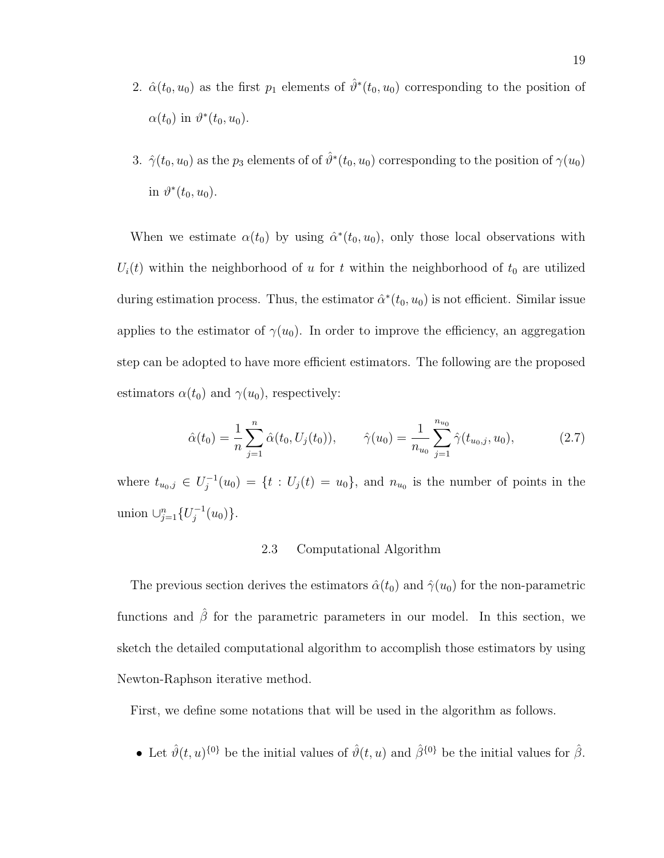- 2.  $\hat{\alpha}(t_0, u_0)$  as the first  $p_1$  elements of  $\hat{\vartheta}^*(t_0, u_0)$  corresponding to the position of  $\alpha(t_0)$  in  $\vartheta^*(t_0, u_0)$ .
- 3.  $\hat{\gamma}(t_0, u_0)$  as the  $p_3$  elements of of  $\hat{\vartheta}^*(t_0, u_0)$  corresponding to the position of  $\gamma(u_0)$ in  $\vartheta^*(t_0, u_0)$ .

When we estimate  $\alpha(t_0)$  by using  $\hat{\alpha}^*(t_0, u_0)$ , only those local observations with  $U_i(t)$  within the neighborhood of u for t within the neighborhood of  $t_0$  are utilized during estimation process. Thus, the estimator  $\hat{\alpha}^*(t_0, u_0)$  is not efficient. Similar issue applies to the estimator of  $\gamma(u_0)$ . In order to improve the efficiency, an aggregation step can be adopted to have more efficient estimators. The following are the proposed estimators  $\alpha(t_0)$  and  $\gamma(u_0)$ , respectively:

$$
\hat{\alpha}(t_0) = \frac{1}{n} \sum_{j=1}^n \hat{\alpha}(t_0, U_j(t_0)), \qquad \hat{\gamma}(u_0) = \frac{1}{n_{u_0}} \sum_{j=1}^{n_{u_0}} \hat{\gamma}(t_{u_0, j}, u_0), \tag{2.7}
$$

where  $t_{u_0,j} \in U_j^{-1}$  $j_j^{-1}(u_0) = \{t : U_j(t) = u_0\}$ , and  $n_{u_0}$  is the number of points in the union  $\cup_{j=1}^{n} \{U_j^{-1}$  $j^{-1}(u_0)\}.$ 

## 2.3 Computational Algorithm

The previous section derives the estimators  $\hat{\alpha}(t_0)$  and  $\hat{\gamma}(u_0)$  for the non-parametric functions and  $\hat{\beta}$  for the parametric parameters in our model. In this section, we sketch the detailed computational algorithm to accomplish those estimators by using Newton-Raphson iterative method.

First, we define some notations that will be used in the algorithm as follows.

• Let  $\hat{\vartheta}(t, u)$ <sup>{0}</sup> be the initial values of  $\hat{\vartheta}(t, u)$  and  $\hat{\beta}^{\{0\}}$  be the initial values for  $\hat{\beta}$ .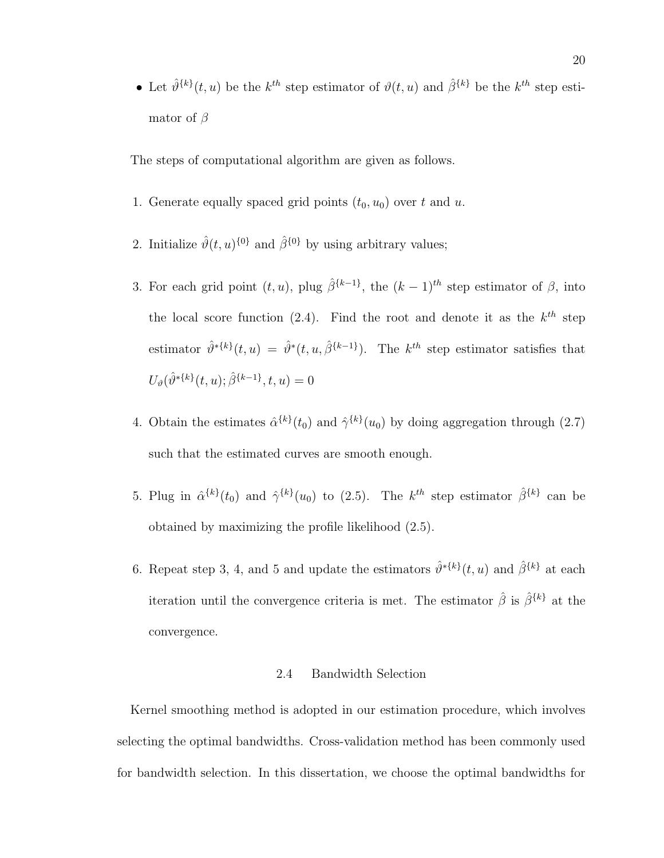• Let  $\hat{\vartheta}^{\{k\}}(t, u)$  be the  $k^{th}$  step estimator of  $\vartheta(t, u)$  and  $\hat{\beta}^{\{k\}}$  be the  $k^{th}$  step estimator of  $\beta$ 

The steps of computational algorithm are given as follows.

- 1. Generate equally spaced grid points  $(t_0, u_0)$  over t and u.
- 2. Initialize  $\hat{\vartheta}(t, u)$ <sup>{0}</sup> and  $\hat{\beta}$ <sup>{0}</sup> by using arbitrary values;
- 3. For each grid point  $(t, u)$ , plug  $\hat{\beta}^{\{k-1\}}$ , the  $(k-1)^{th}$  step estimator of  $\beta$ , into the local score function (2.4). Find the root and denote it as the  $k^{th}$  step estimator  $\hat{\vartheta}^{*{k}}(t, u) = \hat{\vartheta}^{*}(t, u, \hat{\beta}^{{k-1}})$ . The  $k^{th}$  step estimator satisfies that  $U_{\vartheta}(\hat{\vartheta}^{*{k\}}(t,u);\hat{\beta}^{{\{k-1\}}},t,u)=0$
- 4. Obtain the estimates  $\hat{\alpha}^{\{k\}}(t_0)$  and  $\hat{\gamma}^{\{k\}}(u_0)$  by doing aggregation through (2.7) such that the estimated curves are smooth enough.
- 5. Plug in  $\hat{\alpha}^{\{k\}}(t_0)$  and  $\hat{\gamma}^{\{k\}}(u_0)$  to (2.5). The  $k^{th}$  step estimator  $\hat{\beta}^{\{k\}}$  can be obtained by maximizing the profile likelihood (2.5).
- 6. Repeat step 3, 4, and 5 and update the estimators  $\hat{\theta}^{*{k}}(t, u)$  and  $\hat{\beta}^{{k}}$  at each iteration until the convergence criteria is met. The estimator  $\hat{\beta}$  is  $\hat{\beta}^{\{k\}}$  at the convergence.

## 2.4 Bandwidth Selection

Kernel smoothing method is adopted in our estimation procedure, which involves selecting the optimal bandwidths. Cross-validation method has been commonly used for bandwidth selection. In this dissertation, we choose the optimal bandwidths for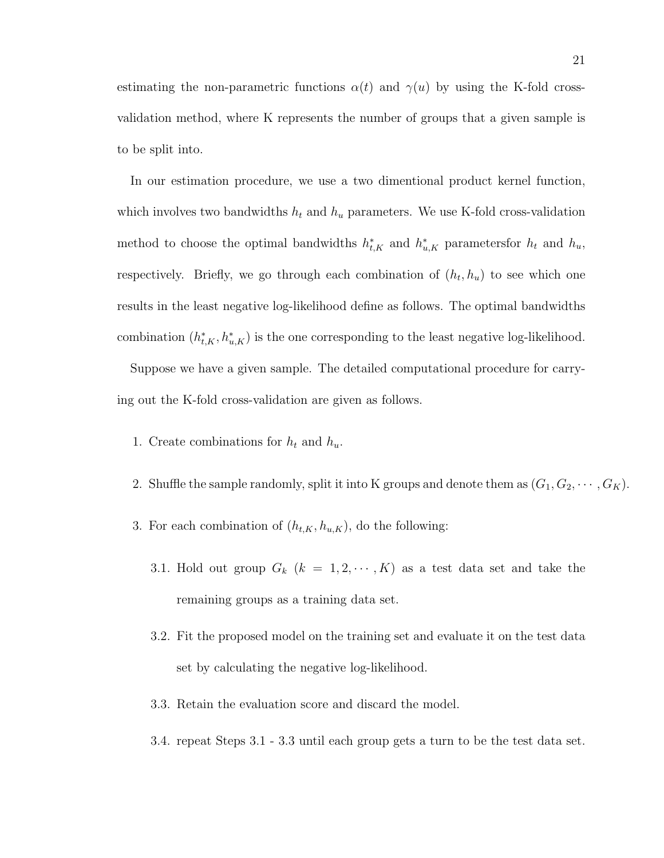estimating the non-parametric functions  $\alpha(t)$  and  $\gamma(u)$  by using the K-fold crossvalidation method, where K represents the number of groups that a given sample is to be split into.

In our estimation procedure, we use a two dimentional product kernel function, which involves two bandwidths  $h_t$  and  $h_u$  parameters. We use K-fold cross-validation method to choose the optimal bandwidths  $h_{t,K}^*$  and  $h_{u,K}^*$  parametersfor  $h_t$  and  $h_u$ , respectively. Briefly, we go through each combination of  $(h_t, h_u)$  to see which one results in the least negative log-likelihood define as follows. The optimal bandwidths combination  $(h_{t,K}^*, h_{u,K}^*)$  is the one corresponding to the least negative log-likelihood.

Suppose we have a given sample. The detailed computational procedure for carrying out the K-fold cross-validation are given as follows.

- 1. Create combinations for  $h_t$  and  $h_u$ .
- 2. Shuffle the sample randomly, split it into K groups and denote them as  $(G_1, G_2, \dots, G_K)$ .
- 3. For each combination of  $(h_{t,K}, h_{u,K})$ , do the following:
	- 3.1. Hold out group  $G_k$   $(k = 1, 2, \cdots, K)$  as a test data set and take the remaining groups as a training data set.
	- 3.2. Fit the proposed model on the training set and evaluate it on the test data set by calculating the negative log-likelihood.
	- 3.3. Retain the evaluation score and discard the model.
	- 3.4. repeat Steps 3.1 3.3 until each group gets a turn to be the test data set.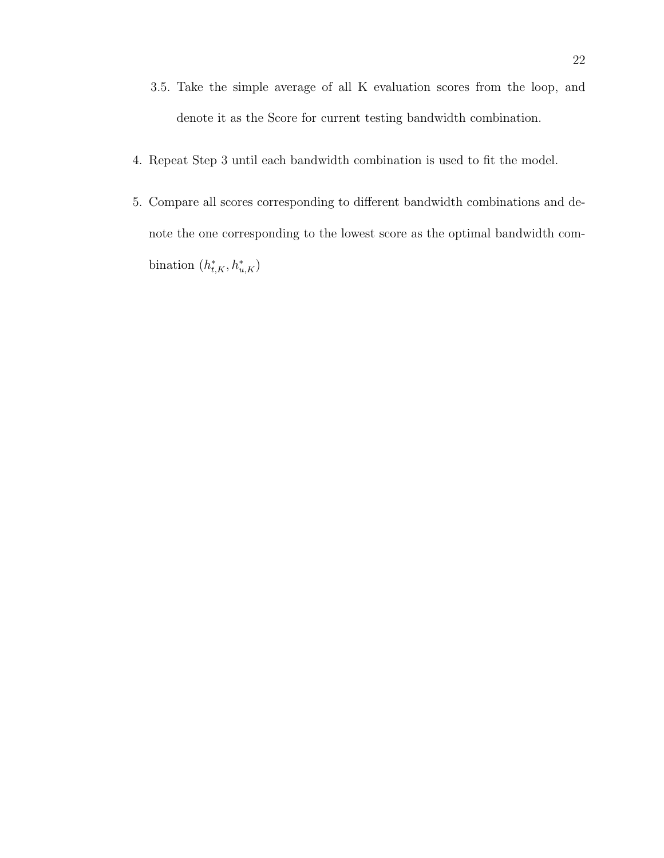- 3.5. Take the simple average of all K evaluation scores from the loop, and denote it as the Score for current testing bandwidth combination.
- 4. Repeat Step 3 until each bandwidth combination is used to fit the model.
- 5. Compare all scores corresponding to different bandwidth combinations and denote the one corresponding to the lowest score as the optimal bandwidth combination  $(h^*_{t,K}, h^*_{u,K})$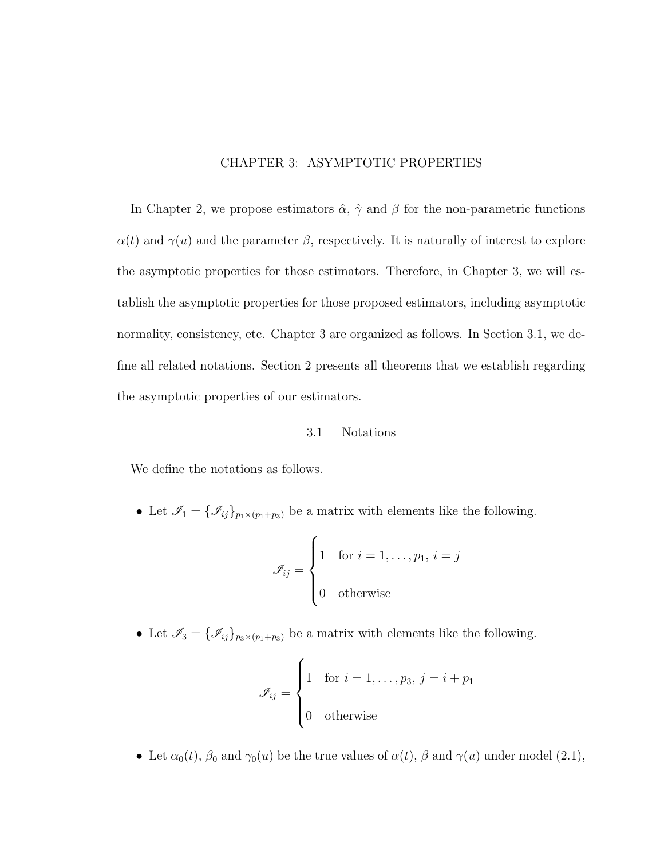## CHAPTER 3: ASYMPTOTIC PROPERTIES

In Chapter 2, we propose estimators  $\hat{\alpha}$ ,  $\hat{\gamma}$  and  $\beta$  for the non-parametric functions  $\alpha(t)$  and  $\gamma(u)$  and the parameter  $\beta$ , respectively. It is naturally of interest to explore the asymptotic properties for those estimators. Therefore, in Chapter 3, we will establish the asymptotic properties for those proposed estimators, including asymptotic normality, consistency, etc. Chapter 3 are organized as follows. In Section 3.1, we define all related notations. Section 2 presents all theorems that we establish regarding the asymptotic properties of our estimators.

#### 3.1 Notations

We define the notations as follows.

• Let  $\mathcal{I}_1 = {\{\mathcal{I}_{ij}\}}_{p_1 \times (p_1+p_3)}$  be a matrix with elements like the following.

$$
\mathcal{I}_{ij} = \begin{cases} 1 & \text{for } i = 1, \dots, p_1, \, i = j \\ 0 & \text{otherwise} \end{cases}
$$

• Let  $\mathscr{I}_3 = {\{\mathscr{I}_{ij}\}_{p_3 \times (p_1+p_3)}}$  be a matrix with elements like the following.

$$
\mathcal{I}_{ij} = \begin{cases} 1 & \text{for } i = 1, \dots, p_3, \, j = i + p_1 \\ 0 & \text{otherwise} \end{cases}
$$

• Let  $\alpha_0(t)$ ,  $\beta_0$  and  $\gamma_0(u)$  be the true values of  $\alpha(t)$ ,  $\beta$  and  $\gamma(u)$  under model (2.1),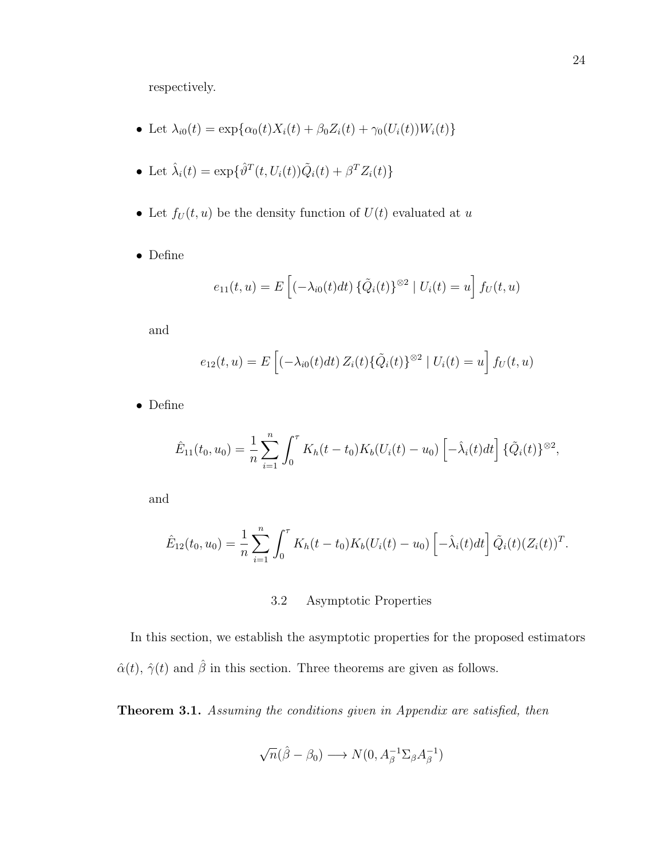respectively.

- Let  $\lambda_{i0}(t) = \exp{\{\alpha_0(t)X_i(t) + \beta_0 Z_i(t) + \gamma_0(U_i(t))W_i(t)\}}$
- Let  $\hat{\lambda}_i(t) = \exp{\{\hat{\vartheta}^T(t, U_i(t))\tilde{Q}_i(t) + \beta^T Z_i(t)\}}$
- Let  $f_U(t, u)$  be the density function of  $U(t)$  evaluated at u
- Define

$$
e_{11}(t, u) = E\left[ (-\lambda_{i0}(t)dt) \{ \tilde{Q}_i(t) \}^{\otimes 2} \mid U_i(t) = u \right] f_U(t, u)
$$

and

$$
e_{12}(t, u) = E\left[ (-\lambda_{i0}(t)dt) Z_i(t) \{\tilde{Q}_i(t)\}^{\otimes 2} | U_i(t) = u \right] f_U(t, u)
$$

• Define

$$
\hat{E}_{11}(t_0, u_0) = \frac{1}{n} \sum_{i=1}^n \int_0^{\tau} K_h(t - t_0) K_b(U_i(t) - u_0) \left[ -\hat{\lambda}_i(t) dt \right] \{ \tilde{Q}_i(t) \}^{\otimes 2},
$$

and

$$
\hat{E}_{12}(t_0, u_0) = \frac{1}{n} \sum_{i=1}^n \int_0^{\tau} K_h(t - t_0) K_b(U_i(t) - u_0) \left[ -\hat{\lambda}_i(t) dt \right] \tilde{Q}_i(t) (Z_i(t))^T.
$$

## 3.2 Asymptotic Properties

In this section, we establish the asymptotic properties for the proposed estimators  $\hat{\alpha}(t)$ ,  $\hat{\gamma}(t)$  and  $\hat{\beta}$  in this section. Three theorems are given as follows.

Theorem 3.1. Assuming the conditions given in Appendix are satisfied, then

$$
\sqrt{n}(\hat{\beta}-\beta_0) \longrightarrow N(0, A_{\beta}^{-1}\Sigma_{\beta}A_{\beta}^{-1})
$$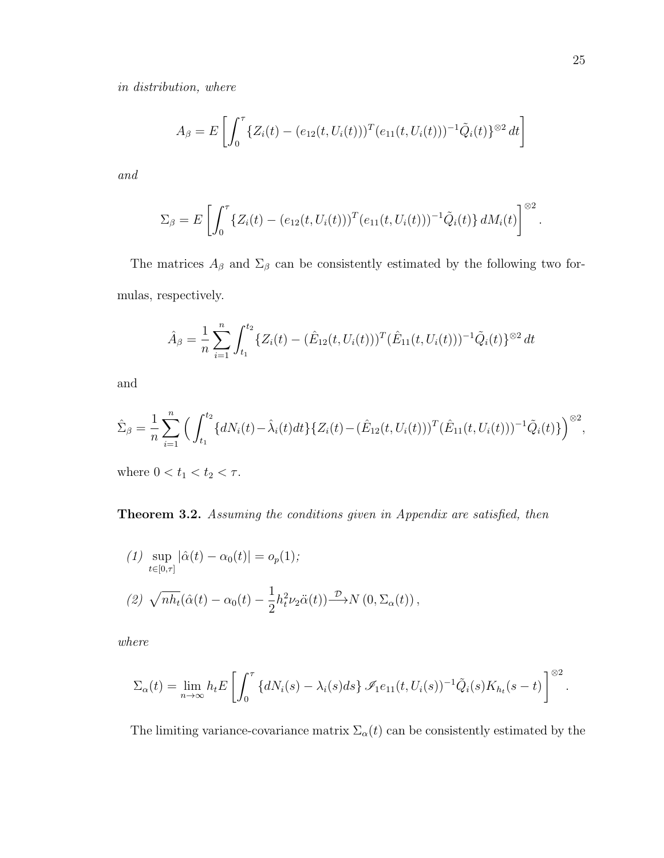in distribution, where

$$
A_{\beta} = E\left[\int_0^{\tau} \{Z_i(t) - (e_{12}(t, U_i(t)))^T (e_{11}(t, U_i(t)))^{-1} \tilde{Q}_i(t)\}^{\otimes 2} dt\right]
$$

and

$$
\Sigma_{\beta} = E \left[ \int_0^{\tau} \{ Z_i(t) - (e_{12}(t, U_i(t)))^T (e_{11}(t, U_i(t)))^{-1} \tilde{Q}_i(t) \} dM_i(t) \right]^{\otimes 2}
$$

The matrices  $A_{\beta}$  and  $\Sigma_{\beta}$  can be consistently estimated by the following two formulas, respectively.

$$
\hat{A}_{\beta} = \frac{1}{n} \sum_{i=1}^{n} \int_{t_1}^{t_2} \{Z_i(t) - (\hat{E}_{12}(t, U_i(t)))^T (\hat{E}_{11}(t, U_i(t)))^{-1} \tilde{Q}_i(t)\}^{\otimes 2} dt
$$

and

$$
\hat{\Sigma}_{\beta} = \frac{1}{n} \sum_{i=1}^{n} \Big( \int_{t_1}^{t_2} \{ dN_i(t) - \hat{\lambda}_i(t) dt \} \{ Z_i(t) - (\hat{E}_{12}(t, U_i(t)))^T (\hat{E}_{11}(t, U_i(t)))^{-1} \tilde{Q}_i(t) \} \Big)^{\otimes 2},
$$

where  $0 < t_1 < t_2 < \tau$ .

Theorem 3.2. Assuming the conditions given in Appendix are satisfied, then

(1) 
$$
\sup_{t \in [0,\tau]} |\hat{\alpha}(t) - \alpha_0(t)| = o_p(1);
$$
  
(2) 
$$
\sqrt{n h_t} (\hat{\alpha}(t) - \alpha_0(t) - \frac{1}{2} h_t^2 \nu_2 \ddot{\alpha}(t)) \stackrel{\mathcal{D}}{\longrightarrow} N(0, \Sigma_\alpha(t)),
$$

where

$$
\Sigma_{\alpha}(t) = \lim_{n \to \infty} h_t E \left[ \int_0^{\tau} \left\{ dN_i(s) - \lambda_i(s) ds \right\} \mathcal{I}_1 e_{11}(t, U_i(s))^{-1} \tilde{Q}_i(s) K_{h_t}(s - t) \right\}^{\otimes 2}
$$

The limiting variance-covariance matrix  $\Sigma_{\alpha}(t)$  can be consistently estimated by the

.

.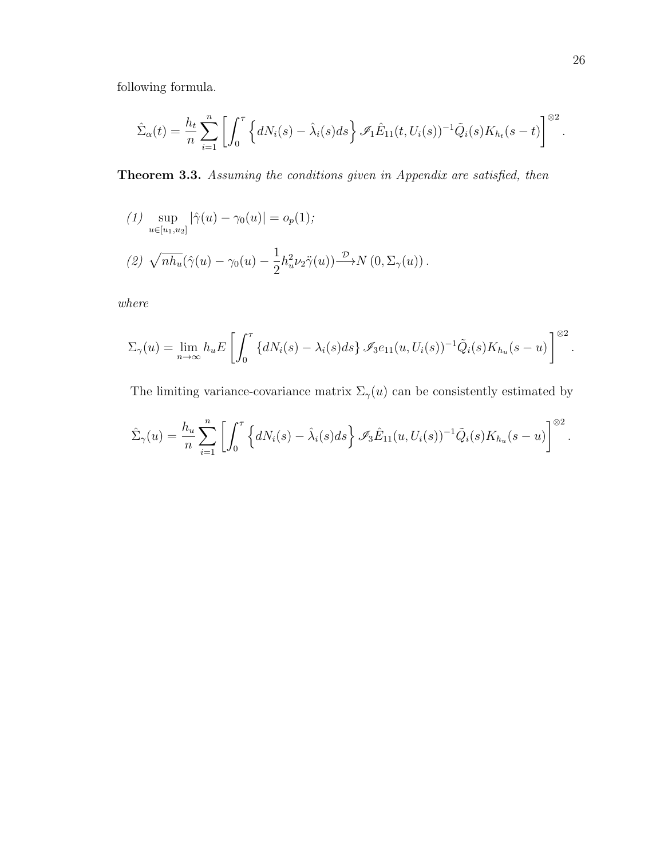following formula.

$$
\hat{\Sigma}_{\alpha}(t) = \frac{h_t}{n} \sum_{i=1}^n \left[ \int_0^{\tau} \left\{ dN_i(s) - \hat{\lambda}_i(s)ds \right\} \mathcal{J}_1 \hat{E}_{11}(t, U_i(s))^{-1} \tilde{Q}_i(s) K_{h_t}(s-t) \right]^{\otimes 2}.
$$

Theorem 3.3. Assuming the conditions given in Appendix are satisfied, then

(1) 
$$
\sup_{u \in [u_1, u_2]} |\hat{\gamma}(u) - \gamma_0(u)| = o_p(1);
$$
  
(2) 
$$
\sqrt{n h_u} (\hat{\gamma}(u) - \gamma_0(u) - \frac{1}{2} h_u^2 \nu_2 \ddot{\gamma}(u)) \stackrel{\mathcal{D}}{\longrightarrow} N(0, \Sigma_\gamma(u)).
$$

where

$$
\Sigma_{\gamma}(u) = \lim_{n \to \infty} h_u E \left[ \int_0^{\tau} \left\{ dN_i(s) - \lambda_i(s) ds \right\} \mathcal{I}_{3} e_{11}(u, U_i(s))^{-1} \tilde{Q}_i(s) K_{h_u}(s-u) \right\}^{\otimes 2}.
$$

The limiting variance-covariance matrix  $\Sigma_{\gamma}(u)$  can be consistently estimated by

$$
\hat{\Sigma}_{\gamma}(u) = \frac{h_u}{n} \sum_{i=1}^n \left[ \int_0^{\tau} \left\{ dN_i(s) - \hat{\lambda}_i(s)ds \right\} \mathcal{J}_3 \hat{E}_{11}(u, U_i(s))^{-1} \tilde{Q}_i(s) K_{h_u}(s-u) \right\}^{\otimes 2}.
$$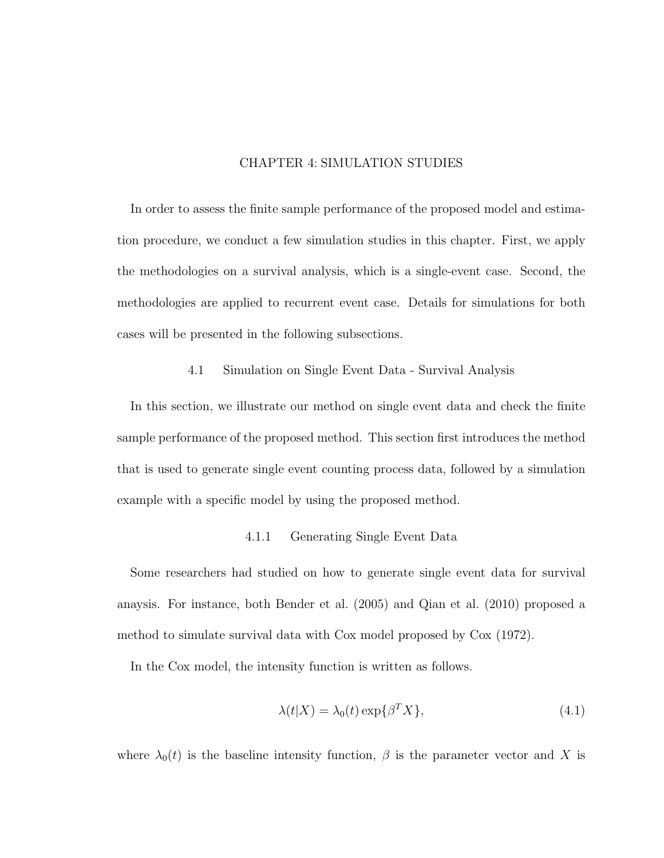# CHAPTER 4: SIMULATION STUDIES

In order to assess the finite sample performance of the proposed model and estimation procedure, we conduct a few simulation studies in this chapter. First, we apply the methodologies on a survival analysis, which is a single-event case. Second, the methodologies are applied to recurrent event case. Details for simulations for both cases will be presented in the following subsections.

# 4.1 Simulation on Single Event Data - Survival Analysis

In this section, we illustrate our method on single event data and check the finite sample performance of the proposed method. This section first introduces the method that is used to generate single event counting process data, followed by a simulation example with a specific model by using the proposed method.

### 4.1.1 Generating Single Event Data

Some researchers had studied on how to generate single event data for survival anaysis. For instance, both Bender et al. (2005) and Qian et al. (2010) proposed a method to simulate survival data with Cox model proposed by Cox (1972).

In the Cox model, the intensity function is written as follows.

$$
\lambda(t|X) = \lambda_0(t) \exp\{\beta^T X\},\tag{4.1}
$$

where  $\lambda_0(t)$  is the baseline intensity function,  $\beta$  is the parameter vector and X is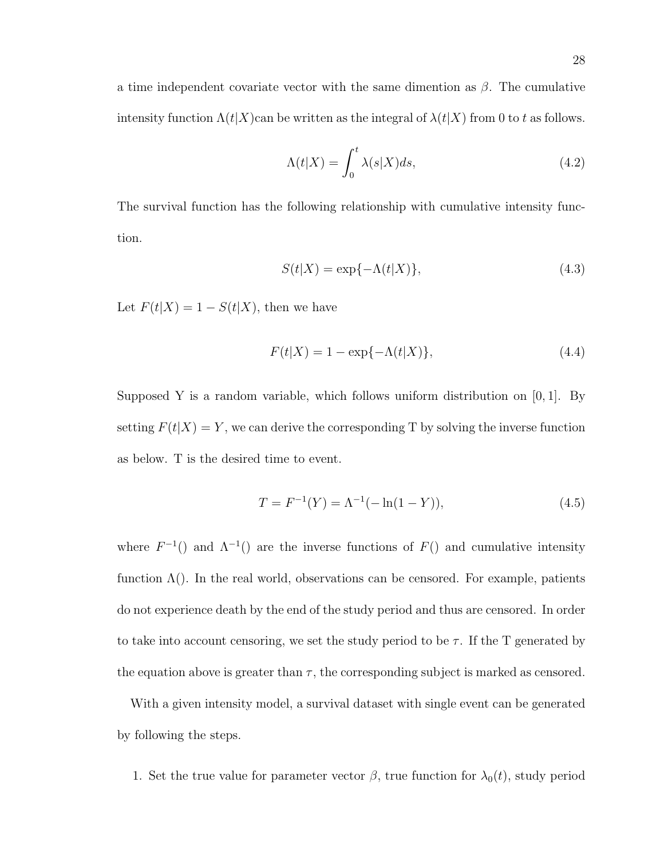a time independent covariate vector with the same dimention as  $\beta$ . The cumulative intensity function  $\Lambda(t|X)$ can be written as the integral of  $\lambda(t|X)$  from 0 to t as follows.

$$
\Lambda(t|X) = \int_0^t \lambda(s|X)ds,\tag{4.2}
$$

The survival function has the following relationship with cumulative intensity function.

$$
S(t|X) = \exp\{-\Lambda(t|X)\},\tag{4.3}
$$

Let  $F(t|X) = 1 - S(t|X)$ , then we have

$$
F(t|X) = 1 - \exp\{-\Lambda(t|X)\},\tag{4.4}
$$

Supposed Y is a random variable, which follows uniform distribution on  $[0, 1]$ . By setting  $F(t|X) = Y$ , we can derive the corresponding T by solving the inverse function as below. T is the desired time to event.

$$
T = F^{-1}(Y) = \Lambda^{-1}(-\ln(1 - Y)), \tag{4.5}
$$

where  $F^{-1}$ () and  $\Lambda^{-1}$ () are the inverse functions of  $F$ () and cumulative intensity function  $\Lambda$ ). In the real world, observations can be censored. For example, patients do not experience death by the end of the study period and thus are censored. In order to take into account censoring, we set the study period to be  $\tau$ . If the T generated by the equation above is greater than  $\tau$ , the corresponding subject is marked as censored.

With a given intensity model, a survival dataset with single event can be generated by following the steps.

1. Set the true value for parameter vector  $\beta$ , true function for  $\lambda_0(t)$ , study period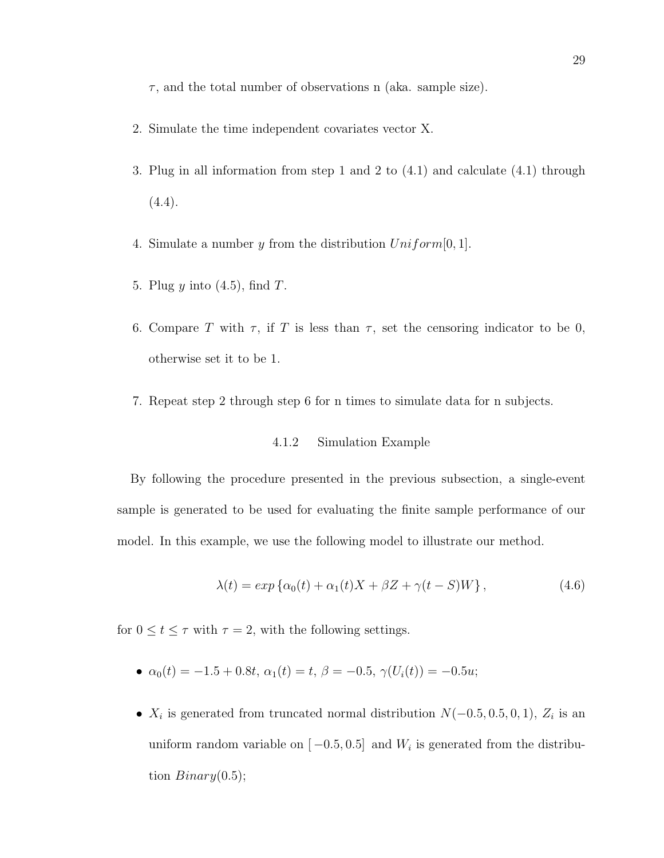$\tau$ , and the total number of observations n (aka. sample size).

- 2. Simulate the time independent covariates vector X.
- 3. Plug in all information from step 1 and 2 to (4.1) and calculate (4.1) through  $(4.4).$
- 4. Simulate a number y from the distribution  $Uniform[0, 1]$ .
- 5. Plug  $y$  into (4.5), find  $T$ .
- 6. Compare T with  $\tau$ , if T is less than  $\tau$ , set the censoring indicator to be 0, otherwise set it to be 1.
- 7. Repeat step 2 through step 6 for n times to simulate data for n subjects.

# 4.1.2 Simulation Example

By following the procedure presented in the previous subsection, a single-event sample is generated to be used for evaluating the finite sample performance of our model. In this example, we use the following model to illustrate our method.

$$
\lambda(t) = \exp\left\{\alpha_0(t) + \alpha_1(t)X + \beta Z + \gamma(t - S)W\right\},\tag{4.6}
$$

for  $0 \le t \le \tau$  with  $\tau = 2$ , with the following settings.

- $\alpha_0(t) = -1.5 + 0.8t$ ,  $\alpha_1(t) = t$ ,  $\beta = -0.5$ ,  $\gamma(U_i(t)) = -0.5u$ ;
- $X_i$  is generated from truncated normal distribution  $N(-0.5, 0.5, 0, 1), Z_i$  is an uniform random variable on  $[-0.5, 0.5]$  and  $W_i$  is generated from the distribution  $Binary(0.5)$ ;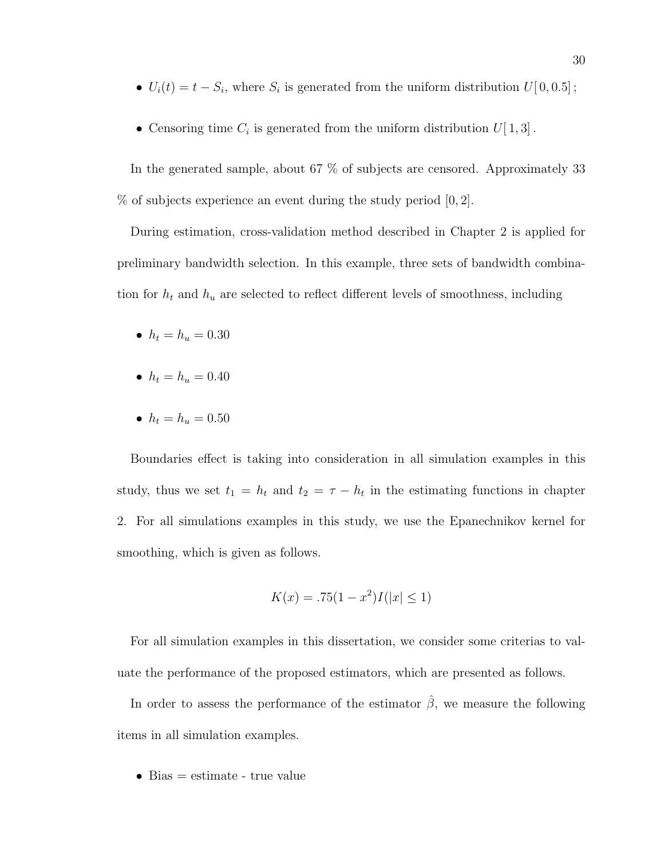- $U_i(t) = t S_i$ , where  $S_i$  is generated from the uniform distribution  $U[0, 0.5]$ ;
- Censoring time  $C_i$  is generated from the uniform distribution  $U[1,3]$ .

In the generated sample, about 67 % of subjects are censored. Approximately 33 % of subjects experience an event during the study period [0, 2].

During estimation, cross-validation method described in Chapter 2 is applied for preliminary bandwidth selection. In this example, three sets of bandwidth combination for  $h_t$  and  $h_u$  are selected to reflect different levels of smoothness, including

- $h_t = h_u = 0.30$
- $h_t = h_u = 0.40$
- $h_t = h_u = 0.50$

Boundaries effect is taking into consideration in all simulation examples in this study, thus we set  $t_1 = h_t$  and  $t_2 = \tau - h_t$  in the estimating functions in chapter 2. For all simulations examples in this study, we use the Epanechnikov kernel for smoothing, which is given as follows.

$$
K(x) = .75(1 - x^2)I(|x| \le 1)
$$

For all simulation examples in this dissertation, we consider some criterias to valuate the performance of the proposed estimators, which are presented as follows.

In order to assess the performance of the estimator  $\hat{\beta}$ , we measure the following items in all simulation examples.

• Bias = estimate - true value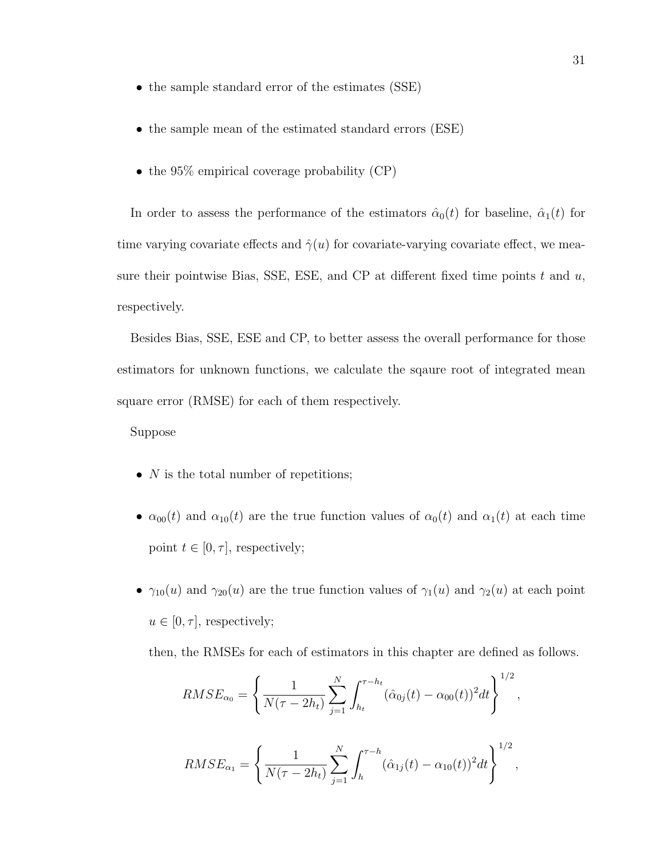- the sample standard error of the estimates (SSE)
- the sample mean of the estimated standard errors (ESE)
- the 95% empirical coverage probability (CP)

In order to assess the performance of the estimators  $\hat{\alpha}_0(t)$  for baseline,  $\hat{\alpha}_1(t)$  for time varying covariate effects and  $\hat{\gamma}(u)$  for covariate-varying covariate effect, we measure their pointwise Bias, SSE, ESE, and CP at different fixed time points  $t$  and  $u$ , respectively.

Besides Bias, SSE, ESE and CP, to better assess the overall performance for those estimators for unknown functions, we calculate the sqaure root of integrated mean square error (RMSE) for each of them respectively.

Suppose

- $N$  is the total number of repetitions;
- $\alpha_{00}(t)$  and  $\alpha_{10}(t)$  are the true function values of  $\alpha_0(t)$  and  $\alpha_1(t)$  at each time point  $t \in [0, \tau]$ , respectively;
- $\gamma_{10}(u)$  and  $\gamma_{20}(u)$  are the true function values of  $\gamma_1(u)$  and  $\gamma_2(u)$  at each point  $u \in [0, \tau]$ , respectively;

then, the RMSEs for each of estimators in this chapter are defined as follows.

$$
RMSE_{\alpha_0} = \left\{ \frac{1}{N(\tau - 2h_t)} \sum_{j=1}^{N} \int_{h_t}^{\tau - h_t} (\hat{\alpha}_{0j}(t) - \alpha_{00}(t))^2 dt \right\}^{1/2},
$$

$$
RMSE_{\alpha_1} = \left\{ \frac{1}{N(\tau - 2h_t)} \sum_{j=1}^{N} \int_{h}^{\tau - h} (\hat{\alpha}_{1j}(t) - \alpha_{10}(t))^2 dt \right\}^{1/2},
$$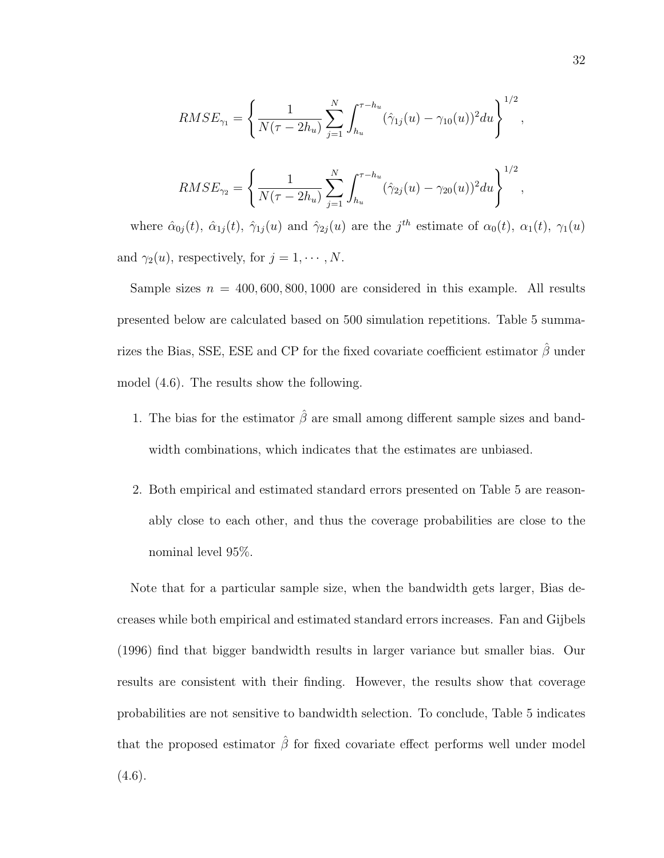$$
RMSE_{\gamma_1} = \left\{ \frac{1}{N(\tau - 2h_u)} \sum_{j=1}^N \int_{h_u}^{\tau - h_u} (\hat{\gamma}_{1j}(u) - \gamma_{10}(u))^2 du \right\}^{1/2},
$$

$$
RMSE_{\gamma_2} = \left\{ \frac{1}{N(\tau - 2h_u)} \sum_{j=1}^N \int_{h_u}^{\tau - h_u} (\hat{\gamma}_{2j}(u) - \gamma_{20}(u))^2 du \right\}^{1/2},
$$

where  $\hat{\alpha}_{0j}(t)$ ,  $\hat{\alpha}_{1j}(t)$ ,  $\hat{\gamma}_{1j}(u)$  and  $\hat{\gamma}_{2j}(u)$  are the j<sup>th</sup> estimate of  $\alpha_0(t)$ ,  $\alpha_1(t)$ ,  $\gamma_1(u)$ and  $\gamma_2(u)$ , respectively, for  $j = 1, \dots, N$ .

Sample sizes  $n = 400,600,800,1000$  are considered in this example. All results presented below are calculated based on 500 simulation repetitions. Table 5 summarizes the Bias, SSE, ESE and CP for the fixed covariate coefficient estimator  $\hat{\beta}$  under model (4.6). The results show the following.

- 1. The bias for the estimator  $\hat{\beta}$  are small among different sample sizes and bandwidth combinations, which indicates that the estimates are unbiased.
- 2. Both empirical and estimated standard errors presented on Table 5 are reasonably close to each other, and thus the coverage probabilities are close to the nominal level 95%.

Note that for a particular sample size, when the bandwidth gets larger, Bias decreases while both empirical and estimated standard errors increases. Fan and Gijbels (1996) find that bigger bandwidth results in larger variance but smaller bias. Our results are consistent with their finding. However, the results show that coverage probabilities are not sensitive to bandwidth selection. To conclude, Table 5 indicates that the proposed estimator  $\hat{\beta}$  for fixed covariate effect performs well under model  $(4.6).$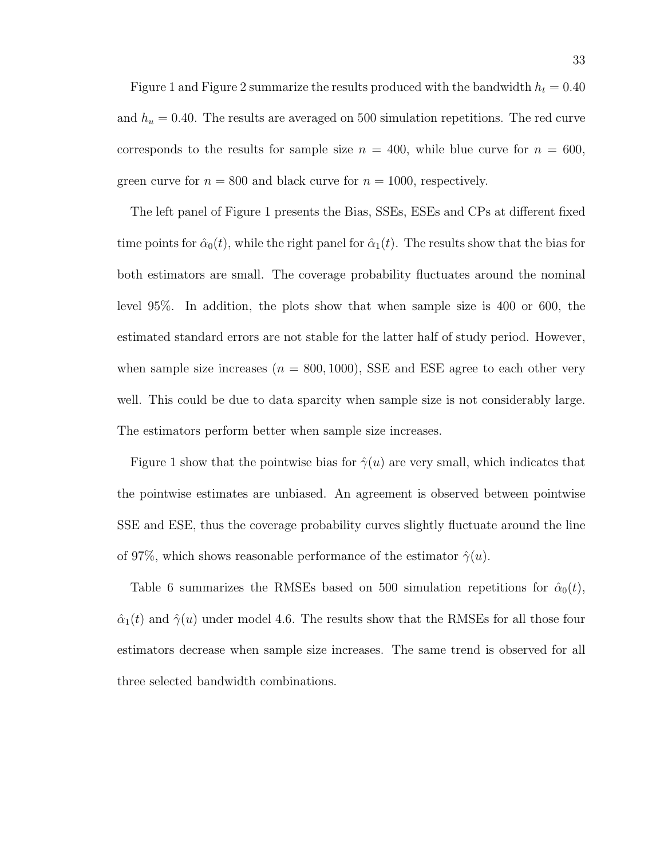Figure 1 and Figure 2 summarize the results produced with the bandwidth  $h_t = 0.40$ and  $h_u = 0.40$ . The results are averaged on 500 simulation repetitions. The red curve corresponds to the results for sample size  $n = 400$ , while blue curve for  $n = 600$ , green curve for  $n = 800$  and black curve for  $n = 1000$ , respectively.

The left panel of Figure 1 presents the Bias, SSEs, ESEs and CPs at different fixed time points for  $\hat{\alpha}_0(t)$ , while the right panel for  $\hat{\alpha}_1(t)$ . The results show that the bias for both estimators are small. The coverage probability fluctuates around the nominal level 95%. In addition, the plots show that when sample size is 400 or 600, the estimated standard errors are not stable for the latter half of study period. However, when sample size increases ( $n = 800, 1000$ ), SSE and ESE agree to each other very well. This could be due to data sparcity when sample size is not considerably large. The estimators perform better when sample size increases.

Figure 1 show that the pointwise bias for  $\hat{\gamma}(u)$  are very small, which indicates that the pointwise estimates are unbiased. An agreement is observed between pointwise SSE and ESE, thus the coverage probability curves slightly fluctuate around the line of 97%, which shows reasonable performance of the estimator  $\hat{\gamma}(u)$ .

Table 6 summarizes the RMSEs based on 500 simulation repetitions for  $\hat{\alpha}_0(t)$ ,  $\hat{\alpha}_1(t)$  and  $\hat{\gamma}(u)$  under model 4.6. The results show that the RMSEs for all those four estimators decrease when sample size increases. The same trend is observed for all three selected bandwidth combinations.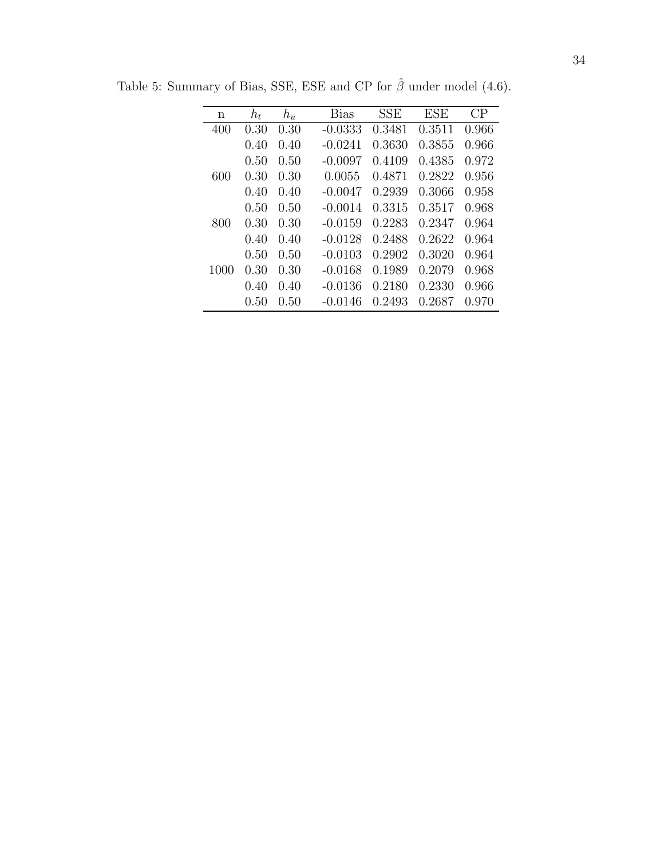| n    | $h_t$ | $h_u$ | <b>Bias</b> | SSE    | ESE    | CP    |
|------|-------|-------|-------------|--------|--------|-------|
| 400  | 0.30  | 0.30  | $-0.0333$   | 0.3481 | 0.3511 | 0.966 |
|      | 0.40  | 0.40  | $-0.0241$   | 0.3630 | 0.3855 | 0.966 |
|      | 0.50  | 0.50  | $-0.0097$   | 0.4109 | 0.4385 | 0.972 |
| 600  | 0.30  | 0.30  | 0.0055      | 0.4871 | 0.2822 | 0.956 |
|      | 0.40  | 0.40  | $-0.0047$   | 0.2939 | 0.3066 | 0.958 |
|      | 0.50  | 0.50  | $-0.0014$   | 0.3315 | 0.3517 | 0.968 |
| 800  | 0.30  | 0.30  | $-0.0159$   | 0.2283 | 0.2347 | 0.964 |
|      | 0.40  | 0.40  | $-0.0128$   | 0.2488 | 0.2622 | 0.964 |
|      | 0.50  | 0.50  | $-0.0103$   | 0.2902 | 0.3020 | 0.964 |
| 1000 | 0.30  | 0.30  | $-0.0168$   | 0.1989 | 0.2079 | 0.968 |
|      | 0.40  | 0.40  | $-0.0136$   | 0.2180 | 0.2330 | 0.966 |
|      | 0.50  | 0.50  | $-0.0146$   | 0.2493 | 0.2687 | 0.970 |

Table 5: Summary of Bias, SSE, ESE and CP for  $\hat{\beta}$  under model (4.6).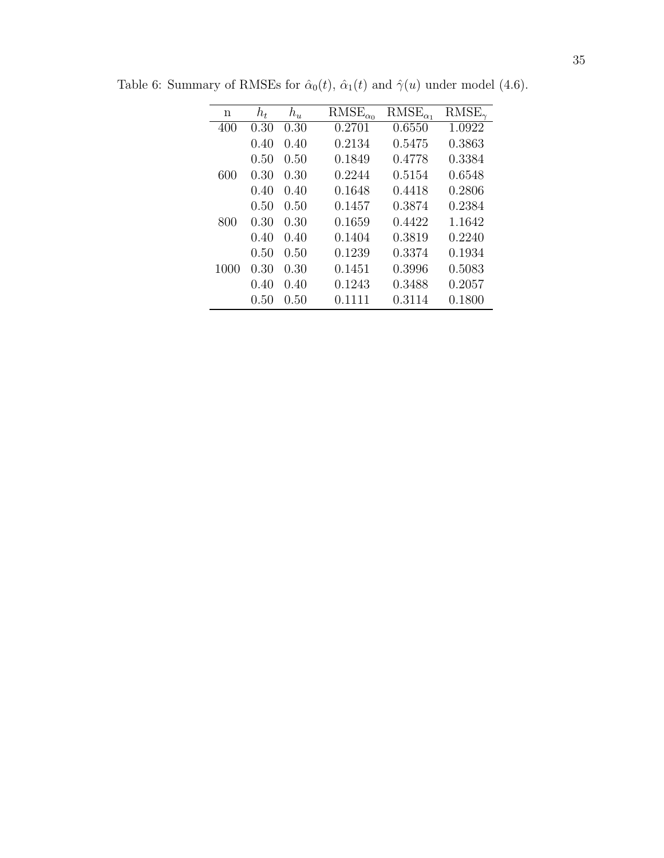| n    | $h_t$ | $h_u$ | $RMSE_{\alpha_0}$ | $RMSE_{\alpha_1}$ | $RMSE_{\gamma}$ |
|------|-------|-------|-------------------|-------------------|-----------------|
| 400  | 0.30  | 0.30  | 0.2701            | 0.6550            | 1.0922          |
|      | 0.40  | 0.40  | 0.2134            | 0.5475            | 0.3863          |
|      | 0.50  | 0.50  | 0.1849            | 0.4778            | 0.3384          |
| 600  | 0.30  | 0.30  | 0.2244            | 0.5154            | 0.6548          |
|      | 0.40  | 0.40  | 0.1648            | 0.4418            | 0.2806          |
|      | 0.50  | 0.50  | 0.1457            | 0.3874            | 0.2384          |
| 800  | 0.30  | 0.30  | 0.1659            | 0.4422            | 1.1642          |
|      | 0.40  | 0.40  | 0.1404            | 0.3819            | 0.2240          |
|      | 0.50  | 0.50  | 0.1239            | 0.3374            | 0.1934          |
| 1000 | 0.30  | 0.30  | 0.1451            | 0.3996            | 0.5083          |
|      | 0.40  | 0.40  | 0.1243            | 0.3488            | 0.2057          |
|      | 0.50  | 0.50  | 0.1111            | 0.3114            | 0.1800          |

Table 6: Summary of RMSEs for  $\hat{\alpha}_0(t)$ ,  $\hat{\alpha}_1(t)$  and  $\hat{\gamma}(u)$  under model (4.6).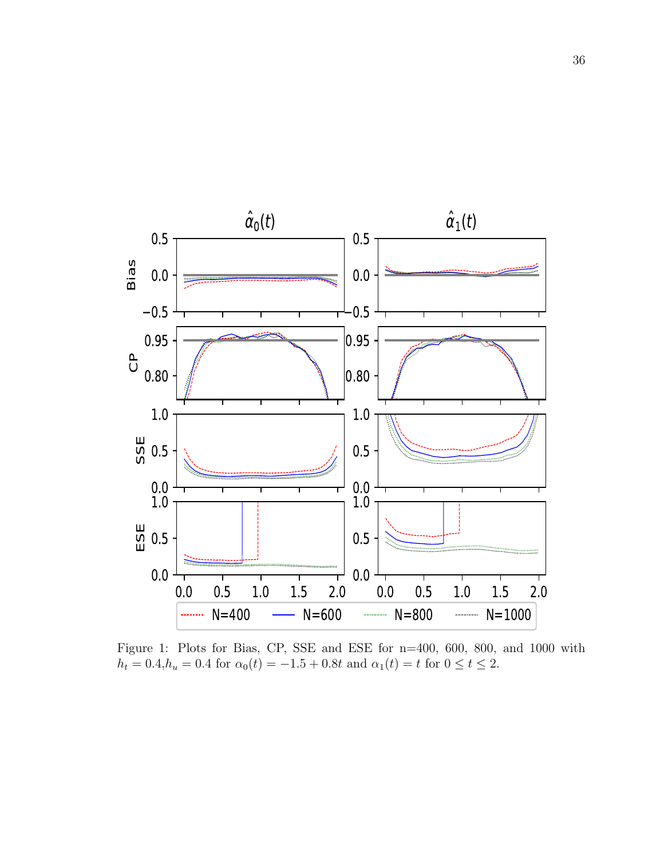

Figure 1: Plots for Bias, CP, SSE and ESE for n=400, 600, 800, and 1000 with  $h_t = 0.4, h_u = 0.4$  for  $\alpha_0(t) = -1.5 + 0.8t$  and  $\alpha_1(t) = t$  for  $0 \le t \le 2$ .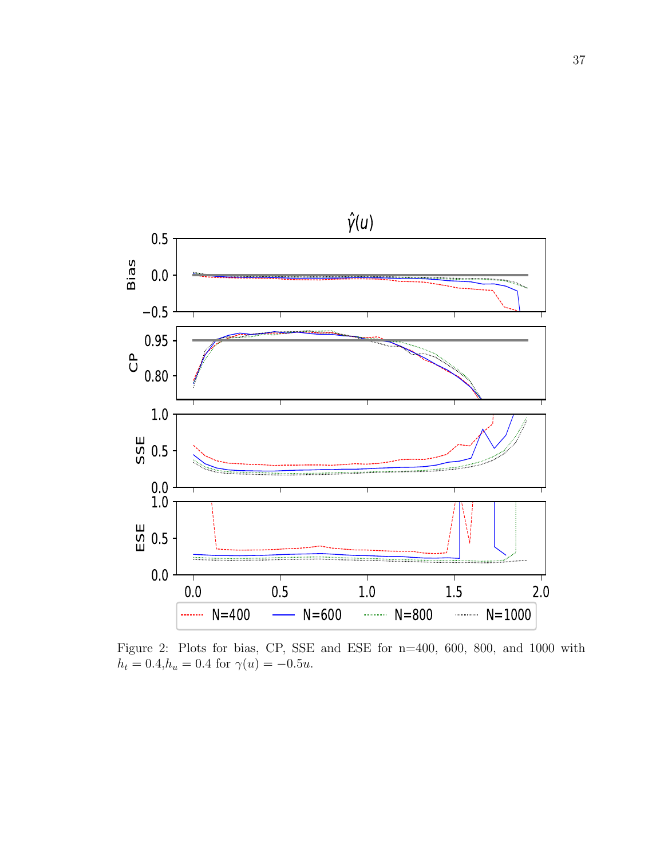

Figure 2: Plots for bias, CP, SSE and ESE for n=400, 600, 800, and 1000 with  $h_t = 0.4, h_u = 0.4$  for  $\gamma(u) = -0.5u$ .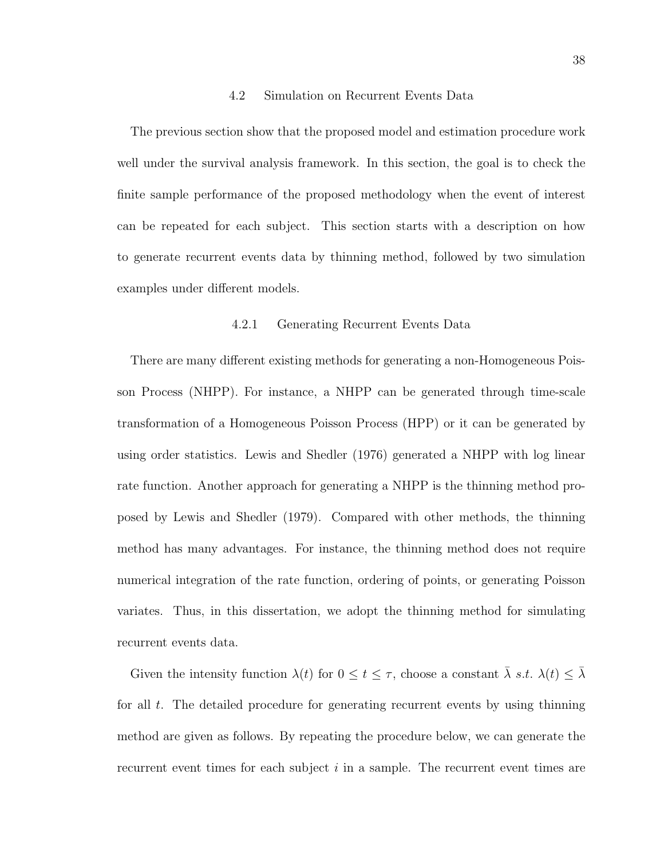### 4.2 Simulation on Recurrent Events Data

The previous section show that the proposed model and estimation procedure work well under the survival analysis framework. In this section, the goal is to check the finite sample performance of the proposed methodology when the event of interest can be repeated for each subject. This section starts with a description on how to generate recurrent events data by thinning method, followed by two simulation examples under different models.

## 4.2.1 Generating Recurrent Events Data

There are many different existing methods for generating a non-Homogeneous Poisson Process (NHPP). For instance, a NHPP can be generated through time-scale transformation of a Homogeneous Poisson Process (HPP) or it can be generated by using order statistics. Lewis and Shedler (1976) generated a NHPP with log linear rate function. Another approach for generating a NHPP is the thinning method proposed by Lewis and Shedler (1979). Compared with other methods, the thinning method has many advantages. For instance, the thinning method does not require numerical integration of the rate function, ordering of points, or generating Poisson variates. Thus, in this dissertation, we adopt the thinning method for simulating recurrent events data.

Given the intensity function  $\lambda(t)$  for  $0 \le t \le \tau$ , choose a constant  $\bar{\lambda} s.t. \lambda(t) \le \bar{\lambda}$ for all  $t$ . The detailed procedure for generating recurrent events by using thinning method are given as follows. By repeating the procedure below, we can generate the recurrent event times for each subject  $i$  in a sample. The recurrent event times are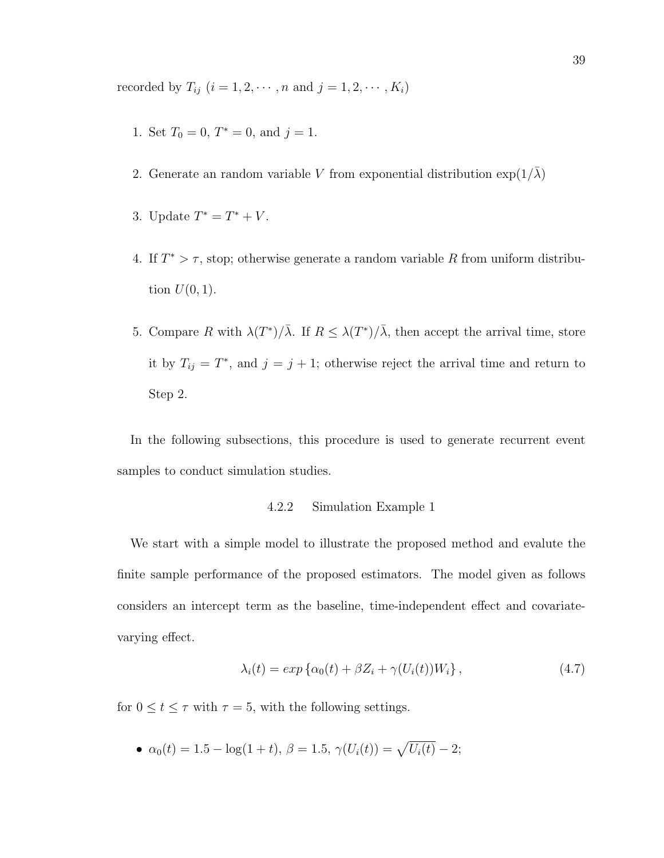recorded by  $T_{ij}$   $(i = 1, 2, \cdots, n$  and  $j = 1, 2, \cdots, K_i$ )

- 1. Set  $T_0 = 0$ ,  $T^* = 0$ , and  $j = 1$ .
- 2. Generate an random variable V from exponential distribution  $\exp(1/\bar{\lambda})$
- 3. Update  $T^* = T^* + V$ .
- 4. If  $T^* > \tau$ , stop; otherwise generate a random variable R from uniform distribution  $U(0, 1)$ .
- 5. Compare R with  $\lambda(T^*)/\overline{\lambda}$ . If  $R \leq \lambda(T^*)/\overline{\lambda}$ , then accept the arrival time, store it by  $T_{ij} = T^*$ , and  $j = j + 1$ ; otherwise reject the arrival time and return to Step 2.

In the following subsections, this procedure is used to generate recurrent event samples to conduct simulation studies.

## 4.2.2 Simulation Example 1

We start with a simple model to illustrate the proposed method and evalute the finite sample performance of the proposed estimators. The model given as follows considers an intercept term as the baseline, time-independent effect and covariatevarying effect.

$$
\lambda_i(t) = \exp\left\{\alpha_0(t) + \beta Z_i + \gamma (U_i(t))W_i\right\},\tag{4.7}
$$

for  $0 \le t \le \tau$  with  $\tau = 5$ , with the following settings.

•  $\alpha_0(t) = 1.5 - \log(1+t), \ \beta = 1.5, \ \gamma(U_i(t)) = \sqrt{U_i(t)} - 2;$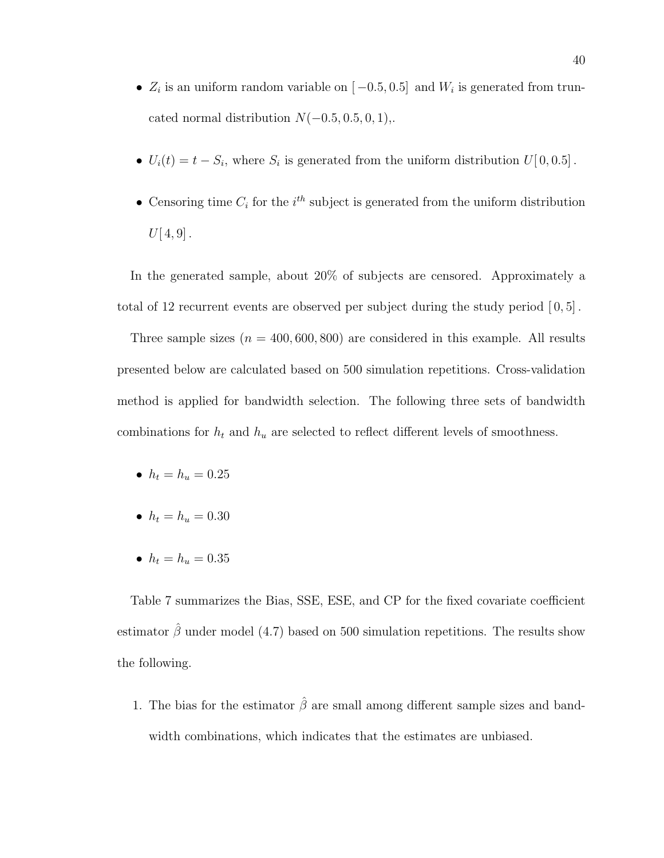- $Z_i$  is an uniform random variable on  $[-0.5, 0.5]$  and  $W_i$  is generated from truncated normal distribution  $N(-0.5, 0.5, 0, 1)$ ,.
- $U_i(t) = t S_i$ , where  $S_i$  is generated from the uniform distribution  $U[0, 0.5]$ .
- Censoring time  $C_i$  for the  $i^{th}$  subject is generated from the uniform distribution  $U[4,9]$ .

In the generated sample, about 20% of subjects are censored. Approximately a total of 12 recurrent events are observed per subject during the study period  $[0,5]$ .

Three sample sizes  $(n = 400, 600, 800)$  are considered in this example. All results presented below are calculated based on 500 simulation repetitions. Cross-validation method is applied for bandwidth selection. The following three sets of bandwidth combinations for  $h_t$  and  $h_u$  are selected to reflect different levels of smoothness.

- $h_t = h_u = 0.25$
- $h_t = h_u = 0.30$
- $h_t = h_u = 0.35$

Table 7 summarizes the Bias, SSE, ESE, and CP for the fixed covariate coefficient estimator  $\hat{\beta}$  under model (4.7) based on 500 simulation repetitions. The results show the following.

1. The bias for the estimator  $\hat{\beta}$  are small among different sample sizes and bandwidth combinations, which indicates that the estimates are unbiased.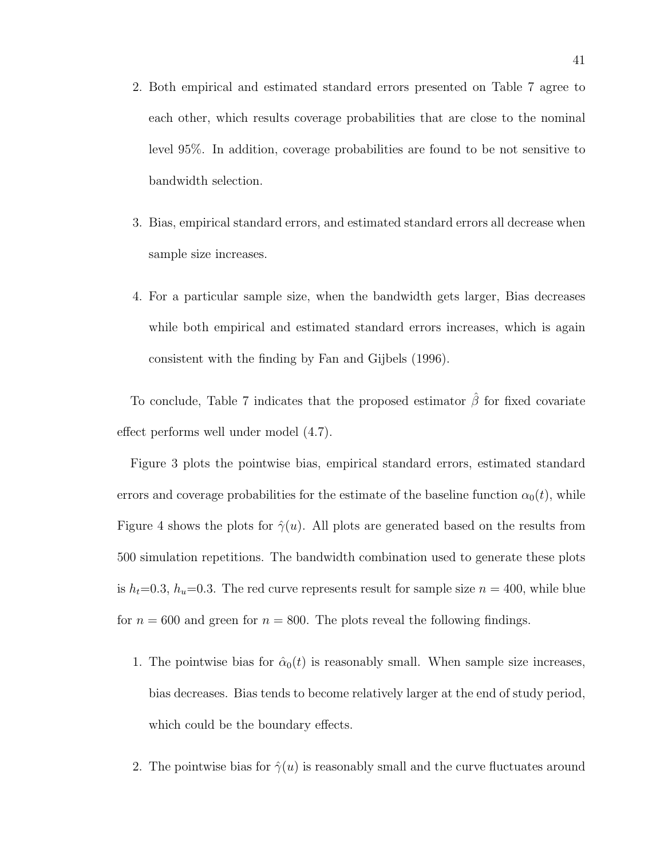- 2. Both empirical and estimated standard errors presented on Table 7 agree to each other, which results coverage probabilities that are close to the nominal level 95%. In addition, coverage probabilities are found to be not sensitive to bandwidth selection.
- 3. Bias, empirical standard errors, and estimated standard errors all decrease when sample size increases.
- 4. For a particular sample size, when the bandwidth gets larger, Bias decreases while both empirical and estimated standard errors increases, which is again consistent with the finding by Fan and Gijbels (1996).

To conclude, Table 7 indicates that the proposed estimator  $\hat{\beta}$  for fixed covariate effect performs well under model (4.7).

Figure 3 plots the pointwise bias, empirical standard errors, estimated standard errors and coverage probabilities for the estimate of the baseline function  $\alpha_0(t)$ , while Figure 4 shows the plots for  $\hat{\gamma}(u)$ . All plots are generated based on the results from 500 simulation repetitions. The bandwidth combination used to generate these plots is  $h_t=0.3$ ,  $h_u=0.3$ . The red curve represents result for sample size  $n = 400$ , while blue for  $n = 600$  and green for  $n = 800$ . The plots reveal the following findings.

- 1. The pointwise bias for  $\hat{\alpha}_0(t)$  is reasonably small. When sample size increases, bias decreases. Bias tends to become relatively larger at the end of study period, which could be the boundary effects.
- 2. The pointwise bias for  $\hat{\gamma}(u)$  is reasonably small and the curve fluctuates around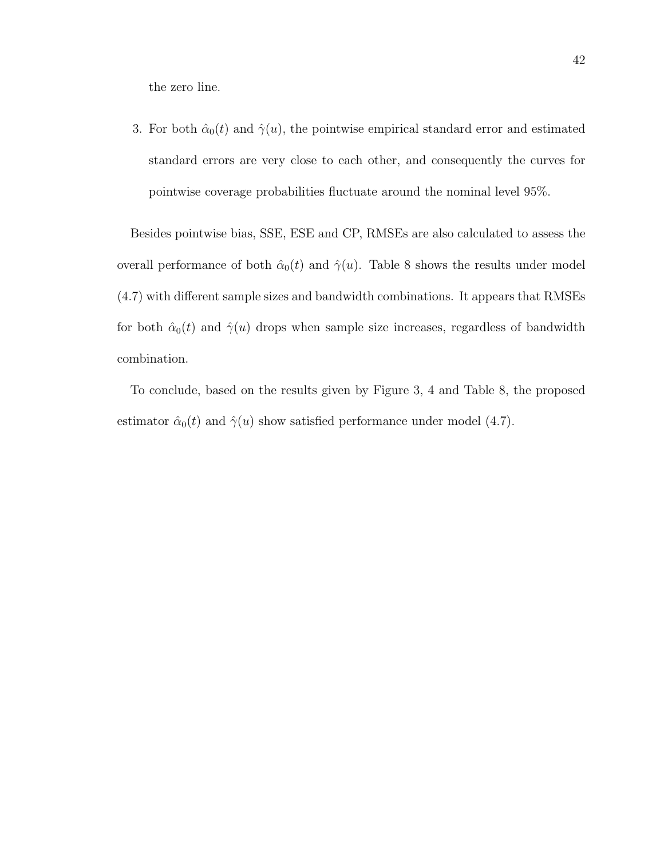the zero line.

3. For both  $\hat{\alpha}_0(t)$  and  $\hat{\gamma}(u)$ , the pointwise empirical standard error and estimated standard errors are very close to each other, and consequently the curves for pointwise coverage probabilities fluctuate around the nominal level 95%.

Besides pointwise bias, SSE, ESE and CP, RMSEs are also calculated to assess the overall performance of both  $\hat{\alpha}_0(t)$  and  $\hat{\gamma}(u)$ . Table 8 shows the results under model (4.7) with different sample sizes and bandwidth combinations. It appears that RMSEs for both  $\hat{\alpha}_0(t)$  and  $\hat{\gamma}(u)$  drops when sample size increases, regardless of bandwidth combination.

To conclude, based on the results given by Figure 3, 4 and Table 8, the proposed estimator  $\hat{\alpha}_0(t)$  and  $\hat{\gamma}(u)$  show satisfied performance under model (4.7).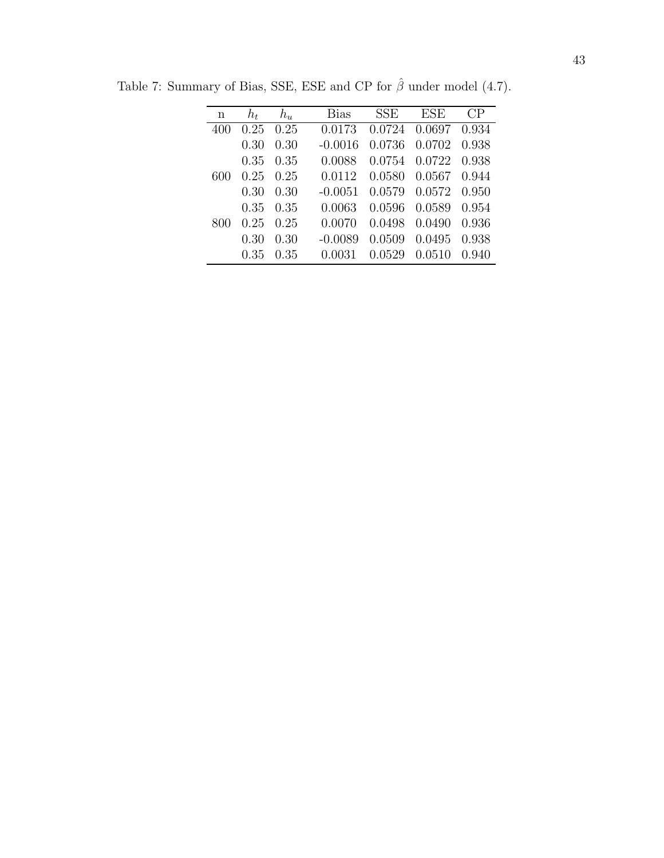| n   | $h_t$ | $h_u$ | Bias      | SSE    | ESE    | CР    |
|-----|-------|-------|-----------|--------|--------|-------|
|     |       |       |           |        |        |       |
| 400 | 0.25  | 0.25  | 0.0173    | 0.0724 | 0.0697 | 0.934 |
|     | 0.30  | 0.30  | $-0.0016$ | 0.0736 | 0.0702 | 0.938 |
|     | 0.35  | 0.35  | 0.0088    | 0.0754 | 0.0722 | 0.938 |
| 600 | 0.25  | 0.25  | 0.0112    | 0.0580 | 0.0567 | 0.944 |
|     | 0.30  | 0.30  | $-0.0051$ | 0.0579 | 0.0572 | 0.950 |
|     | 0.35  | 0.35  | 0.0063    | 0.0596 | 0.0589 | 0.954 |
| 800 | 0.25  | 0.25  | 0.0070    | 0.0498 | 0.0490 | 0.936 |
|     | 0.30  | 0.30  | $-0.0089$ | 0.0509 | 0.0495 | 0.938 |
|     | 0.35  | 0.35  | 0.0031    | 0.0529 | 0.0510 | 0.940 |

Table 7: Summary of Bias, SSE, ESE and CP for  $\hat{\beta}$  under model (4.7).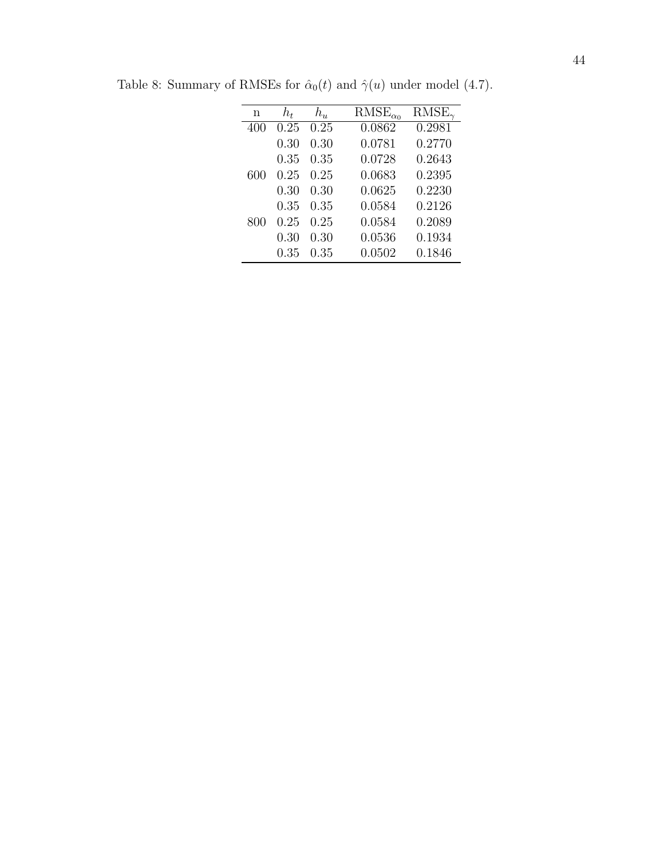| n   | h,   | $h_u$ | $RMSE_{\alpha}$ | $RMSE_{\gamma}$ |
|-----|------|-------|-----------------|-----------------|
| 400 | 0.25 | 0.25  | 0.0862          | 0.2981          |
|     | 0.30 | 0.30  | 0.0781          | 0.2770          |
|     | 0.35 | 0.35  | 0.0728          | 0.2643          |
| 600 | 0.25 | 0.25  | 0.0683          | 0.2395          |
|     | 0.30 | 0.30  | 0.0625          | 0.2230          |
|     | 0.35 | 0.35  | 0.0584          | 0.2126          |
| 800 | 0.25 | 0.25  | 0.0584          | 0.2089          |
|     | 0.30 | 0.30  | 0.0536          | 0.1934          |
|     | 0.35 | 0.35  | 0.0502          | 0.1846          |

Table 8: Summary of RMSEs for  $\hat{\alpha}_0(t)$  and  $\hat{\gamma}(u)$  under model (4.7).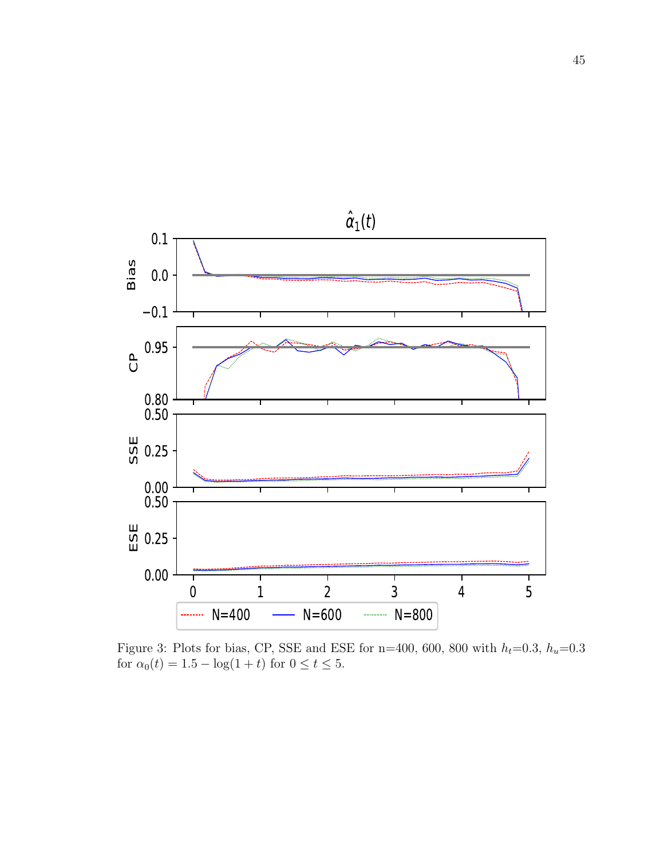

Figure 3: Plots for bias, CP, SSE and ESE for n=400, 600, 800 with  $h_t$ =0.3,  $h_u$ =0.3 for  $\alpha_0(t) = 1.5 - \log(1 + t)$  for  $0 \le t \le 5$ .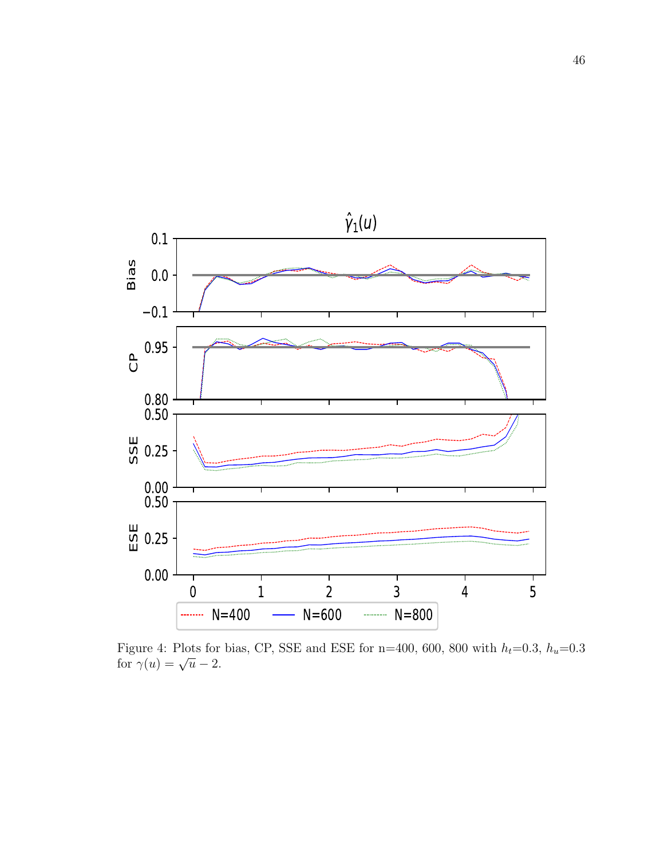

Figure 4: Plots for bias, CP, SSE and ESE for n=400, 600, 800 with  $h_t$ =0.3,  $h_u$ =0.3 Figure 4. 1 lots for<br>for  $\gamma(u) = \sqrt{u} - 2$ .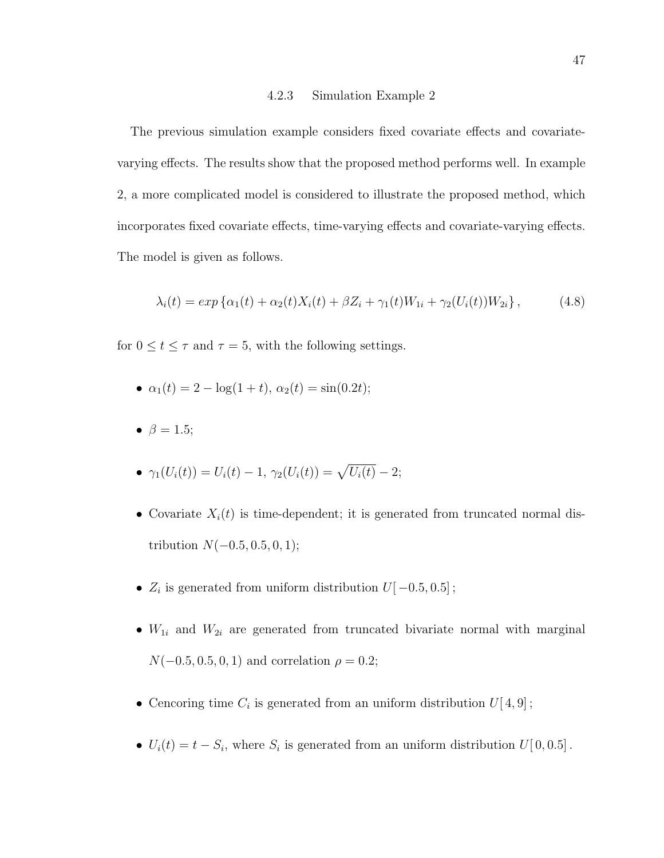#### 4.2.3 Simulation Example 2

The previous simulation example considers fixed covariate effects and covariatevarying effects. The results show that the proposed method performs well. In example 2, a more complicated model is considered to illustrate the proposed method, which incorporates fixed covariate effects, time-varying effects and covariate-varying effects. The model is given as follows.

$$
\lambda_i(t) = \exp\left\{\alpha_1(t) + \alpha_2(t)X_i(t) + \beta Z_i + \gamma_1(t)W_{1i} + \gamma_2(U_i(t))W_{2i}\right\},\tag{4.8}
$$

for  $0 \le t \le \tau$  and  $\tau = 5$ , with the following settings.

- $\alpha_1(t) = 2 \log(1+t), \alpha_2(t) = \sin(0.2t);$
- $\beta = 1.5$ ;
- $\gamma_1(U_i(t)) = U_i(t) 1$ ,  $\gamma_2(U_i(t)) = \sqrt{U_i(t)} 2$ ;
- Covariate  $X_i(t)$  is time-dependent; it is generated from truncated normal distribution  $N(-0.5, 0.5, 0, 1);$
- $Z_i$  is generated from uniform distribution  $U[-0.5, 0.5]$ ;
- $W_{1i}$  and  $W_{2i}$  are generated from truncated bivariate normal with marginal  $N(-0.5, 0.5, 0, 1)$  and correlation  $\rho = 0.2$ ;
- Cencoring time  $C_i$  is generated from an uniform distribution  $U[4,9]$ ;
- $U_i(t) = t S_i$ , where  $S_i$  is generated from an uniform distribution  $U[0, 0.5]$ .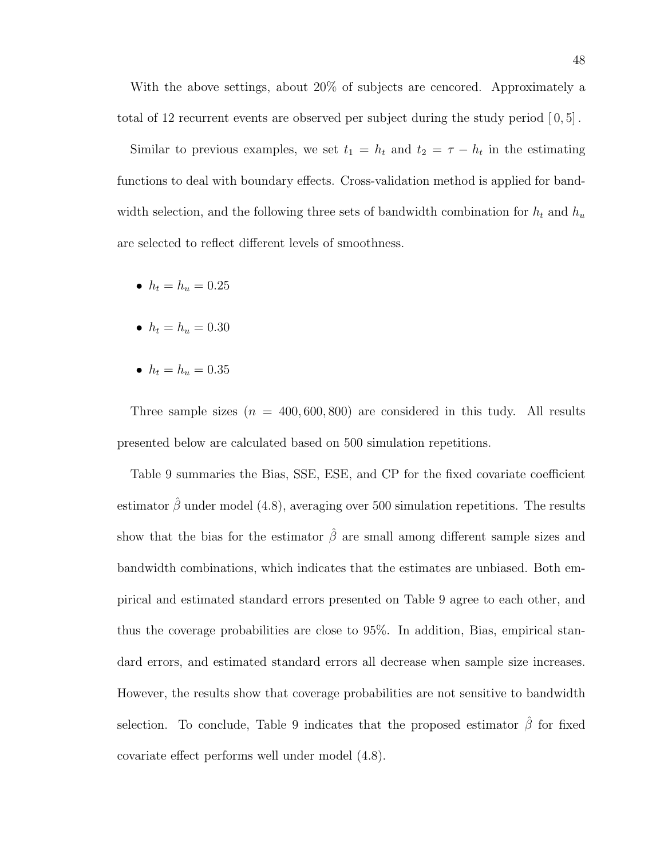With the above settings, about 20% of subjects are cencored. Approximately a total of 12 recurrent events are observed per subject during the study period  $[0,5]$ .

Similar to previous examples, we set  $t_1 = h_t$  and  $t_2 = \tau - h_t$  in the estimating functions to deal with boundary effects. Cross-validation method is applied for bandwidth selection, and the following three sets of bandwidth combination for  $h_t$  and  $h_u$ are selected to reflect different levels of smoothness.

- $h_t = h_u = 0.25$
- $h_t = h_u = 0.30$
- $h_t = h_u = 0.35$

Three sample sizes  $(n = 400, 600, 800)$  are considered in this tudy. All results presented below are calculated based on 500 simulation repetitions.

Table 9 summaries the Bias, SSE, ESE, and CP for the fixed covariate coefficient estimator  $\hat{\beta}$  under model (4.8), averaging over 500 simulation repetitions. The results show that the bias for the estimator  $\hat{\beta}$  are small among different sample sizes and bandwidth combinations, which indicates that the estimates are unbiased. Both empirical and estimated standard errors presented on Table 9 agree to each other, and thus the coverage probabilities are close to 95%. In addition, Bias, empirical standard errors, and estimated standard errors all decrease when sample size increases. However, the results show that coverage probabilities are not sensitive to bandwidth selection. To conclude, Table 9 indicates that the proposed estimator  $\hat{\beta}$  for fixed covariate effect performs well under model (4.8).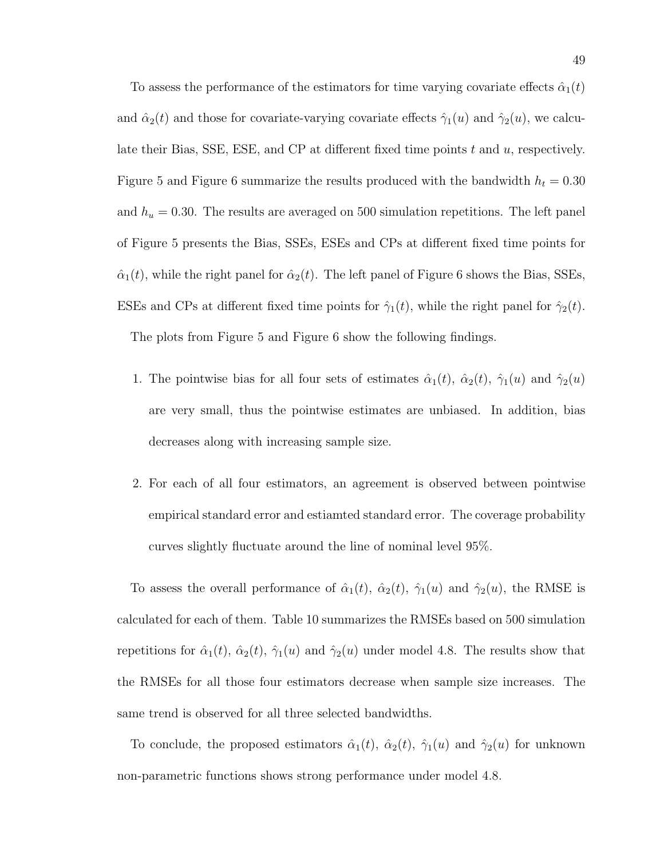To assess the performance of the estimators for time varying covariate effects  $\hat{\alpha}_1(t)$ and  $\hat{\alpha}_2(t)$  and those for covariate-varying covariate effects  $\hat{\gamma}_1(u)$  and  $\hat{\gamma}_2(u)$ , we calculate their Bias, SSE, ESE, and CP at different fixed time points t and u, respectively. Figure 5 and Figure 6 summarize the results produced with the bandwidth  $h_t = 0.30$ and  $h_u = 0.30$ . The results are averaged on 500 simulation repetitions. The left panel of Figure 5 presents the Bias, SSEs, ESEs and CPs at different fixed time points for  $\hat{\alpha}_1(t)$ , while the right panel for  $\hat{\alpha}_2(t)$ . The left panel of Figure 6 shows the Bias, SSEs, ESEs and CPs at different fixed time points for  $\hat{\gamma}_1(t)$ , while the right panel for  $\hat{\gamma}_2(t)$ . The plots from Figure 5 and Figure 6 show the following findings.

- 1. The pointwise bias for all four sets of estimates  $\hat{\alpha}_1(t)$ ,  $\hat{\alpha}_2(t)$ ,  $\hat{\gamma}_1(u)$  and  $\hat{\gamma}_2(u)$ are very small, thus the pointwise estimates are unbiased. In addition, bias decreases along with increasing sample size.
- 2. For each of all four estimators, an agreement is observed between pointwise empirical standard error and estiamted standard error. The coverage probability curves slightly fluctuate around the line of nominal level 95%.

To assess the overall performance of  $\hat{\alpha}_1(t)$ ,  $\hat{\alpha}_2(t)$ ,  $\hat{\gamma}_1(u)$  and  $\hat{\gamma}_2(u)$ , the RMSE is calculated for each of them. Table 10 summarizes the RMSEs based on 500 simulation repetitions for  $\hat{\alpha}_1(t)$ ,  $\hat{\alpha}_2(t)$ ,  $\hat{\gamma}_1(u)$  and  $\hat{\gamma}_2(u)$  under model 4.8. The results show that the RMSEs for all those four estimators decrease when sample size increases. The same trend is observed for all three selected bandwidths.

To conclude, the proposed estimators  $\hat{\alpha}_1(t)$ ,  $\hat{\alpha}_2(t)$ ,  $\hat{\gamma}_1(u)$  and  $\hat{\gamma}_2(u)$  for unknown non-parametric functions shows strong performance under model 4.8.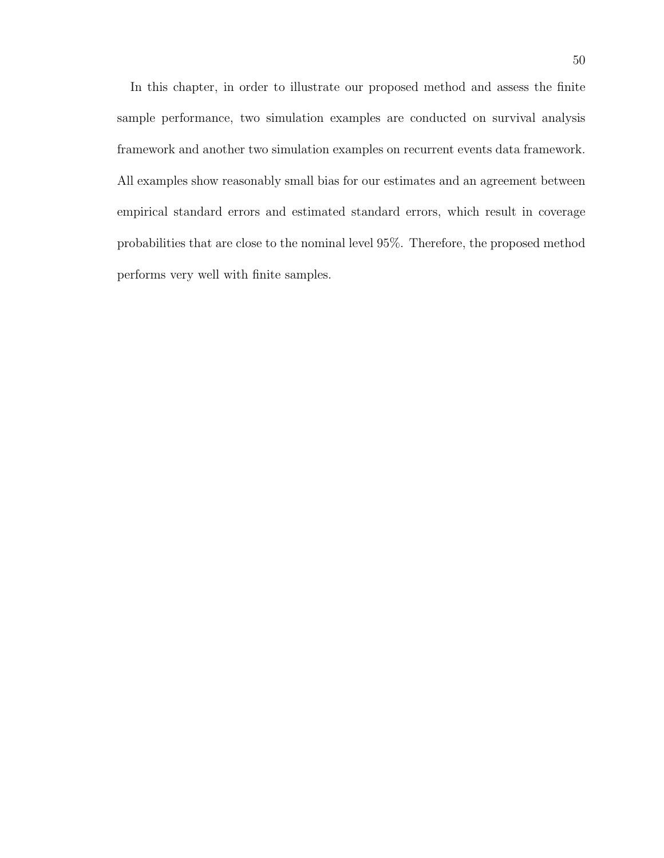In this chapter, in order to illustrate our proposed method and assess the finite sample performance, two simulation examples are conducted on survival analysis framework and another two simulation examples on recurrent events data framework. All examples show reasonably small bias for our estimates and an agreement between empirical standard errors and estimated standard errors, which result in coverage probabilities that are close to the nominal level 95%. Therefore, the proposed method performs very well with finite samples.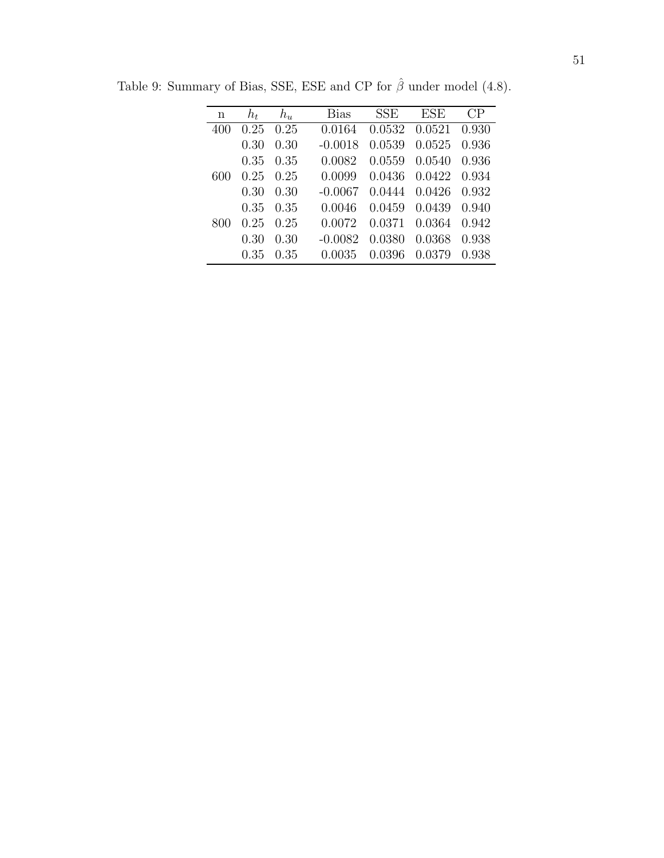| n   | $h_t$ | $h_u$ | Bias      | SSE    | ESE    | CР    |
|-----|-------|-------|-----------|--------|--------|-------|
| 400 | 0.25  | 0.25  | 0.0164    | 0.0532 | 0.0521 | 0.930 |
|     | 0.30  | 0.30  | $-0.0018$ | 0.0539 | 0.0525 | 0.936 |
|     | 0.35  | 0.35  | 0.0082    | 0.0559 | 0.0540 | 0.936 |
| 600 | 0.25  | 0.25  | 0.0099    | 0.0436 | 0.0422 | 0.934 |
|     | 0.30  | 0.30  | $-0.0067$ | 0.0444 | 0.0426 | 0.932 |
|     | 0.35  | 0.35  | 0.0046    | 0.0459 | 0.0439 | 0.940 |
| 800 | 0.25  | 0.25  | 0.0072    | 0.0371 | 0.0364 | 0.942 |
|     | 0.30  | 0.30  | $-0.0082$ | 0.0380 | 0.0368 | 0.938 |
|     | 0.35  | 0.35  | 0.0035    | 0.0396 | 0.0379 | 0.938 |

Table 9: Summary of Bias, SSE, ESE and CP for  $\hat{\beta}$  under model (4.8).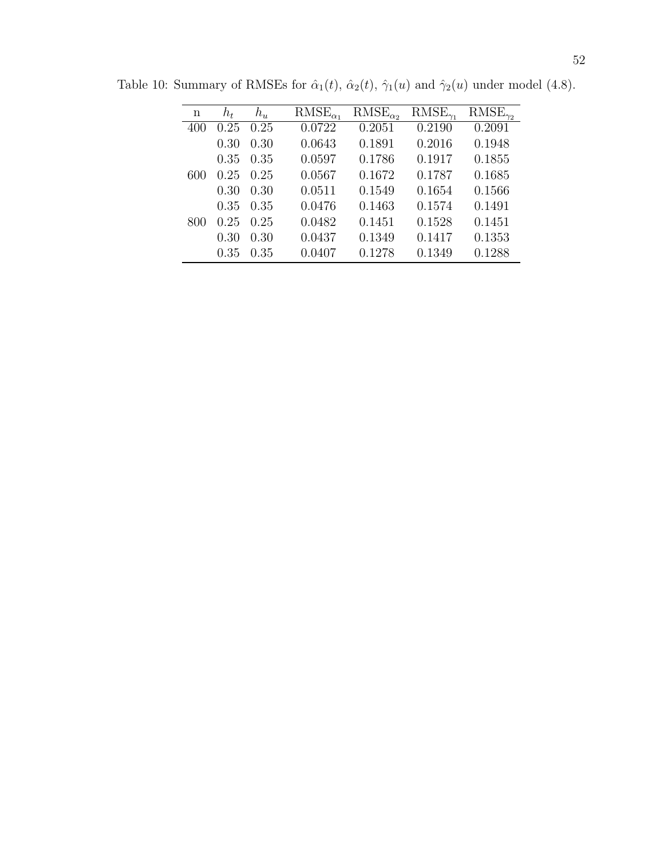| n   | $h_t$ | $h_u$ | $RMSE_{\alpha_1}$ | $RMSE_{\alpha}$ | $RMSE_{\gamma_1}$ | $RMSE_{\gamma_2}$ |
|-----|-------|-------|-------------------|-----------------|-------------------|-------------------|
| 400 | 0.25  | 0.25  | 0.0722            | 0.2051          | 0.2190            | 0.2091            |
|     | 0.30  | 0.30  | 0.0643            | 0.1891          | 0.2016            | 0.1948            |
|     | 0.35  | 0.35  | 0.0597            | 0.1786          | 0.1917            | 0.1855            |
| 600 | 0.25  | 0.25  | 0.0567            | 0.1672          | 0.1787            | 0.1685            |
|     | 0.30  | 0.30  | 0.0511            | 0.1549          | 0.1654            | 0.1566            |
|     | 0.35  | 0.35  | 0.0476            | 0.1463          | 0.1574            | 0.1491            |
| 800 | 0.25  | 0.25  | 0.0482            | 0.1451          | 0.1528            | 0.1451            |
|     | 0.30  | 0.30  | 0.0437            | 0.1349          | 0.1417            | 0.1353            |
|     | 0.35  | 0.35  | 0.0407            | 0.1278          | 0.1349            | 0.1288            |

Table 10: Summary of RMSEs for  $\hat{\alpha}_1(t)$ ,  $\hat{\alpha}_2(t)$ ,  $\hat{\gamma}_1(u)$  and  $\hat{\gamma}_2(u)$  under model (4.8).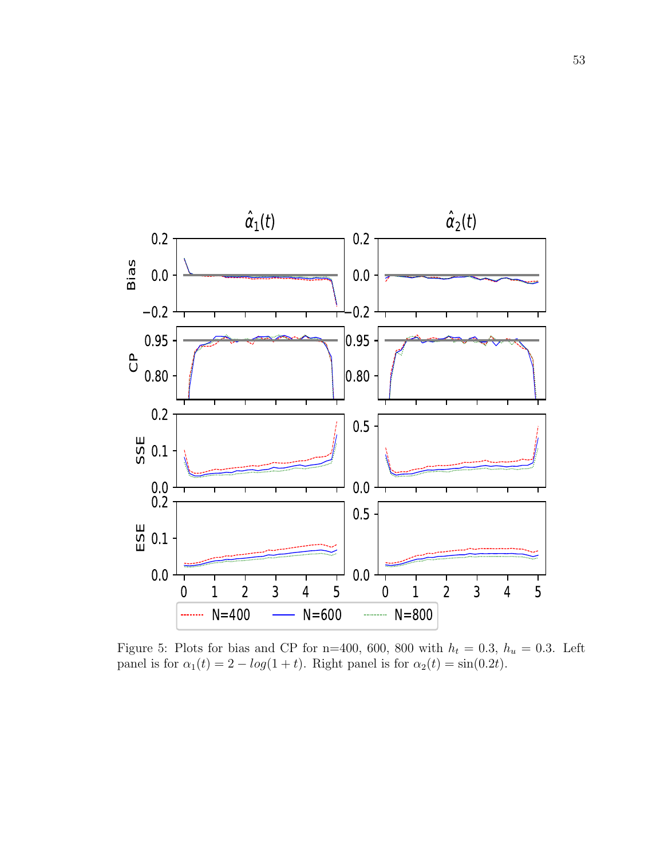

Figure 5: Plots for bias and CP for n=400, 600, 800 with  $h_t = 0.3$ ,  $h_u = 0.3$ . Left panel is for  $\alpha_1(t) = 2 - \log(1+t)$ . Right panel is for  $\alpha_2(t) = \sin(0.2t)$ .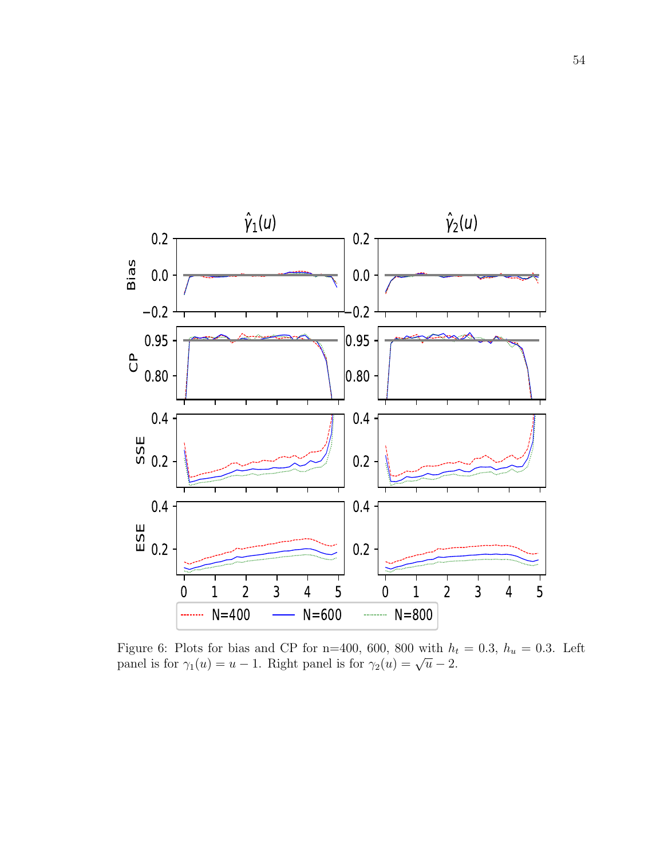

Figure 6: Plots for bias and CP for n=400, 600, 800 with  $h_t = 0.3$ ,  $h_u = 0.3$ . Left panel is for  $\gamma_1(u) = u - 1$ . Right panel is for  $\gamma_2(u) = \sqrt{u} - 2$ .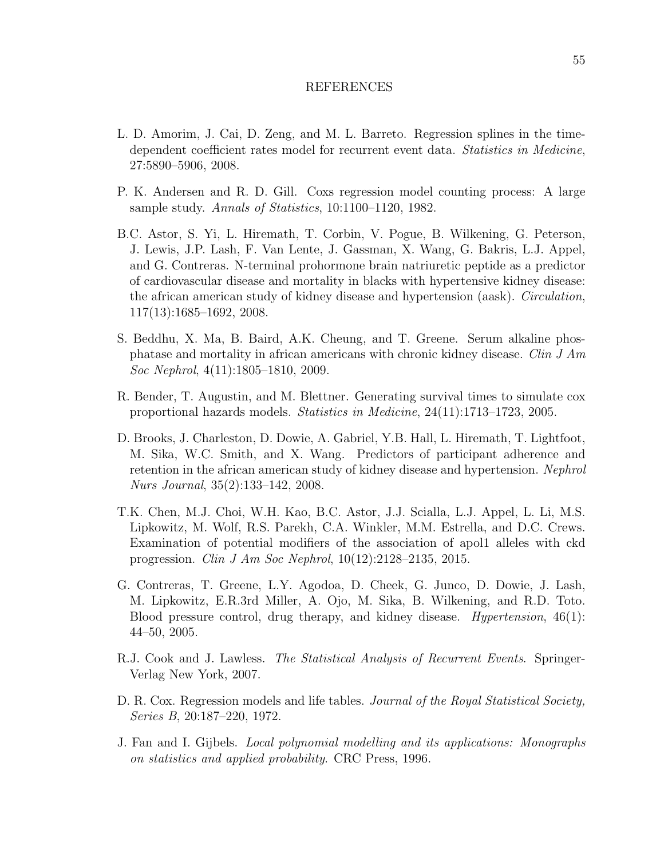#### REFERENCES

- L. D. Amorim, J. Cai, D. Zeng, and M. L. Barreto. Regression splines in the timedependent coefficient rates model for recurrent event data. Statistics in Medicine, 27:5890–5906, 2008.
- P. K. Andersen and R. D. Gill. Coxs regression model counting process: A large sample study. Annals of Statistics, 10:1100–1120, 1982.
- B.C. Astor, S. Yi, L. Hiremath, T. Corbin, V. Pogue, B. Wilkening, G. Peterson, J. Lewis, J.P. Lash, F. Van Lente, J. Gassman, X. Wang, G. Bakris, L.J. Appel, and G. Contreras. N-terminal prohormone brain natriuretic peptide as a predictor of cardiovascular disease and mortality in blacks with hypertensive kidney disease: the african american study of kidney disease and hypertension (aask). Circulation, 117(13):1685–1692, 2008.
- S. Beddhu, X. Ma, B. Baird, A.K. Cheung, and T. Greene. Serum alkaline phosphatase and mortality in african americans with chronic kidney disease. Clin J Am Soc Nephrol, 4(11):1805–1810, 2009.
- R. Bender, T. Augustin, and M. Blettner. Generating survival times to simulate cox proportional hazards models. Statistics in Medicine, 24(11):1713–1723, 2005.
- D. Brooks, J. Charleston, D. Dowie, A. Gabriel, Y.B. Hall, L. Hiremath, T. Lightfoot, M. Sika, W.C. Smith, and X. Wang. Predictors of participant adherence and retention in the african american study of kidney disease and hypertension. Nephrol Nurs Journal, 35(2):133–142, 2008.
- T.K. Chen, M.J. Choi, W.H. Kao, B.C. Astor, J.J. Scialla, L.J. Appel, L. Li, M.S. Lipkowitz, M. Wolf, R.S. Parekh, C.A. Winkler, M.M. Estrella, and D.C. Crews. Examination of potential modifiers of the association of apol1 alleles with ckd progression. Clin J Am Soc Nephrol, 10(12):2128–2135, 2015.
- G. Contreras, T. Greene, L.Y. Agodoa, D. Cheek, G. Junco, D. Dowie, J. Lash, M. Lipkowitz, E.R.3rd Miller, A. Ojo, M. Sika, B. Wilkening, and R.D. Toto. Blood pressure control, drug therapy, and kidney disease. Hypertension, 46(1): 44–50, 2005.
- R.J. Cook and J. Lawless. The Statistical Analysis of Recurrent Events. Springer-Verlag New York, 2007.
- D. R. Cox. Regression models and life tables. *Journal of the Royal Statistical Society*, Series B, 20:187–220, 1972.
- J. Fan and I. Gijbels. Local polynomial modelling and its applications: Monographs on statistics and applied probability. CRC Press, 1996.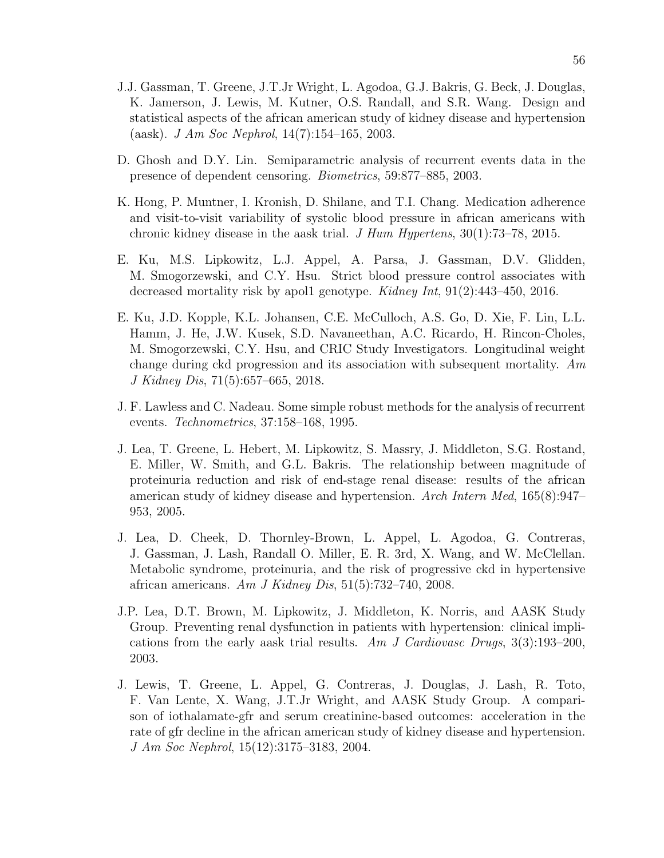- J.J. Gassman, T. Greene, J.T.Jr Wright, L. Agodoa, G.J. Bakris, G. Beck, J. Douglas, K. Jamerson, J. Lewis, M. Kutner, O.S. Randall, and S.R. Wang. Design and statistical aspects of the african american study of kidney disease and hypertension (aask). *J Am Soc Nephrol*,  $14(7):154-165$ , 2003.
- D. Ghosh and D.Y. Lin. Semiparametric analysis of recurrent events data in the presence of dependent censoring. Biometrics, 59:877–885, 2003.
- K. Hong, P. Muntner, I. Kronish, D. Shilane, and T.I. Chang. Medication adherence and visit-to-visit variability of systolic blood pressure in african americans with chronic kidney disease in the aask trial. J Hum Hypertens,  $30(1)$ : 73–78, 2015.
- E. Ku, M.S. Lipkowitz, L.J. Appel, A. Parsa, J. Gassman, D.V. Glidden, M. Smogorzewski, and C.Y. Hsu. Strict blood pressure control associates with decreased mortality risk by apol1 genotype. Kidney Int, 91(2):443–450, 2016.
- E. Ku, J.D. Kopple, K.L. Johansen, C.E. McCulloch, A.S. Go, D. Xie, F. Lin, L.L. Hamm, J. He, J.W. Kusek, S.D. Navaneethan, A.C. Ricardo, H. Rincon-Choles, M. Smogorzewski, C.Y. Hsu, and CRIC Study Investigators. Longitudinal weight change during ckd progression and its association with subsequent mortality. Am J Kidney Dis, 71(5):657–665, 2018.
- J. F. Lawless and C. Nadeau. Some simple robust methods for the analysis of recurrent events. Technometrics, 37:158–168, 1995.
- J. Lea, T. Greene, L. Hebert, M. Lipkowitz, S. Massry, J. Middleton, S.G. Rostand, E. Miller, W. Smith, and G.L. Bakris. The relationship between magnitude of proteinuria reduction and risk of end-stage renal disease: results of the african american study of kidney disease and hypertension. Arch Intern Med, 165(8):947– 953, 2005.
- J. Lea, D. Cheek, D. Thornley-Brown, L. Appel, L. Agodoa, G. Contreras, J. Gassman, J. Lash, Randall O. Miller, E. R. 3rd, X. Wang, and W. McClellan. Metabolic syndrome, proteinuria, and the risk of progressive ckd in hypertensive african americans. Am J Kidney Dis,  $51(5)$ :732–740, 2008.
- J.P. Lea, D.T. Brown, M. Lipkowitz, J. Middleton, K. Norris, and AASK Study Group. Preventing renal dysfunction in patients with hypertension: clinical implications from the early aask trial results. Am J Cardiovasc Drugs,  $3(3):193-200$ , 2003.
- J. Lewis, T. Greene, L. Appel, G. Contreras, J. Douglas, J. Lash, R. Toto, F. Van Lente, X. Wang, J.T.Jr Wright, and AASK Study Group. A comparison of iothalamate-gfr and serum creatinine-based outcomes: acceleration in the rate of gfr decline in the african american study of kidney disease and hypertension. J Am Soc Nephrol, 15(12):3175–3183, 2004.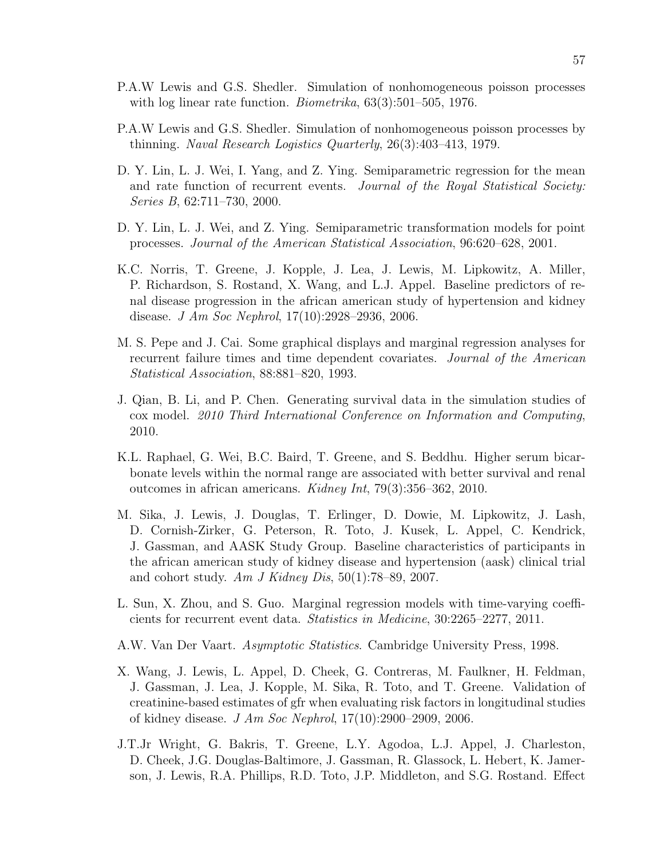- P.A.W Lewis and G.S. Shedler. Simulation of nonhomogeneous poisson processes with log linear rate function. *Biometrika*, 63(3):501–505, 1976.
- P.A.W Lewis and G.S. Shedler. Simulation of nonhomogeneous poisson processes by thinning. Naval Research Logistics Quarterly, 26(3):403–413, 1979.
- D. Y. Lin, L. J. Wei, I. Yang, and Z. Ying. Semiparametric regression for the mean and rate function of recurrent events. Journal of the Royal Statistical Society: Series B, 62:711–730, 2000.
- D. Y. Lin, L. J. Wei, and Z. Ying. Semiparametric transformation models for point processes. Journal of the American Statistical Association, 96:620–628, 2001.
- K.C. Norris, T. Greene, J. Kopple, J. Lea, J. Lewis, M. Lipkowitz, A. Miller, P. Richardson, S. Rostand, X. Wang, and L.J. Appel. Baseline predictors of renal disease progression in the african american study of hypertension and kidney disease. J Am Soc Nephrol, 17(10):2928–2936, 2006.
- M. S. Pepe and J. Cai. Some graphical displays and marginal regression analyses for recurrent failure times and time dependent covariates. Journal of the American Statistical Association, 88:881–820, 1993.
- J. Qian, B. Li, and P. Chen. Generating survival data in the simulation studies of cox model. 2010 Third International Conference on Information and Computing, 2010.
- K.L. Raphael, G. Wei, B.C. Baird, T. Greene, and S. Beddhu. Higher serum bicarbonate levels within the normal range are associated with better survival and renal outcomes in african americans. Kidney Int, 79(3):356–362, 2010.
- M. Sika, J. Lewis, J. Douglas, T. Erlinger, D. Dowie, M. Lipkowitz, J. Lash, D. Cornish-Zirker, G. Peterson, R. Toto, J. Kusek, L. Appel, C. Kendrick, J. Gassman, and AASK Study Group. Baseline characteristics of participants in the african american study of kidney disease and hypertension (aask) clinical trial and cohort study. Am J Kidney Dis,  $50(1)$ :78–89, 2007.
- L. Sun, X. Zhou, and S. Guo. Marginal regression models with time-varying coefficients for recurrent event data. Statistics in Medicine, 30:2265–2277, 2011.
- A.W. Van Der Vaart. Asymptotic Statistics. Cambridge University Press, 1998.
- X. Wang, J. Lewis, L. Appel, D. Cheek, G. Contreras, M. Faulkner, H. Feldman, J. Gassman, J. Lea, J. Kopple, M. Sika, R. Toto, and T. Greene. Validation of creatinine-based estimates of gfr when evaluating risk factors in longitudinal studies of kidney disease. J Am Soc Nephrol, 17(10):2900–2909, 2006.
- J.T.Jr Wright, G. Bakris, T. Greene, L.Y. Agodoa, L.J. Appel, J. Charleston, D. Cheek, J.G. Douglas-Baltimore, J. Gassman, R. Glassock, L. Hebert, K. Jamerson, J. Lewis, R.A. Phillips, R.D. Toto, J.P. Middleton, and S.G. Rostand. Effect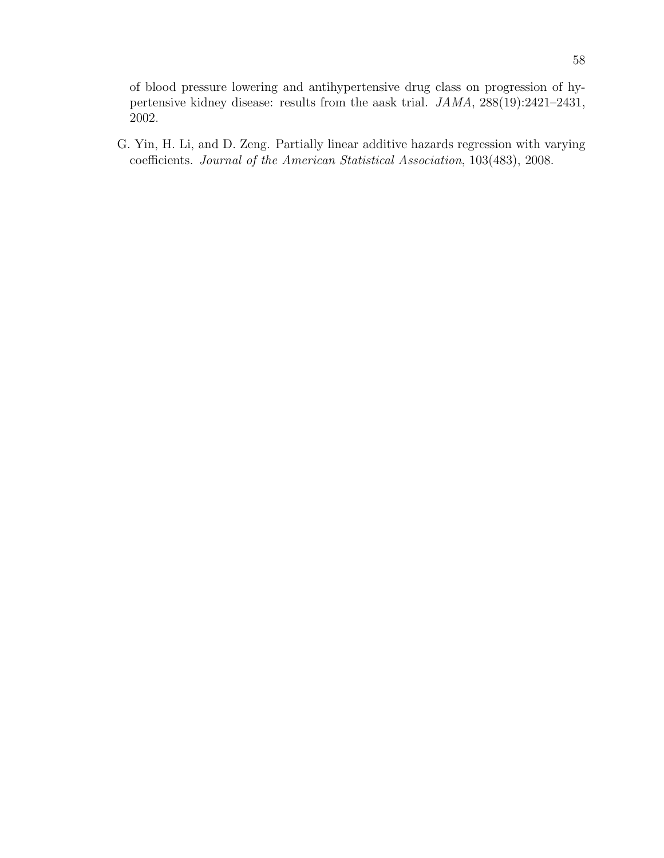of blood pressure lowering and antihypertensive drug class on progression of hypertensive kidney disease: results from the aask trial. JAMA, 288(19):2421–2431, 2002.

G. Yin, H. Li, and D. Zeng. Partially linear additive hazards regression with varying coefficients. Journal of the American Statistical Association, 103(483), 2008.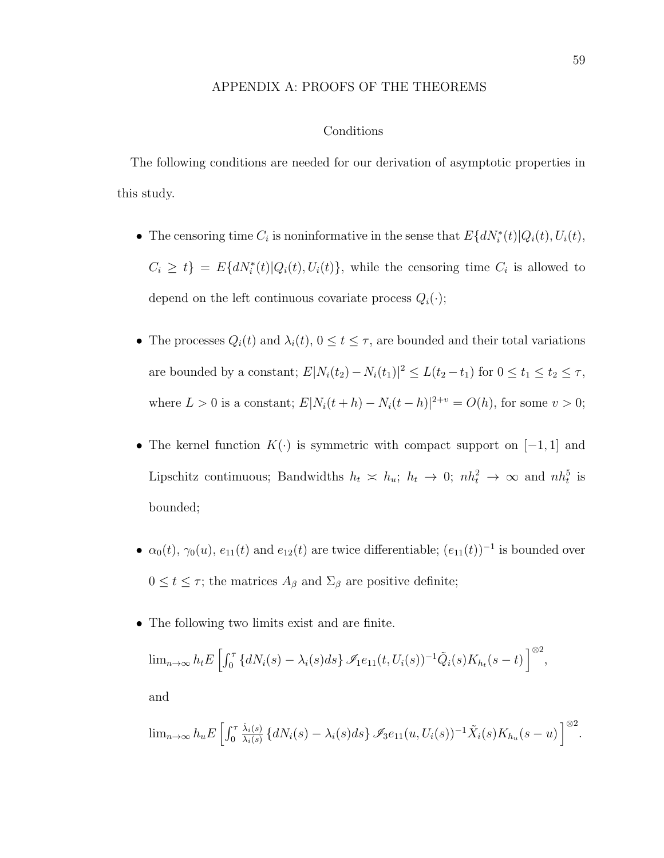#### APPENDIX A: PROOFS OF THE THEOREMS

### Conditions

The following conditions are needed for our derivation of asymptotic properties in this study.

- The censoring time  $C_i$  is noninformative in the sense that  $E\{dN_i^*(t)|Q_i(t), U_i(t),\}$  $C_i \geq t$ } =  $E\{dN_i^*(t)|Q_i(t),U_i(t)\}$ , while the censoring time  $C_i$  is allowed to depend on the left continuous covariate process  $Q_i(\cdot)$ ;
- The processes  $Q_i(t)$  and  $\lambda_i(t)$ ,  $0 \le t \le \tau$ , are bounded and their total variations are bounded by a constant;  $E|N_i(t_2) - N_i(t_1)|^2 \le L(t_2 - t_1)$  for  $0 \le t_1 \le t_2 \le \tau$ , where  $L > 0$  is a constant;  $E|N_i(t+h) - N_i(t-h)|^{2+v} = O(h)$ , for some  $v > 0$ ;
- The kernel function  $K(\cdot)$  is symmetric with compact support on  $[-1, 1]$  and Lipschitz continuous; Bandwidths  $h_t \approx h_u$ ;  $h_t \to 0$ ;  $nh_t^2 \to \infty$  and  $nh_t^5$  is bounded;
- $\alpha_0(t)$ ,  $\gamma_0(u)$ ,  $e_{11}(t)$  and  $e_{12}(t)$  are twice differentiable;  $(e_{11}(t))^{-1}$  is bounded over  $0 \le t \le \tau$ ; the matrices  $A_{\beta}$  and  $\Sigma_{\beta}$  are positive definite;
- The following two limits exist and are finite.

$$
\lim_{n\to\infty} h_t E\left[\int_0^\tau \left\{dN_i(s) - \lambda_i(s)ds\right\} \mathcal{J}_1 e_{11}(t, U_i(s))^{-1} \tilde{Q}_i(s) K_{h_t}(s-t)\right]^{\otimes 2},\right]
$$
 and

 $\lim_{n\to\infty}h_uE\left[\int_0^{\tau}$  $\dot{\lambda}_i(s)$  $\frac{\dot \lambda_i(s)}{\lambda_i(s)} \left\{ dN_i(s) - \lambda_i(s) ds \right\} \mathscr{I}_3e_{11}(u,U_i(s))^{-1} \tilde X_i(s) K_{h_u}(s-u) \left|^{\otimes 2}.$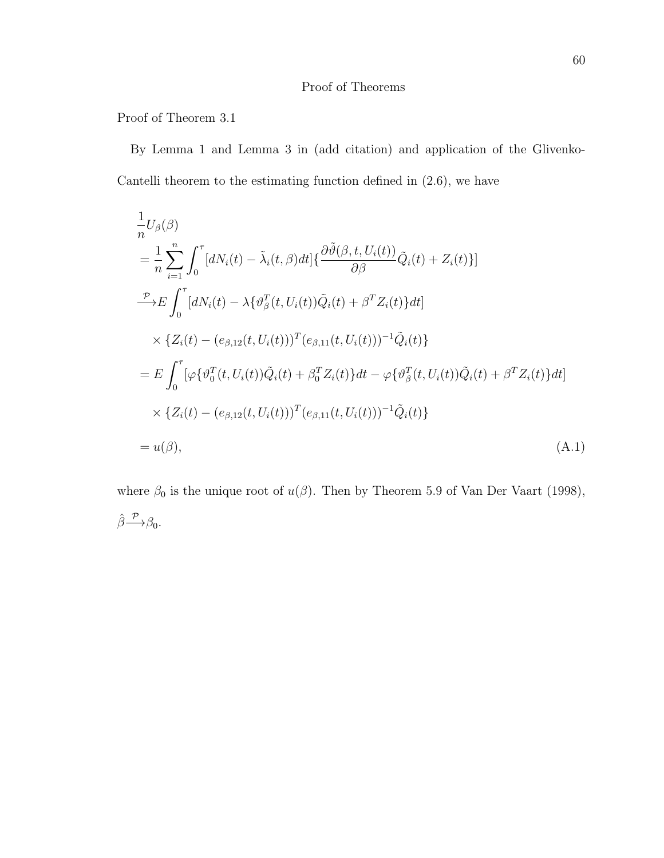# Proof of Theorems

Proof of Theorem 3.1

By Lemma 1 and Lemma 3 in (add citation) and application of the Glivenko-Cantelli theorem to the estimating function defined in (2.6), we have

$$
\frac{1}{n}U_{\beta}(\beta)
$$
\n
$$
= \frac{1}{n}\sum_{i=1}^{n}\int_{0}^{\tau}[dN_{i}(t) - \tilde{\lambda}_{i}(t,\beta)dt] \{\frac{\partial\tilde{\theta}(\beta,t,U_{i}(t))}{\partial\beta}\tilde{Q}_{i}(t) + Z_{i}(t)\}]
$$
\n
$$
\xrightarrow{\mathcal{P}} E \int_{0}^{\tau}[dN_{i}(t) - \lambda\{\vartheta_{\beta}^{T}(t,U_{i}(t))\tilde{Q}_{i}(t) + \beta^{T}Z_{i}(t)\}dt]
$$
\n
$$
\times \{Z_{i}(t) - (e_{\beta,12}(t,U_{i}(t)))^{T}(e_{\beta,11}(t,U_{i}(t)))^{-1}\tilde{Q}_{i}(t)\}
$$
\n
$$
= E \int_{0}^{\tau}[\varphi\{\vartheta_{0}^{T}(t,U_{i}(t))\tilde{Q}_{i}(t) + \beta_{0}^{T}Z_{i}(t)\}dt - \varphi\{\vartheta_{\beta}^{T}(t,U_{i}(t))\tilde{Q}_{i}(t) + \beta^{T}Z_{i}(t)\}dt]
$$
\n
$$
\times \{Z_{i}(t) - (e_{\beta,12}(t,U_{i}(t)))^{T}(e_{\beta,11}(t,U_{i}(t)))^{-1}\tilde{Q}_{i}(t)\}
$$
\n
$$
= u(\beta), \qquad (A.1)
$$

where  $\beta_0$  is the unique root of  $u(\beta)$ . Then by Theorem 5.9 of Van Der Vaart (1998),  $\hat{\beta} \stackrel{\mathcal{P}}{\longrightarrow} \beta_0.$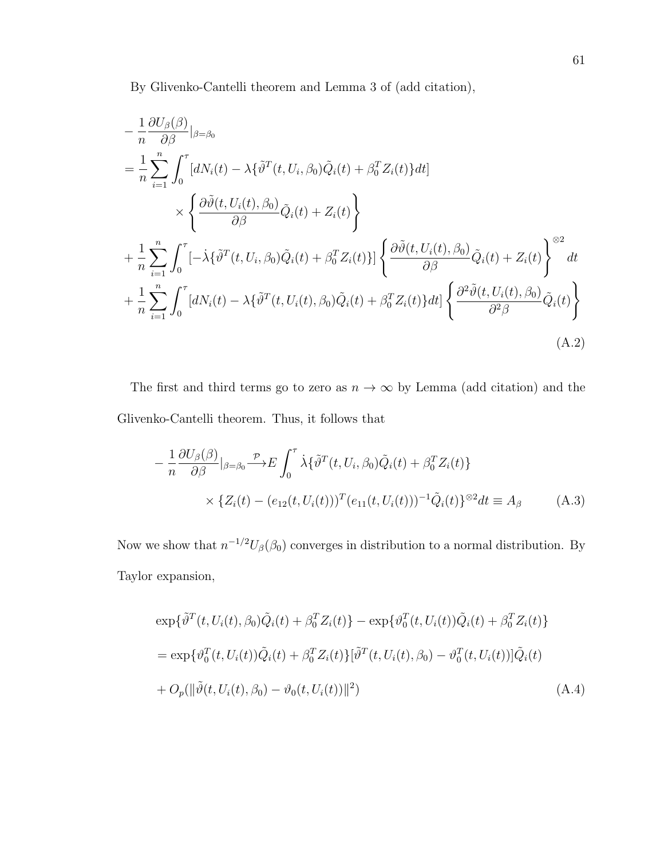By Glivenko-Cantelli theorem and Lemma 3 of (add citation),

$$
-\frac{1}{n}\frac{\partial U_{\beta}(\beta)}{\partial \beta}|_{\beta=\beta_{0}}
$$
\n
$$
=\frac{1}{n}\sum_{i=1}^{n}\int_{0}^{\tau}[dN_{i}(t)-\lambda\{\tilde{\vartheta}^{T}(t,U_{i},\beta_{0})\tilde{Q}_{i}(t)+\beta_{0}^{T}Z_{i}(t)\}dt]
$$
\n
$$
\times\left\{\frac{\partial\tilde{\vartheta}(t,U_{i}(t),\beta_{0})}{\partial\beta}\tilde{Q}_{i}(t)+Z_{i}(t)\right\}
$$
\n
$$
+\frac{1}{n}\sum_{i=1}^{n}\int_{0}^{\tau}[-\lambda\{\tilde{\vartheta}^{T}(t,U_{i},\beta_{0})\tilde{Q}_{i}(t)+\beta_{0}^{T}Z_{i}(t)\}]\left\{\frac{\partial\tilde{\vartheta}(t,U_{i}(t),\beta_{0})}{\partial\beta}\tilde{Q}_{i}(t)+Z_{i}(t)\right\}^{\otimes2}dt
$$
\n
$$
+\frac{1}{n}\sum_{i=1}^{n}\int_{0}^{\tau}[dN_{i}(t)-\lambda\{\tilde{\vartheta}^{T}(t,U_{i}(t),\beta_{0})\tilde{Q}_{i}(t)+\beta_{0}^{T}Z_{i}(t)\}dt]\left\{\frac{\partial^{2}\tilde{\vartheta}(t,U_{i}(t),\beta_{0})}{\partial^{2}\beta}\tilde{Q}_{i}(t)\right\}
$$
\n(A.2)

The first and third terms go to zero as  $n \to \infty$  by Lemma (add citation) and the Glivenko-Cantelli theorem. Thus, it follows that

$$
-\frac{1}{n}\frac{\partial U_{\beta}(\beta)}{\partial \beta}|_{\beta=\beta_0}\stackrel{\mathcal{P}}{\longrightarrow}E\int_0^\tau \dot{\lambda}\{\tilde{\vartheta}^T(t,U_i,\beta_0)\tilde{Q}_i(t)+\beta_0^T Z_i(t)\}\times\{Z_i(t)-(e_{12}(t,U_i(t)))^T(e_{11}(t,U_i(t)))^{-1}\tilde{Q}_i(t)\}^{\otimes 2}dt\equiv A_{\beta}
$$
 (A.3)

Now we show that  $n^{-1/2}U_{\beta}(\beta_0)$  converges in distribution to a normal distribution. By Taylor expansion,

$$
\exp{\{\tilde{\vartheta}^{T}(t, U_{i}(t), \beta_{0})\tilde{Q}_{i}(t) + \beta_{0}^{T}Z_{i}(t)\} - \exp{\{\vartheta_{0}^{T}(t, U_{i}(t))\tilde{Q}_{i}(t) + \beta_{0}^{T}Z_{i}(t)\}}
$$
\n
$$
= \exp{\{\vartheta_{0}^{T}(t, U_{i}(t))\tilde{Q}_{i}(t) + \beta_{0}^{T}Z_{i}(t)\}[\tilde{\vartheta}^{T}(t, U_{i}(t), \beta_{0}) - \vartheta_{0}^{T}(t, U_{i}(t))]\tilde{Q}_{i}(t)}
$$
\n
$$
+ O_{p}(\|\tilde{\vartheta}(t, U_{i}(t), \beta_{0}) - \vartheta_{0}(t, U_{i}(t))\|^{2})
$$
\n(A.4)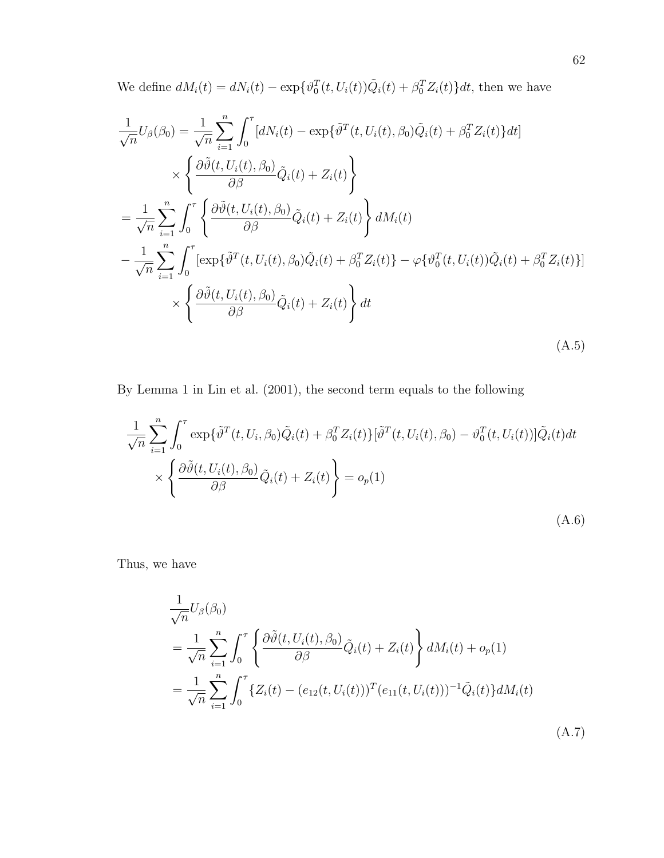We define  $dM_i(t) = dN_i(t) - \exp{\{\theta_0^T(t, U_i(t))\tilde{Q}_i(t) + \beta_0^T Z_i(t)\}}dt$ , then we have

$$
\frac{1}{\sqrt{n}}U_{\beta}(\beta_{0}) = \frac{1}{\sqrt{n}}\sum_{i=1}^{n} \int_{0}^{\tau} [dN_{i}(t) - \exp{\{\tilde{\vartheta}^{T}(t, U_{i}(t), \beta_{0})\tilde{Q}_{i}(t) + \beta_{0}^{T}Z_{i}(t)\}dt}] \times \left\{\frac{\partial \tilde{\vartheta}(t, U_{i}(t), \beta_{0})}{\partial \beta} \tilde{Q}_{i}(t) + Z_{i}(t)\right\}
$$
\n
$$
= \frac{1}{\sqrt{n}}\sum_{i=1}^{n} \int_{0}^{\tau} \left\{\frac{\partial \tilde{\vartheta}(t, U_{i}(t), \beta_{0})}{\partial \beta} \tilde{Q}_{i}(t) + Z_{i}(t)\right\} dM_{i}(t)
$$
\n
$$
- \frac{1}{\sqrt{n}}\sum_{i=1}^{n} \int_{0}^{\tau} [\exp{\{\tilde{\vartheta}^{T}(t, U_{i}(t), \beta_{0})\tilde{Q}_{i}(t) + \beta_{0}^{T}Z_{i}(t)\} - \varphi{\{\vartheta_{0}^{T}(t, U_{i}(t))\tilde{Q}_{i}(t) + \beta_{0}^{T}Z_{i}(t)\}] \times \left\{\frac{\partial \tilde{\vartheta}(t, U_{i}(t), \beta_{0})}{\partial \beta} \tilde{Q}_{i}(t) + Z_{i}(t)\right\} dt
$$
\n(A.5)

By Lemma 1 in Lin et al. (2001), the second term equals to the following

$$
\frac{1}{\sqrt{n}} \sum_{i=1}^{n} \int_{0}^{\tau} \exp{\{\tilde{\vartheta}^{T}(t, U_{i}, \beta_{0})\tilde{Q}_{i}(t) + \beta_{0}^{T} Z_{i}(t)\}\tilde{\vartheta}^{T}(t, U_{i}(t), \beta_{0}) - \vartheta_{0}^{T}(t, U_{i}(t))]\tilde{Q}_{i}(t)dt}
$$
\n
$$
\times \left\{\frac{\partial \tilde{\vartheta}(t, U_{i}(t), \beta_{0})}{\partial \beta}\tilde{Q}_{i}(t) + Z_{i}(t)\right\} = o_{p}(1)
$$
\n(A.6)

Thus, we have

$$
\frac{1}{\sqrt{n}}U_{\beta}(\beta_{0})
$$
\n
$$
= \frac{1}{\sqrt{n}}\sum_{i=1}^{n}\int_{0}^{\tau}\left\{\frac{\partial\tilde{\vartheta}(t,U_{i}(t),\beta_{0})}{\partial\beta}\tilde{Q}_{i}(t)+Z_{i}(t)\right\}dM_{i}(t)+o_{p}(1)
$$
\n
$$
= \frac{1}{\sqrt{n}}\sum_{i=1}^{n}\int_{0}^{\tau}\left\{Z_{i}(t)-(e_{12}(t,U_{i}(t)))^{T}(e_{11}(t,U_{i}(t)))^{-1}\tilde{Q}_{i}(t)\right\}dM_{i}(t)
$$
\n(A.7)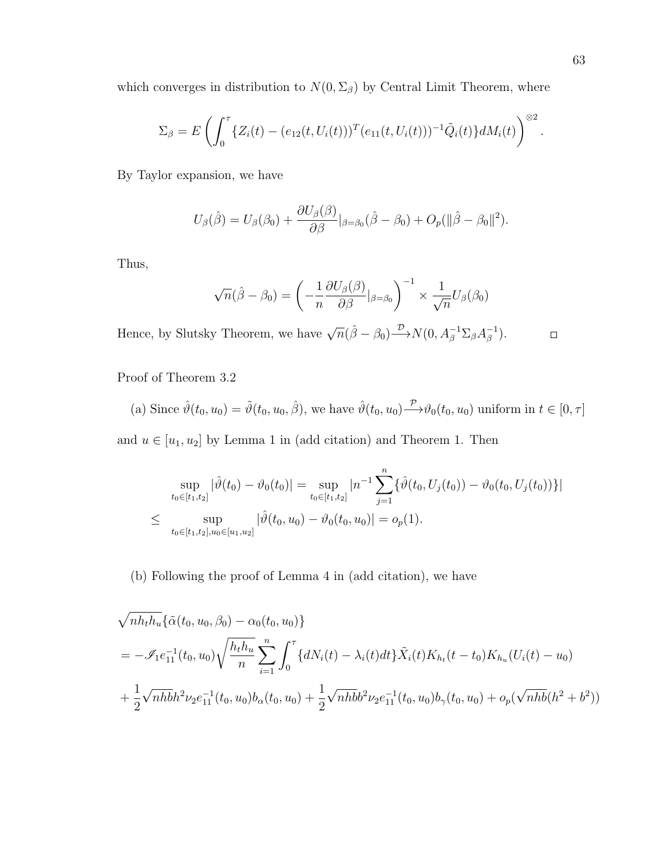which converges in distribution to  $N(0, \Sigma_{\beta})$  by Central Limit Theorem, where

$$
\Sigma_{\beta} = E\left(\int_0^{\tau} \{Z_i(t) - (e_{12}(t, U_i(t)))^T (e_{11}(t, U_i(t)))^{-1} \tilde{Q}_i(t)\} dM_i(t)\right)^{\otimes 2}.
$$

By Taylor expansion, we have

$$
U_{\beta}(\hat{\beta})=U_{\beta}(\beta_0)+\frac{\partial U_{\beta}(\beta)}{\partial \beta}|_{\beta=\beta_0}(\hat{\beta}-\beta_0)+O_p(\|\hat{\beta}-\beta_0\|^2).
$$

Thus,

$$
\sqrt{n}(\hat{\beta}-\beta_0) = \left(-\frac{1}{n}\frac{\partial U_{\beta}(\beta)}{\partial \beta}|_{\beta=\beta_0}\right)^{-1} \times \frac{1}{\sqrt{n}}U_{\beta}(\beta_0)
$$

Hence, by Slutsky Theorem, we have  $\sqrt{n}(\hat{\beta} - \beta_0) \rightarrow N(0, A_\beta^{-1} \Sigma_\beta A_\beta^{-1})$  $\frac{-1}{\beta}$ ).

 $\Box$ 

Proof of Theorem 3.2

(a) Since 
$$
\hat{\vartheta}(t_0, u_0) = \tilde{\vartheta}(t_0, u_0, \hat{\beta})
$$
, we have  $\hat{\vartheta}(t_0, u_0) \stackrel{\mathcal{P}}{\longrightarrow} \vartheta_0(t_0, u_0)$  uniform in  $t \in [0, \tau]$ 

and  $u \in [u_1, u_2]$  by Lemma 1 in (add citation) and Theorem 1. Then

$$
\sup_{t_0 \in [t_1, t_2]} |\hat{\vartheta}(t_0) - \vartheta_0(t_0)| = \sup_{t_0 \in [t_1, t_2]} |n^{-1} \sum_{j=1}^n {\{\hat{\vartheta}(t_0, U_j(t_0)) - \vartheta_0(t_0, U_j(t_0))\}}|
$$
  

$$
\leq \sup_{t_0 \in [t_1, t_2], u_0 \in [u_1, u_2]} |\hat{\vartheta}(t_0, u_0) - \vartheta_0(t_0, u_0)| = o_p(1).
$$

(b) Following the proof of Lemma 4 in (add citation), we have

$$
\sqrt{nh_t h_u} \{\tilde{\alpha}(t_0, u_0, \beta_0) - \alpha_0(t_0, u_0)\}
$$
  
=  $-\mathcal{I}_1 e_{11}^{-1}(t_0, u_0) \sqrt{\frac{h_t h_u}{n}} \sum_{i=1}^n \int_0^\tau \{dN_i(t) - \lambda_i(t)dt\} \tilde{X}_i(t) K_{h_t}(t - t_0) K_{h_u}(U_i(t) - u_0)$   
+  $\frac{1}{2} \sqrt{n h b h^2 \nu_2 e_{11}^{-1}}(t_0, u_0) b_\alpha(t_0, u_0) + \frac{1}{2} \sqrt{n h b b^2 \nu_2 e_{11}^{-1}}(t_0, u_0) b_\gamma(t_0, u_0) + o_p(\sqrt{n h b (h^2 + b^2)})$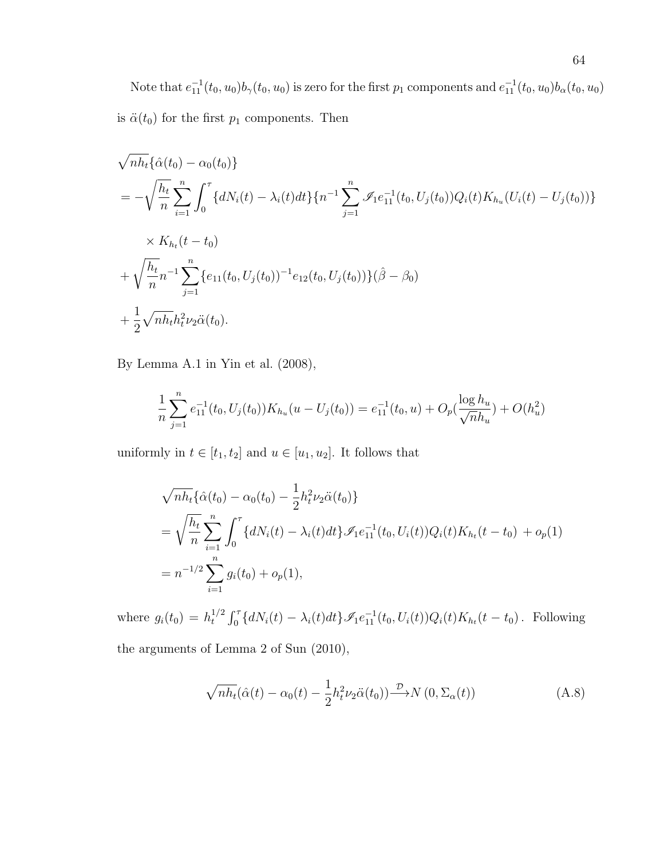Note that  $e_{11}^{-1}(t_0, u_0)b_\gamma(t_0, u_0)$  is zero for the first  $p_1$  components and  $e_{11}^{-1}(t_0, u_0)b_\alpha(t_0, u_0)$ is  $\ddot{\alpha}(t_0)$  for the first  $p_1$  components. Then

$$
\sqrt{nh_t} \{\hat{\alpha}(t_0) - \alpha_0(t_0)\}\
$$
  
=  $-\sqrt{\frac{h_t}{n}} \sum_{i=1}^n \int_0^{\tau} \{dN_i(t) - \lambda_i(t)dt\} \{n^{-1} \sum_{j=1}^n \mathcal{I}_1 e_{11}^{-1}(t_0, U_j(t_0))Q_i(t)K_{h_u}(U_i(t) - U_j(t_0))\}$   
 $\times K_{h_t}(t - t_0)$   
+  $\sqrt{\frac{h_t}{n}} n^{-1} \sum_{j=1}^n \{e_{11}(t_0, U_j(t_0))^{-1} e_{12}(t_0, U_j(t_0))\} (\hat{\beta} - \beta_0)$   
+  $\frac{1}{2} \sqrt{n h_t} h_t^2 \nu_2 \ddot{\alpha}(t_0).$ 

By Lemma A.1 in Yin et al. (2008),

$$
\frac{1}{n}\sum_{j=1}^{n}e_{11}^{-1}(t_0, U_j(t_0))K_{h_u}(u - U_j(t_0)) = e_{11}^{-1}(t_0, u) + O_p(\frac{\log h_u}{\sqrt{n}h_u}) + O(h_u^2)
$$

uniformly in  $t \in [t_1, t_2]$  and  $u \in [u_1, u_2]$ . It follows that

$$
\sqrt{nh_t} \{\hat{\alpha}(t_0) - \alpha_0(t_0) - \frac{1}{2} h_t^2 \nu_2 \ddot{\alpha}(t_0) \}
$$
  
=  $\sqrt{\frac{h_t}{n}} \sum_{i=1}^n \int_0^\tau \{dN_i(t) - \lambda_i(t)dt\} \mathcal{I}_1 e_{11}^{-1}(t_0, U_i(t)) Q_i(t) K_{h_t}(t - t_0) + o_p(1)$   
=  $n^{-1/2} \sum_{i=1}^n g_i(t_0) + o_p(1),$ 

where  $g_i(t_0) = h_t^{1/2}$  $t_1^{1/2} \int_0^{\tau} {\{dN_i(t) - \lambda_i(t)dt\}} \mathcal{I}_1 e_{11}^{-1}(t_0, U_i(t)) Q_i(t) K_{h_t}(t - t_0)$ . Following the arguments of Lemma 2 of Sun (2010),

$$
\sqrt{nh_t}(\hat{\alpha}(t) - \alpha_0(t) - \frac{1}{2}h_t^2 \nu_2 \ddot{\alpha}(t_0)) \xrightarrow{\mathcal{D}} N(0, \Sigma_\alpha(t))
$$
\n(A.8)